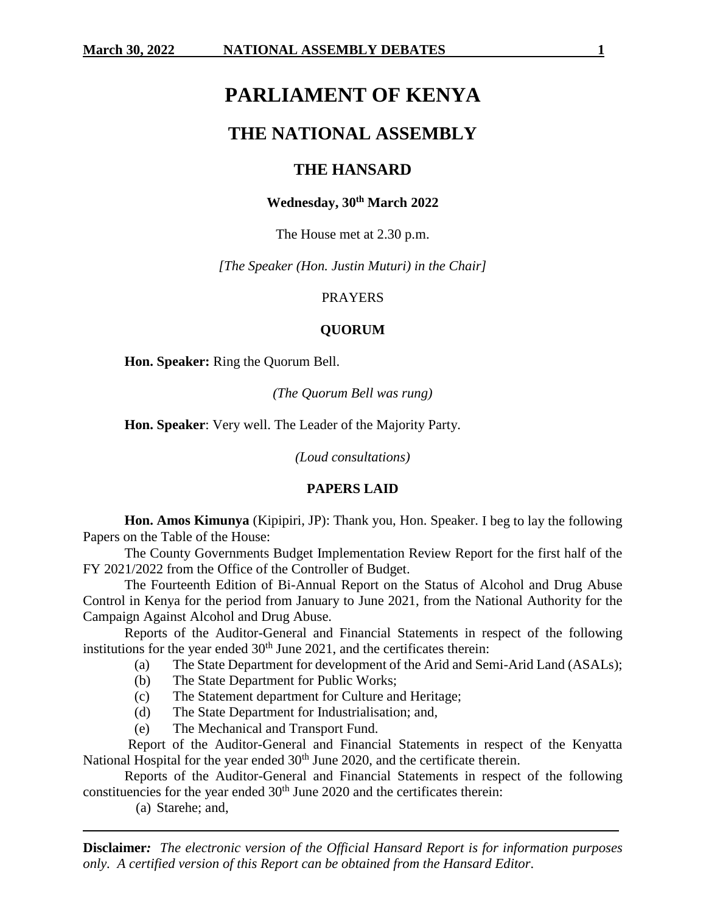# **PARLIAMENT OF KENYA**

## **THE NATIONAL ASSEMBLY**

## **THE HANSARD**

#### **Wednesday, 30th March 2022**

The House met at 2.30 p.m.

*[The Speaker (Hon. Justin Muturi) in the Chair]*

#### PRAYERS

#### **QUORUM**

**Hon. Speaker:** Ring the Quorum Bell.

*(The Quorum Bell was rung)*

**Hon. Speaker**: Very well. The Leader of the Majority Party.

*(Loud consultations)*

#### **PAPERS LAID**

**Hon. Amos Kimunya** (Kipipiri, JP): Thank you, Hon. Speaker. I beg to lay the following Papers on the Table of the House:

The County Governments Budget Implementation Review Report for the first half of the FY 2021/2022 from the Office of the Controller of Budget.

The Fourteenth Edition of Bi-Annual Report on the Status of Alcohol and Drug Abuse Control in Kenya for the period from January to June 2021, from the National Authority for the Campaign Against Alcohol and Drug Abuse.

Reports of the Auditor-General and Financial Statements in respect of the following institutions for the year ended  $30<sup>th</sup>$  June 2021, and the certificates therein:

- (a) The State Department for development of the Arid and Semi-Arid Land (ASALs);
- (b) The State Department for Public Works;
- (c) The Statement department for Culture and Heritage;
- (d) The State Department for Industrialisation; and,
- (e) The Mechanical and Transport Fund.

Report of the Auditor-General and Financial Statements in respect of the Kenyatta National Hospital for the year ended 30<sup>th</sup> June 2020, and the certificate therein.

Reports of the Auditor-General and Financial Statements in respect of the following constituencies for the year ended  $30<sup>th</sup>$  June 2020 and the certificates therein:

(a) Starehe; and,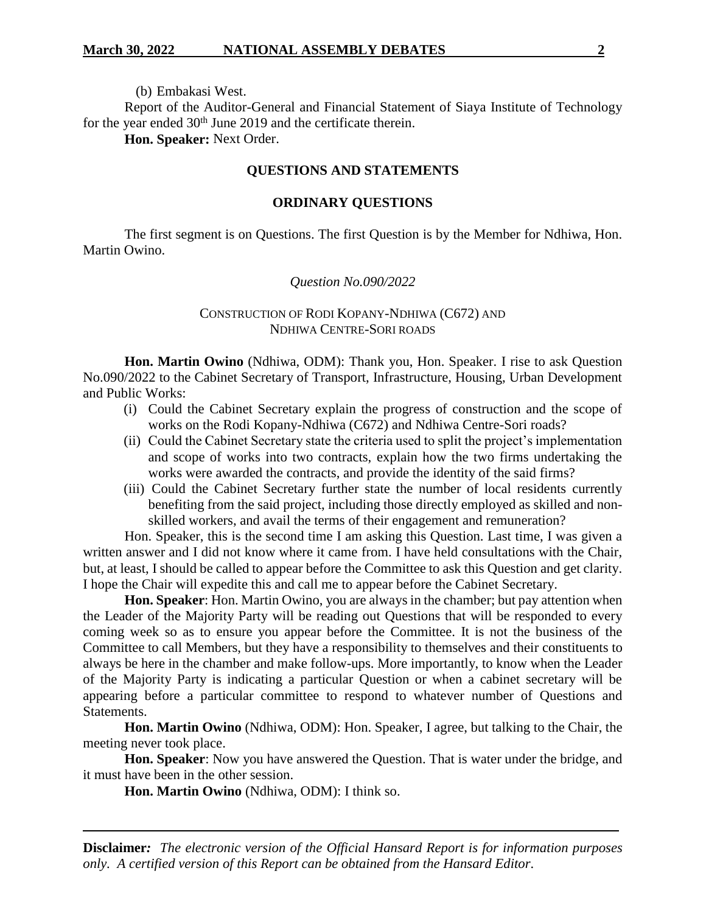(b) Embakasi West.

Report of the Auditor-General and Financial Statement of Siaya Institute of Technology for the year ended 30<sup>th</sup> June 2019 and the certificate therein.

**Hon. Speaker:** Next Order.

#### **QUESTIONS AND STATEMENTS**

#### **ORDINARY QUESTIONS**

The first segment is on Questions. The first Question is by the Member for Ndhiwa, Hon. Martin Owino.

#### *Question No.090/2022*

#### CONSTRUCTION OF RODI KOPANY-NDHIWA (C672) AND NDHIWA CENTRE-SORI ROADS

**Hon. Martin Owino** (Ndhiwa, ODM): Thank you, Hon. Speaker. I rise to ask Question No.090/2022 to the Cabinet Secretary of Transport, Infrastructure, Housing, Urban Development and Public Works:

- (i) Could the Cabinet Secretary explain the progress of construction and the scope of works on the Rodi Kopany-Ndhiwa (C672) and Ndhiwa Centre-Sori roads?
- (ii) Could the Cabinet Secretary state the criteria used to split the project's implementation and scope of works into two contracts, explain how the two firms undertaking the works were awarded the contracts, and provide the identity of the said firms?
- (iii) Could the Cabinet Secretary further state the number of local residents currently benefiting from the said project, including those directly employed as skilled and nonskilled workers, and avail the terms of their engagement and remuneration?

Hon. Speaker, this is the second time I am asking this Question. Last time, I was given a written answer and I did not know where it came from. I have held consultations with the Chair, but, at least, I should be called to appear before the Committee to ask this Question and get clarity. I hope the Chair will expedite this and call me to appear before the Cabinet Secretary.

**Hon. Speaker**: Hon. Martin Owino, you are always in the chamber; but pay attention when the Leader of the Majority Party will be reading out Questions that will be responded to every coming week so as to ensure you appear before the Committee. It is not the business of the Committee to call Members, but they have a responsibility to themselves and their constituents to always be here in the chamber and make follow-ups. More importantly, to know when the Leader of the Majority Party is indicating a particular Question or when a cabinet secretary will be appearing before a particular committee to respond to whatever number of Questions and Statements.

**Hon. Martin Owino** (Ndhiwa, ODM): Hon. Speaker, I agree, but talking to the Chair, the meeting never took place.

**Hon. Speaker**: Now you have answered the Question. That is water under the bridge, and it must have been in the other session.

**Hon. Martin Owino** (Ndhiwa, ODM): I think so.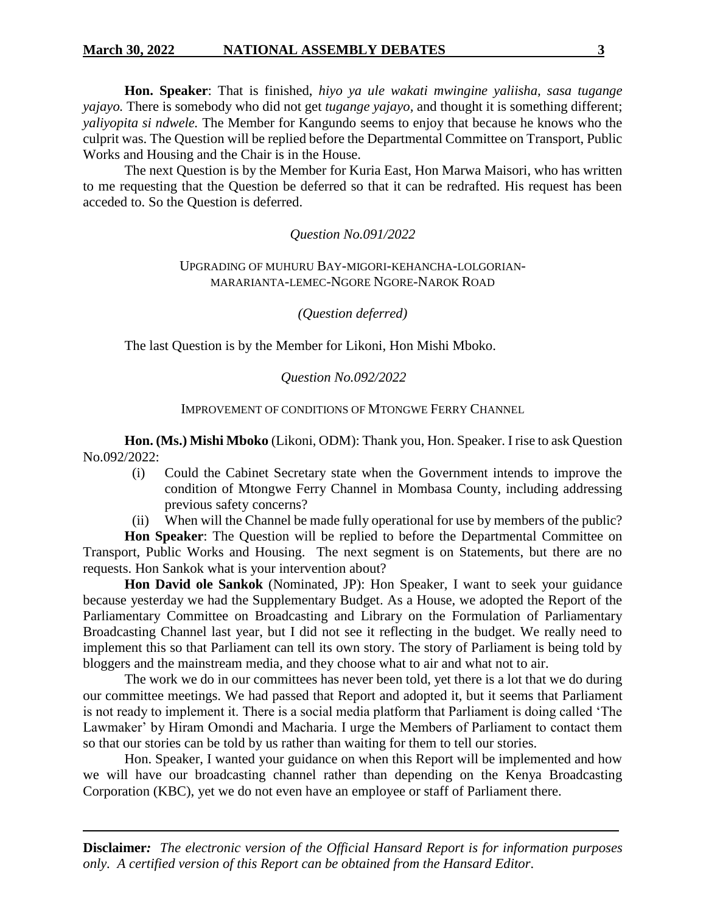**Hon. Speaker**: That is finished, *hiyo ya ule wakati mwingine yaliisha, sasa tugange yajayo.* There is somebody who did not get *tugange yajayo,* and thought it is something different; *yaliyopita si ndwele.* The Member for Kangundo seems to enjoy that because he knows who the culprit was. The Question will be replied before the Departmental Committee on Transport, Public Works and Housing and the Chair is in the House.

The next Question is by the Member for Kuria East, Hon Marwa Maisori, who has written to me requesting that the Question be deferred so that it can be redrafted. His request has been acceded to. So the Question is deferred.

#### *Question No.091/2022*

#### UPGRADING OF MUHURU BAY-MIGORI-KEHANCHA-LOLGORIAN-MARARIANTA-LEMEC-NGORE NGORE-NAROK ROAD

*(Question deferred)*

The last Question is by the Member for Likoni, Hon Mishi Mboko.

### *Question No.092/2022*

#### IMPROVEMENT OF CONDITIONS OF MTONGWE FERRY CHANNEL

**Hon. (Ms.) Mishi Mboko** (Likoni, ODM): Thank you, Hon. Speaker. I rise to ask Question No.092/2022:

- (i) Could the Cabinet Secretary state when the Government intends to improve the condition of Mtongwe Ferry Channel in Mombasa County, including addressing previous safety concerns?
- (ii) When will the Channel be made fully operational for use by members of the public?

**Hon Speaker**: The Question will be replied to before the Departmental Committee on Transport, Public Works and Housing. The next segment is on Statements, but there are no requests. Hon Sankok what is your intervention about?

**Hon David ole Sankok** (Nominated, JP): Hon Speaker, I want to seek your guidance because yesterday we had the Supplementary Budget. As a House, we adopted the Report of the Parliamentary Committee on Broadcasting and Library on the Formulation of Parliamentary Broadcasting Channel last year, but I did not see it reflecting in the budget. We really need to implement this so that Parliament can tell its own story. The story of Parliament is being told by bloggers and the mainstream media, and they choose what to air and what not to air.

The work we do in our committees has never been told, yet there is a lot that we do during our committee meetings. We had passed that Report and adopted it, but it seems that Parliament is not ready to implement it. There is a social media platform that Parliament is doing called 'The Lawmaker' by Hiram Omondi and Macharia. I urge the Members of Parliament to contact them so that our stories can be told by us rather than waiting for them to tell our stories.

Hon. Speaker, I wanted your guidance on when this Report will be implemented and how we will have our broadcasting channel rather than depending on the Kenya Broadcasting Corporation (KBC), yet we do not even have an employee or staff of Parliament there.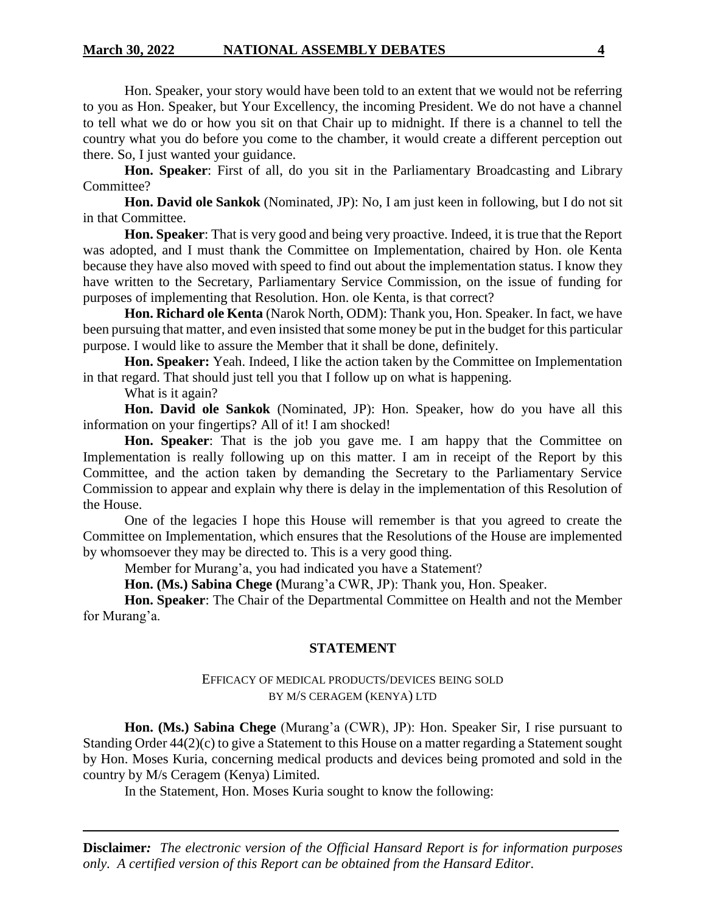Hon. Speaker, your story would have been told to an extent that we would not be referring to you as Hon. Speaker, but Your Excellency, the incoming President. We do not have a channel to tell what we do or how you sit on that Chair up to midnight. If there is a channel to tell the country what you do before you come to the chamber, it would create a different perception out there. So, I just wanted your guidance.

**Hon. Speaker**: First of all, do you sit in the Parliamentary Broadcasting and Library Committee?

**Hon. David ole Sankok** (Nominated, JP): No, I am just keen in following, but I do not sit in that Committee.

**Hon. Speaker**: That is very good and being very proactive. Indeed, it is true that the Report was adopted, and I must thank the Committee on Implementation, chaired by Hon. ole Kenta because they have also moved with speed to find out about the implementation status. I know they have written to the Secretary, Parliamentary Service Commission, on the issue of funding for purposes of implementing that Resolution. Hon. ole Kenta, is that correct?

**Hon. Richard ole Kenta** (Narok North, ODM): Thank you, Hon. Speaker. In fact, we have been pursuing that matter, and even insisted that some money be put in the budget for this particular purpose. I would like to assure the Member that it shall be done, definitely.

**Hon. Speaker:** Yeah. Indeed, I like the action taken by the Committee on Implementation in that regard. That should just tell you that I follow up on what is happening.

What is it again?

**Hon. David ole Sankok** (Nominated, JP): Hon. Speaker, how do you have all this information on your fingertips? All of it! I am shocked!

**Hon. Speaker:** That is the job you gave me. I am happy that the Committee on Implementation is really following up on this matter. I am in receipt of the Report by this Committee, and the action taken by demanding the Secretary to the Parliamentary Service Commission to appear and explain why there is delay in the implementation of this Resolution of the House.

One of the legacies I hope this House will remember is that you agreed to create the Committee on Implementation, which ensures that the Resolutions of the House are implemented by whomsoever they may be directed to. This is a very good thing.

Member for Murang'a, you had indicated you have a Statement?

**Hon. (Ms.) Sabina Chege (**Murang'a CWR, JP): Thank you, Hon. Speaker.

**Hon. Speaker**: The Chair of the Departmental Committee on Health and not the Member for Murang'a.

#### **STATEMENT**

#### EFFICACY OF MEDICAL PRODUCTS/DEVICES BEING SOLD BY M/S CERAGEM (KENYA) LTD

**Hon. (Ms.) Sabina Chege** (Murang'a (CWR), JP): Hon. Speaker Sir, I rise pursuant to Standing Order 44(2)(c) to give a Statement to this House on a matter regarding a Statement sought by Hon. Moses Kuria, concerning medical products and devices being promoted and sold in the country by M/s Ceragem (Kenya) Limited.

In the Statement, Hon. Moses Kuria sought to know the following: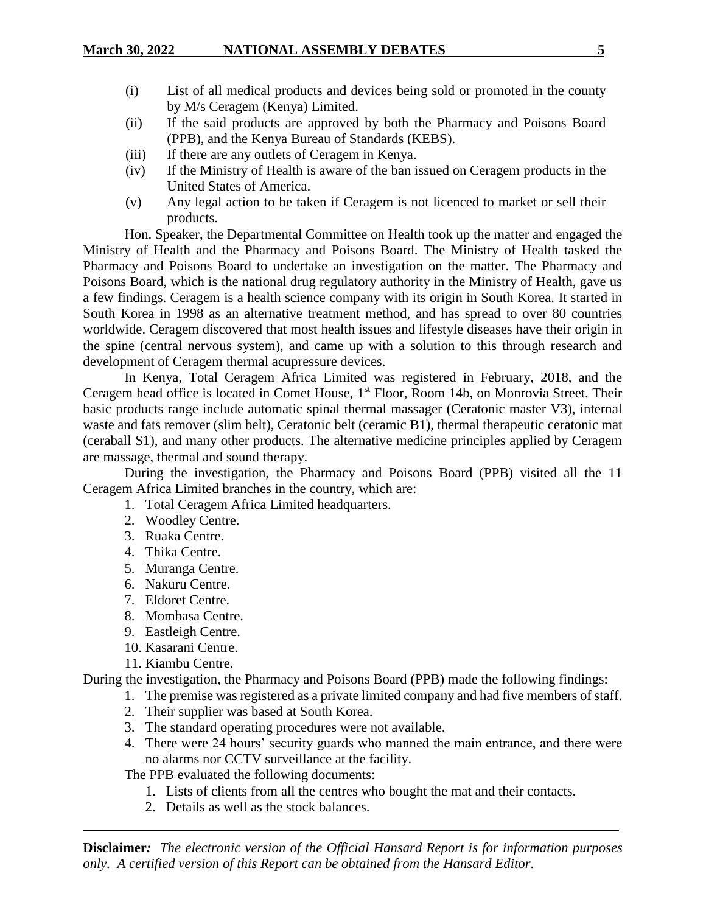- (i) List of all medical products and devices being sold or promoted in the county by M/s Ceragem (Kenya) Limited.
- (ii) If the said products are approved by both the Pharmacy and Poisons Board (PPB), and the Kenya Bureau of Standards (KEBS).
- (iii) If there are any outlets of Ceragem in Kenya.
- (iv) If the Ministry of Health is aware of the ban issued on Ceragem products in the United States of America.
- (v) Any legal action to be taken if Ceragem is not licenced to market or sell their products.

Hon. Speaker, the Departmental Committee on Health took up the matter and engaged the Ministry of Health and the Pharmacy and Poisons Board. The Ministry of Health tasked the Pharmacy and Poisons Board to undertake an investigation on the matter. The Pharmacy and Poisons Board, which is the national drug regulatory authority in the Ministry of Health, gave us a few findings. Ceragem is a health science company with its origin in South Korea. It started in South Korea in 1998 as an alternative treatment method, and has spread to over 80 countries worldwide. Ceragem discovered that most health issues and lifestyle diseases have their origin in the spine (central nervous system), and came up with a solution to this through research and development of Ceragem thermal acupressure devices.

In Kenya, Total Ceragem Africa Limited was registered in February, 2018, and the Ceragem head office is located in Comet House, 1<sup>st</sup> Floor, Room 14b, on Monrovia Street. Their basic products range include automatic spinal thermal massager (Ceratonic master V3), internal waste and fats remover (slim belt), Ceratonic belt (ceramic B1), thermal therapeutic ceratonic mat (ceraball S1), and many other products. The alternative medicine principles applied by Ceragem are massage, thermal and sound therapy.

During the investigation, the Pharmacy and Poisons Board (PPB) visited all the 11 Ceragem Africa Limited branches in the country, which are:

- 1. Total Ceragem Africa Limited headquarters.
- 2. Woodley Centre.
- 3. Ruaka Centre.
- 4. Thika Centre.
- 5. Muranga Centre.
- 6. Nakuru Centre.
- 7. Eldoret Centre.
- 8. Mombasa Centre.
- 9. Eastleigh Centre.
- 10. Kasarani Centre.
- 11. Kiambu Centre.

During the investigation, the Pharmacy and Poisons Board (PPB) made the following findings:

- 1. The premise was registered as a private limited company and had five members of staff.
- 2. Their supplier was based at South Korea.
- 3. The standard operating procedures were not available.
- 4. There were 24 hours' security guards who manned the main entrance, and there were no alarms nor CCTV surveillance at the facility.

The PPB evaluated the following documents:

- 1. Lists of clients from all the centres who bought the mat and their contacts.
- 2. Details as well as the stock balances.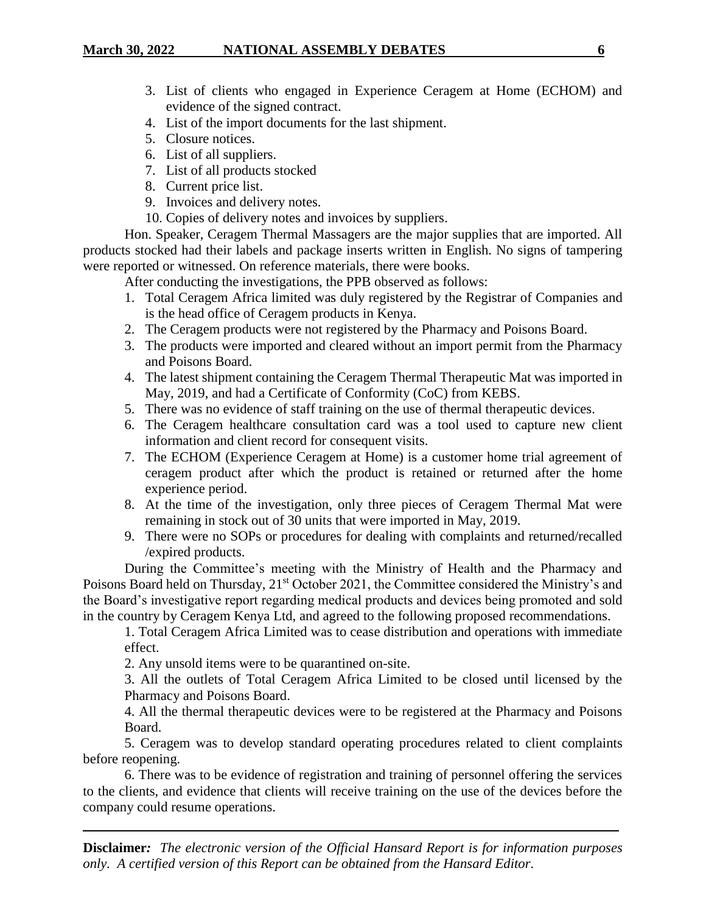- 
- 3. List of clients who engaged in Experience Ceragem at Home (ECHOM) and evidence of the signed contract.
- 4. List of the import documents for the last shipment.
- 5. Closure notices.
- 6. List of all suppliers.
- 7. List of all products stocked
- 8. Current price list.
- 9. Invoices and delivery notes.
- 10. Copies of delivery notes and invoices by suppliers.

Hon. Speaker, Ceragem Thermal Massagers are the major supplies that are imported. All products stocked had their labels and package inserts written in English. No signs of tampering were reported or witnessed. On reference materials, there were books.

After conducting the investigations, the PPB observed as follows:

- 1. Total Ceragem Africa limited was duly registered by the Registrar of Companies and is the head office of Ceragem products in Kenya.
- 2. The Ceragem products were not registered by the Pharmacy and Poisons Board.
- 3. The products were imported and cleared without an import permit from the Pharmacy and Poisons Board.
- 4. The latest shipment containing the Ceragem Thermal Therapeutic Mat was imported in May, 2019, and had a Certificate of Conformity (CoC) from KEBS.
- 5. There was no evidence of staff training on the use of thermal therapeutic devices.
- 6. The Ceragem healthcare consultation card was a tool used to capture new client information and client record for consequent visits.
- 7. The ECHOM (Experience Ceragem at Home) is a customer home trial agreement of ceragem product after which the product is retained or returned after the home experience period.
- 8. At the time of the investigation, only three pieces of Ceragem Thermal Mat were remaining in stock out of 30 units that were imported in May, 2019.
- 9. There were no SOPs or procedures for dealing with complaints and returned/recalled /expired products.

During the Committee's meeting with the Ministry of Health and the Pharmacy and Poisons Board held on Thursday, 21<sup>st</sup> October 2021, the Committee considered the Ministry's and the Board's investigative report regarding medical products and devices being promoted and sold in the country by Ceragem Kenya Ltd, and agreed to the following proposed recommendations.

1. Total Ceragem Africa Limited was to cease distribution and operations with immediate effect.

2. Any unsold items were to be quarantined on-site.

3. All the outlets of Total Ceragem Africa Limited to be closed until licensed by the Pharmacy and Poisons Board.

4. All the thermal therapeutic devices were to be registered at the Pharmacy and Poisons Board.

5. Ceragem was to develop standard operating procedures related to client complaints before reopening.

6. There was to be evidence of registration and training of personnel offering the services to the clients, and evidence that clients will receive training on the use of the devices before the company could resume operations.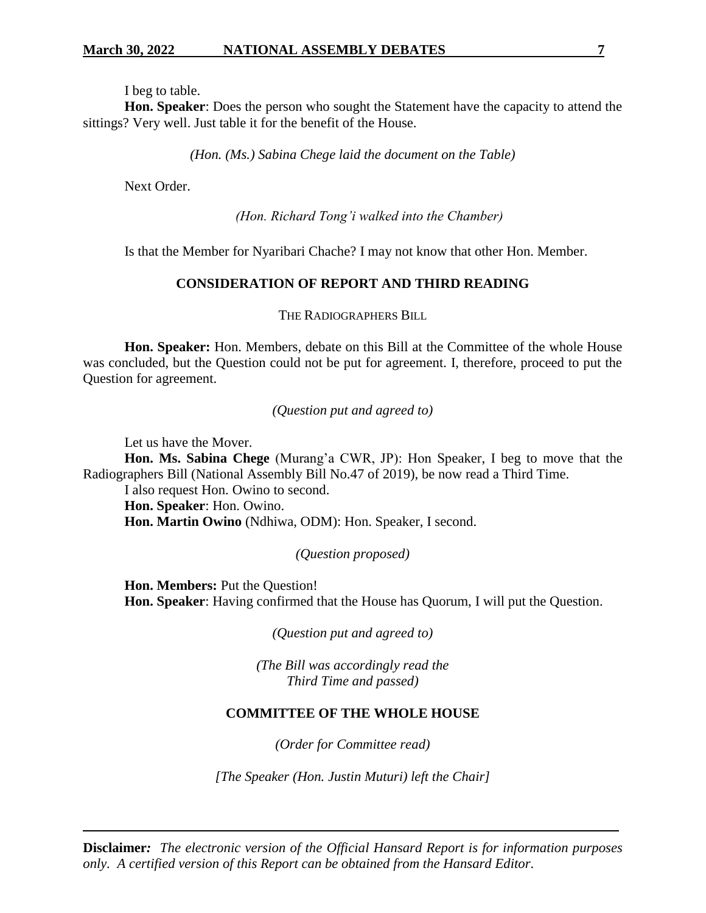I beg to table.

**Hon. Speaker**: Does the person who sought the Statement have the capacity to attend the sittings? Very well. Just table it for the benefit of the House.

*(Hon. (Ms.) Sabina Chege laid the document on the Table)*

Next Order.

*(Hon. Richard Tong'i walked into the Chamber)*

Is that the Member for Nyaribari Chache? I may not know that other Hon. Member.

## **CONSIDERATION OF REPORT AND THIRD READING**

THE RADIOGRAPHERS BILL

**Hon. Speaker:** Hon. Members, debate on this Bill at the Committee of the whole House was concluded, but the Question could not be put for agreement. I, therefore, proceed to put the Question for agreement.

*(Question put and agreed to)*

Let us have the Mover.

**Hon. Ms. Sabina Chege** (Murang'a CWR, JP): Hon Speaker, I beg to move that the Radiographers Bill (National Assembly Bill No.47 of 2019), be now read a Third Time.

I also request Hon. Owino to second. **Hon. Speaker**: Hon. Owino. **Hon. Martin Owino** (Ndhiwa, ODM): Hon. Speaker, I second.

*(Question proposed)*

**Hon. Members:** Put the Question! **Hon. Speaker**: Having confirmed that the House has Quorum, I will put the Question.

*(Question put and agreed to)*

*(The Bill was accordingly read the Third Time and passed)*

## **COMMITTEE OF THE WHOLE HOUSE**

*(Order for Committee read)*

*[The Speaker (Hon. Justin Muturi) left the Chair]*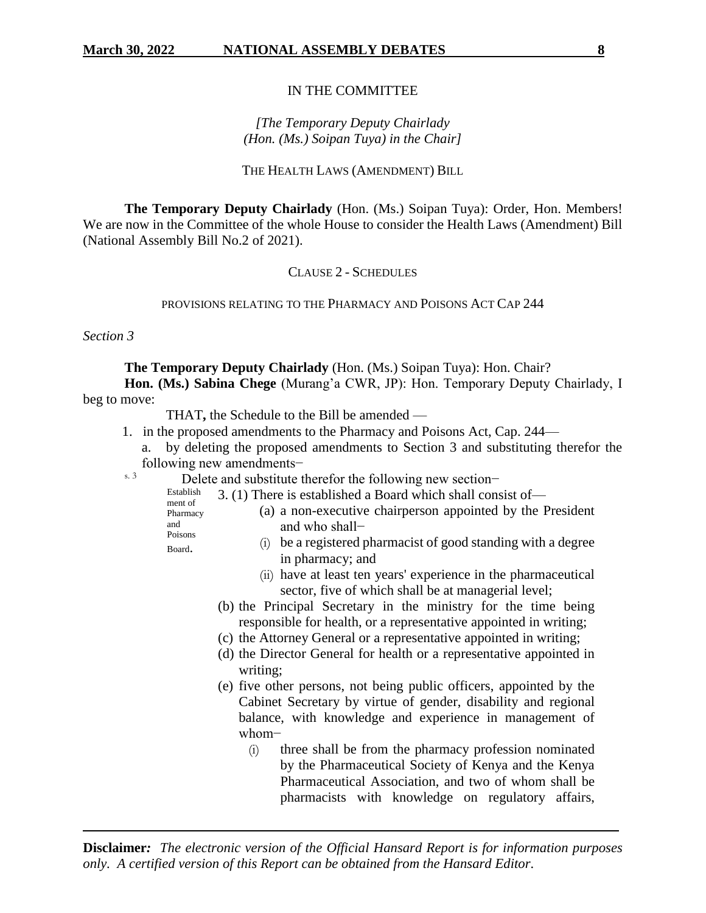### IN THE COMMITTEE

## *[The Temporary Deputy Chairlady (Hon. (Ms.) Soipan Tuya) in the Chair]*

#### THE HEALTH LAWS (AMENDMENT) BILL

**The Temporary Deputy Chairlady** (Hon. (Ms.) Soipan Tuya): Order, Hon. Members! We are now in the Committee of the whole House to consider the Health Laws (Amendment) Bill (National Assembly Bill No.2 of 2021).

### CLAUSE 2 - SCHEDULES

#### PROVISIONS RELATING TO THE PHARMACY AND POISONS ACT CAP 244

*Section 3*

**The Temporary Deputy Chairlady** (Hon. (Ms.) Soipan Tuya): Hon. Chair?

**Hon. (Ms.) Sabina Chege** (Murang'a CWR, JP): Hon. Temporary Deputy Chairlady, I beg to move:

THAT**,** the Schedule to the Bill be amended —

- 1. in the proposed amendments to the Pharmacy and Poisons Act, Cap. 244
	- by deleting the proposed amendments to Section 3 and substituting therefor the following new amendments−
- s. 3 Delete and substitute therefor the following new section–
	- Establish ment of 3. (1) There is established a Board which shall consist of—
	- Pharmacy and Poisons (a) a non-executive chairperson appointed by the President and who shall−
	- Board.
- (i) be a registered pharmacist of good standing with a degree in pharmacy; and
- (ii) have at least ten years' experience in the pharmaceutical sector, five of which shall be at managerial level;
- (b) the Principal Secretary in the ministry for the time being responsible for health, or a representative appointed in writing;
- (c) the Attorney General or a representative appointed in writing;
- (d) the Director General for health or a representative appointed in writing;
- (e) five other persons, not being public officers, appointed by the Cabinet Secretary by virtue of gender, disability and regional balance, with knowledge and experience in management of whom−
	- (i) three shall be from the pharmacy profession nominated by the Pharmaceutical Society of Kenya and the Kenya Pharmaceutical Association, and two of whom shall be pharmacists with knowledge on regulatory affairs,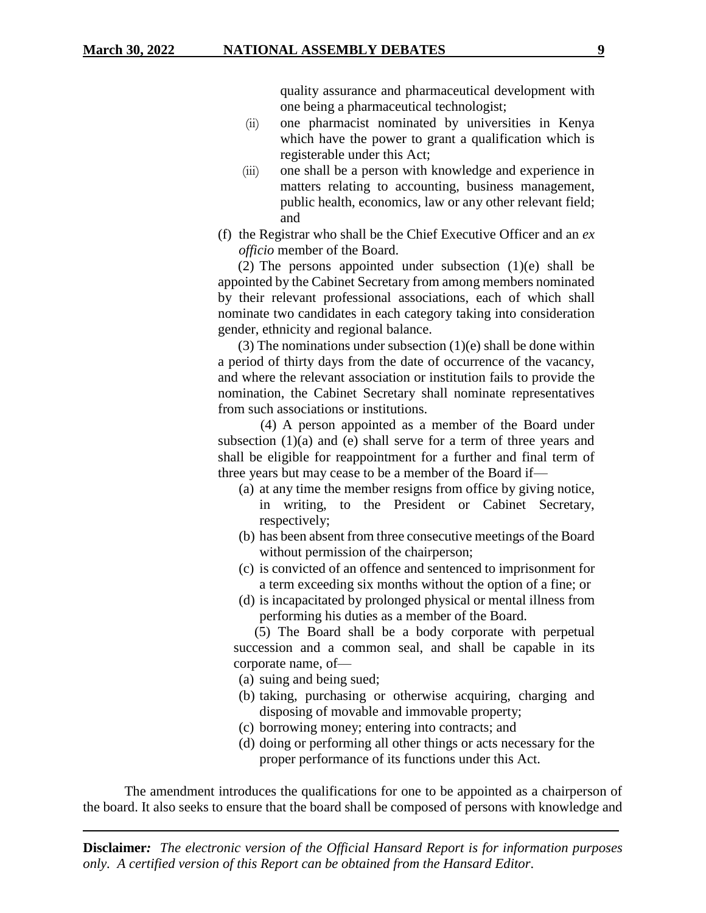quality assurance and pharmaceutical development with one being a pharmaceutical technologist;

- (ii) one pharmacist nominated by universities in Kenya which have the power to grant a qualification which is registerable under this Act;
- (iii) one shall be a person with knowledge and experience in matters relating to accounting, business management, public health, economics, law or any other relevant field; and
- (f) the Registrar who shall be the Chief Executive Officer and an *ex officio* member of the Board.

(2) The persons appointed under subsection (1)(e) shall be appointed by the Cabinet Secretary from among members nominated by their relevant professional associations, each of which shall nominate two candidates in each category taking into consideration gender, ethnicity and regional balance.

(3) The nominations under subsection  $(1)(e)$  shall be done within a period of thirty days from the date of occurrence of the vacancy, and where the relevant association or institution fails to provide the nomination, the Cabinet Secretary shall nominate representatives from such associations or institutions.

 (4) A person appointed as a member of the Board under subsection  $(1)(a)$  and  $(e)$  shall serve for a term of three years and shall be eligible for reappointment for a further and final term of three years but may cease to be a member of the Board if—

- (a) at any time the member resigns from office by giving notice, in writing, to the President or Cabinet Secretary, respectively;
- (b) has been absent from three consecutive meetings of the Board without permission of the chairperson;
- (c) is convicted of an offence and sentenced to imprisonment for a term exceeding six months without the option of a fine; or
- (d) is incapacitated by prolonged physical or mental illness from performing his duties as a member of the Board.

 (5) The Board shall be a body corporate with perpetual succession and a common seal, and shall be capable in its corporate name, of—

(a) suing and being sued;

- (b) taking, purchasing or otherwise acquiring, charging and disposing of movable and immovable property;
- (c) borrowing money; entering into contracts; and
- (d) doing or performing all other things or acts necessary for the proper performance of its functions under this Act.

The amendment introduces the qualifications for one to be appointed as a chairperson of the board. It also seeks to ensure that the board shall be composed of persons with knowledge and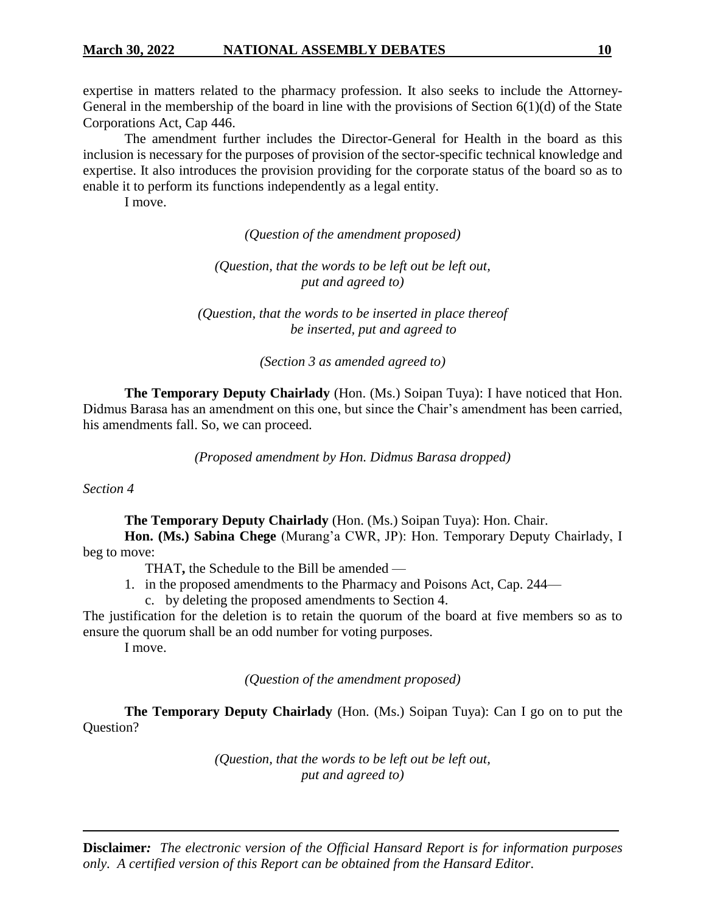expertise in matters related to the pharmacy profession. It also seeks to include the Attorney-General in the membership of the board in line with the provisions of Section 6(1)(d) of the State Corporations Act, Cap 446.

The amendment further includes the Director-General for Health in the board as this inclusion is necessary for the purposes of provision of the sector-specific technical knowledge and expertise. It also introduces the provision providing for the corporate status of the board so as to enable it to perform its functions independently as a legal entity.

I move.

*(Question of the amendment proposed)*

*(Question, that the words to be left out be left out, put and agreed to)*

*(Question, that the words to be inserted in place thereof be inserted, put and agreed to*

*(Section 3 as amended agreed to)*

**The Temporary Deputy Chairlady** (Hon. (Ms.) Soipan Tuya): I have noticed that Hon. Didmus Barasa has an amendment on this one, but since the Chair's amendment has been carried, his amendments fall. So, we can proceed.

*(Proposed amendment by Hon. Didmus Barasa dropped)*

*Section 4*

**The Temporary Deputy Chairlady** (Hon. (Ms.) Soipan Tuya): Hon. Chair.

**Hon. (Ms.) Sabina Chege** (Murang'a CWR, JP): Hon. Temporary Deputy Chairlady, I beg to move:

THAT**,** the Schedule to the Bill be amended —

1. in the proposed amendments to the Pharmacy and Poisons Act, Cap. 244—

c. by deleting the proposed amendments to Section 4.

The justification for the deletion is to retain the quorum of the board at five members so as to ensure the quorum shall be an odd number for voting purposes.

I move.

*(Question of the amendment proposed)*

**The Temporary Deputy Chairlady** (Hon. (Ms.) Soipan Tuya): Can I go on to put the Question?

> *(Question, that the words to be left out be left out, put and agreed to)*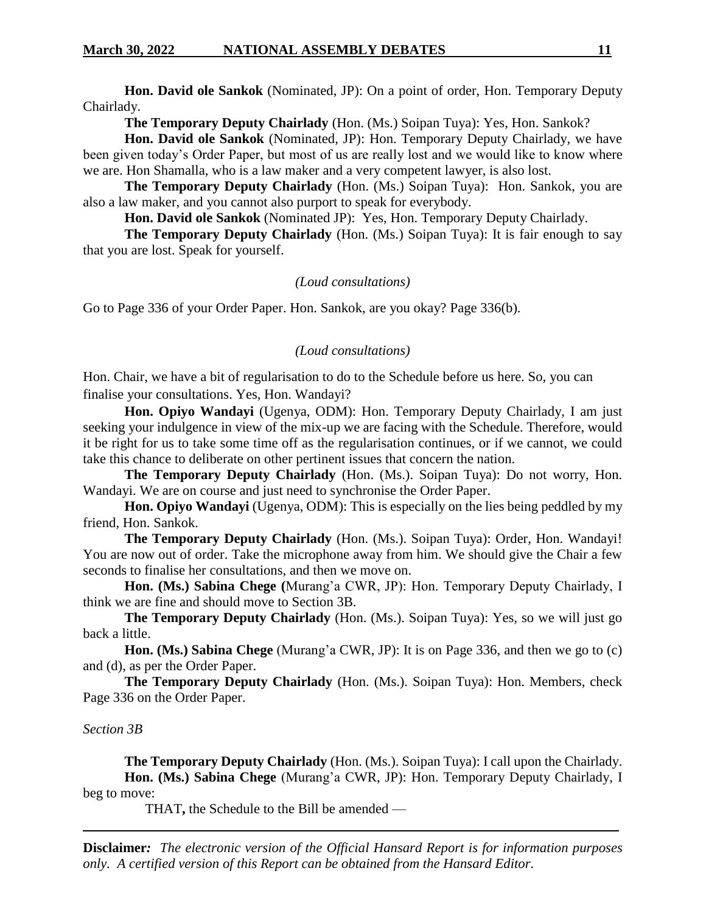**Hon. David ole Sankok** (Nominated, JP): On a point of order, Hon. Temporary Deputy Chairlady.

**The Temporary Deputy Chairlady** (Hon. (Ms.) Soipan Tuya): Yes, Hon. Sankok?

**Hon. David ole Sankok** (Nominated, JP): Hon. Temporary Deputy Chairlady, we have been given today's Order Paper, but most of us are really lost and we would like to know where we are. Hon Shamalla, who is a law maker and a very competent lawyer, is also lost.

**The Temporary Deputy Chairlady** (Hon. (Ms.) Soipan Tuya): Hon. Sankok, you are also a law maker, and you cannot also purport to speak for everybody.

**Hon. David ole Sankok** (Nominated JP): Yes, Hon. Temporary Deputy Chairlady.

**The Temporary Deputy Chairlady** (Hon. (Ms.) Soipan Tuya): It is fair enough to say that you are lost. Speak for yourself.

#### *(Loud consultations)*

Go to Page 336 of your Order Paper. Hon. Sankok, are you okay? Page 336(b).

#### *(Loud consultations)*

Hon. Chair, we have a bit of regularisation to do to the Schedule before us here. So, you can finalise your consultations. Yes, Hon. Wandayi?

**Hon. Opiyo Wandayi** (Ugenya, ODM): Hon. Temporary Deputy Chairlady, I am just seeking your indulgence in view of the mix-up we are facing with the Schedule. Therefore, would it be right for us to take some time off as the regularisation continues, or if we cannot, we could take this chance to deliberate on other pertinent issues that concern the nation.

**The Temporary Deputy Chairlady** (Hon. (Ms.). Soipan Tuya): Do not worry, Hon. Wandayi. We are on course and just need to synchronise the Order Paper.

**Hon. Opiyo Wandayi** (Ugenya, ODM): This is especially on the lies being peddled by my friend, Hon. Sankok.

**The Temporary Deputy Chairlady** (Hon. (Ms.). Soipan Tuya): Order, Hon. Wandayi! You are now out of order. Take the microphone away from him. We should give the Chair a few seconds to finalise her consultations, and then we move on.

**Hon. (Ms.) Sabina Chege (**Murang'a CWR, JP): Hon. Temporary Deputy Chairlady, I think we are fine and should move to Section 3B.

**The Temporary Deputy Chairlady** (Hon. (Ms.). Soipan Tuya): Yes, so we will just go back a little.

**Hon. (Ms.) Sabina Chege** (Murang'a CWR, JP): It is on Page 336, and then we go to (c) and (d), as per the Order Paper.

**The Temporary Deputy Chairlady** (Hon. (Ms.). Soipan Tuya): Hon. Members, check Page 336 on the Order Paper.

#### *Section 3B*

**The Temporary Deputy Chairlady** (Hon. (Ms.). Soipan Tuya): I call upon the Chairlady. **Hon. (Ms.) Sabina Chege** (Murang'a CWR, JP): Hon. Temporary Deputy Chairlady, I beg to move:

THAT**,** the Schedule to the Bill be amended —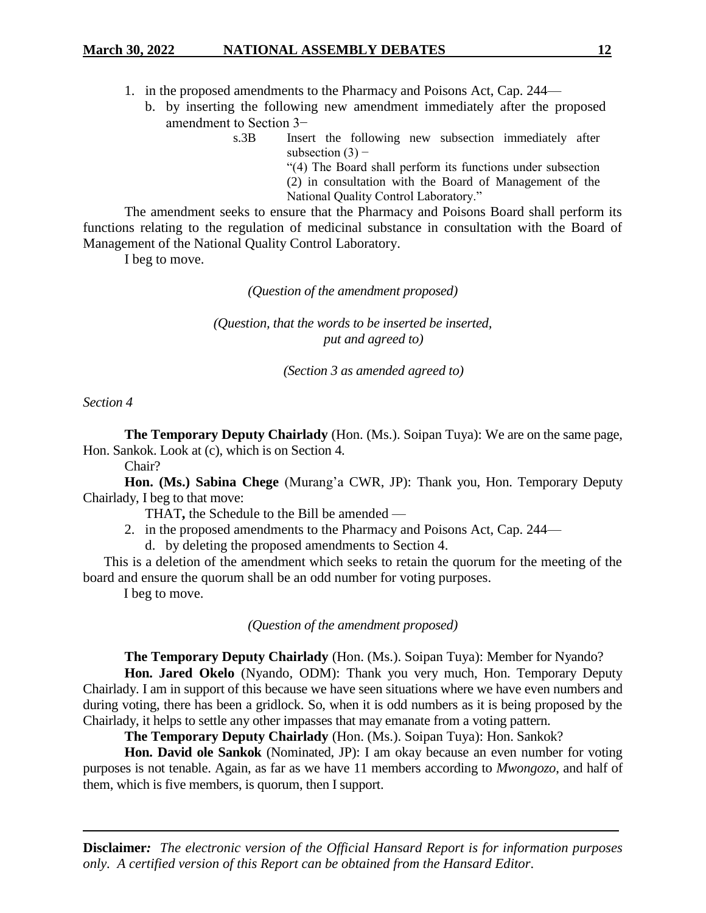- b. by inserting the following new amendment immediately after the proposed amendment to Section 3−
	- s.3B Insert the following new subsection immediately after subsection  $(3)$  –

"(4) The Board shall perform its functions under subsection

(2) in consultation with the Board of Management of the National Quality Control Laboratory."

The amendment seeks to ensure that the Pharmacy and Poisons Board shall perform its functions relating to the regulation of medicinal substance in consultation with the Board of Management of the National Quality Control Laboratory.

I beg to move.

*(Question of the amendment proposed)*

*(Question, that the words to be inserted be inserted, put and agreed to)*

*(Section 3 as amended agreed to)*

*Section 4*

**The Temporary Deputy Chairlady** (Hon. (Ms.). Soipan Tuya): We are on the same page, Hon. Sankok. Look at (c), which is on Section 4.

Chair?

**Hon. (Ms.) Sabina Chege** (Murang'a CWR, JP): Thank you, Hon. Temporary Deputy Chairlady, I beg to that move:

THAT**,** the Schedule to the Bill be amended —

2. in the proposed amendments to the Pharmacy and Poisons Act, Cap. 244—

d. by deleting the proposed amendments to Section 4.

This is a deletion of the amendment which seeks to retain the quorum for the meeting of the board and ensure the quorum shall be an odd number for voting purposes.

I beg to move.

*(Question of the amendment proposed)*

**The Temporary Deputy Chairlady** (Hon. (Ms.). Soipan Tuya): Member for Nyando?

**Hon. Jared Okelo** (Nyando, ODM): Thank you very much, Hon. Temporary Deputy Chairlady. I am in support of this because we have seen situations where we have even numbers and during voting, there has been a gridlock. So, when it is odd numbers as it is being proposed by the Chairlady, it helps to settle any other impasses that may emanate from a voting pattern.

**The Temporary Deputy Chairlady** (Hon. (Ms.). Soipan Tuya): Hon. Sankok?

**Hon. David ole Sankok** (Nominated, JP): I am okay because an even number for voting purposes is not tenable. Again, as far as we have 11 members according to *Mwongozo*, and half of them, which is five members, is quorum, then I support.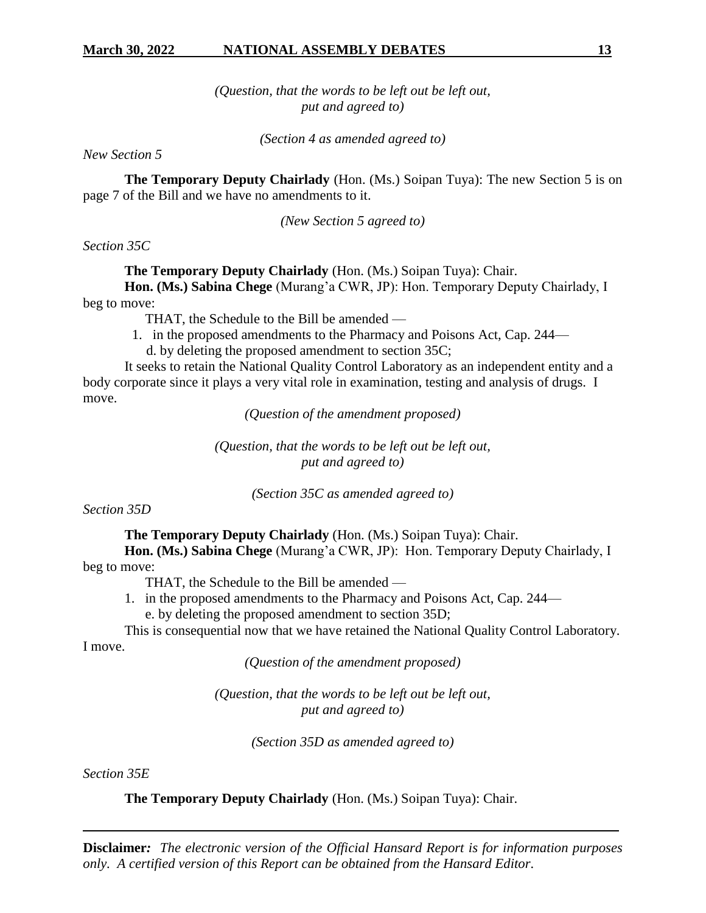*(Question, that the words to be left out be left out, put and agreed to)*

*(Section 4 as amended agreed to)*

*New Section 5*

**The Temporary Deputy Chairlady** (Hon. (Ms.) Soipan Tuya): The new Section 5 is on page 7 of the Bill and we have no amendments to it.

*(New Section 5 agreed to)*

*Section 35C*

**The Temporary Deputy Chairlady** (Hon. (Ms.) Soipan Tuya): Chair.

**Hon. (Ms.) Sabina Chege** (Murang'a CWR, JP): Hon. Temporary Deputy Chairlady, I beg to move:

THAT, the Schedule to the Bill be amended —

1. in the proposed amendments to the Pharmacy and Poisons Act, Cap. 244—

d. by deleting the proposed amendment to section 35C;

It seeks to retain the National Quality Control Laboratory as an independent entity and a body corporate since it plays a very vital role in examination, testing and analysis of drugs. I move.

*(Question of the amendment proposed)*

*(Question, that the words to be left out be left out, put and agreed to)*

*(Section 35C as amended agreed to)*

*Section 35D*

**The Temporary Deputy Chairlady** (Hon. (Ms.) Soipan Tuya): Chair.

**Hon. (Ms.) Sabina Chege** (Murang'a CWR, JP): Hon. Temporary Deputy Chairlady, I beg to move:

THAT, the Schedule to the Bill be amended —

- 1. in the proposed amendments to the Pharmacy and Poisons Act, Cap. 244
	- e. by deleting the proposed amendment to section 35D;

This is consequential now that we have retained the National Quality Control Laboratory. I move.

*(Question of the amendment proposed)*

*(Question, that the words to be left out be left out, put and agreed to)*

*(Section 35D as amended agreed to)*

*Section 35E*

**The Temporary Deputy Chairlady** (Hon. (Ms.) Soipan Tuya): Chair.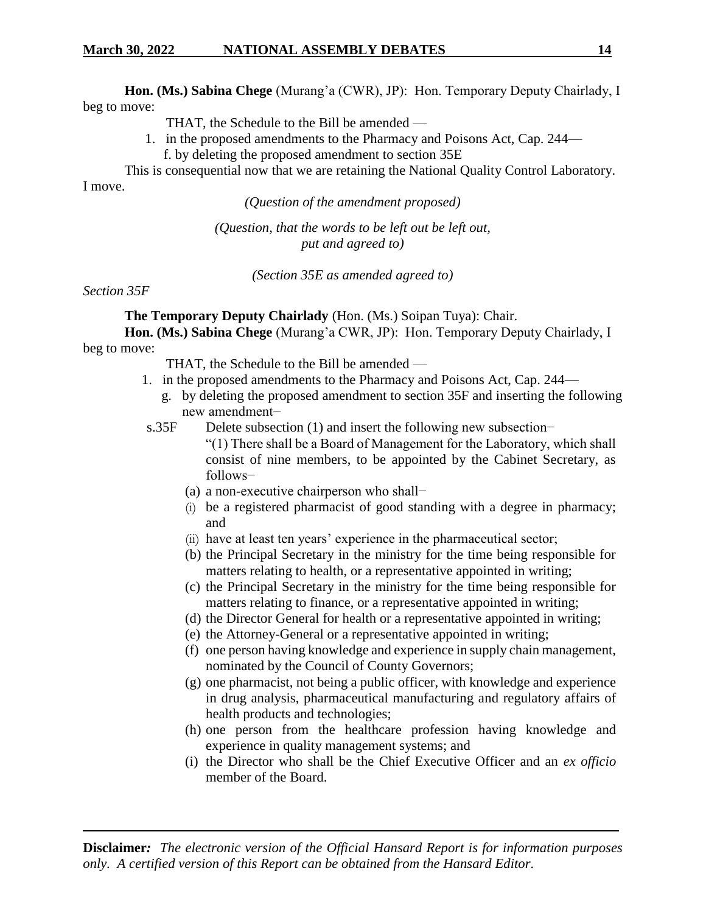**Hon. (Ms.) Sabina Chege** (Murang'a (CWR), JP): Hon. Temporary Deputy Chairlady, I beg to move:

THAT, the Schedule to the Bill be amended —

1. in the proposed amendments to the Pharmacy and Poisons Act, Cap. 244 f. by deleting the proposed amendment to section 35E

This is consequential now that we are retaining the National Quality Control Laboratory. I move.

*(Question of the amendment proposed)*

*(Question, that the words to be left out be left out, put and agreed to)*

*(Section 35E as amended agreed to)*

*Section 35F*

**The Temporary Deputy Chairlady** (Hon. (Ms.) Soipan Tuya): Chair.

**Hon. (Ms.) Sabina Chege** (Murang'a CWR, JP): Hon. Temporary Deputy Chairlady, I beg to move:

THAT, the Schedule to the Bill be amended —

- 1. in the proposed amendments to the Pharmacy and Poisons Act, Cap. 244
	- g. by deleting the proposed amendment to section 35F and inserting the following new amendment−
- s.35F Delete subsection (1) and insert the following new subsection–

"(1) There shall be a Board of Management for the Laboratory, which shall consist of nine members, to be appointed by the Cabinet Secretary, as follows−

- (a) a non-executive chairperson who shall−
- (i) be a registered pharmacist of good standing with a degree in pharmacy; and
- (ii) have at least ten years' experience in the pharmaceutical sector;
- (b) the Principal Secretary in the ministry for the time being responsible for matters relating to health, or a representative appointed in writing;
- (c) the Principal Secretary in the ministry for the time being responsible for matters relating to finance, or a representative appointed in writing;
- (d) the Director General for health or a representative appointed in writing;
- (e) the Attorney-General or a representative appointed in writing;
- (f) one person having knowledge and experience in supply chain management, nominated by the Council of County Governors;
- (g) one pharmacist, not being a public officer, with knowledge and experience in drug analysis, pharmaceutical manufacturing and regulatory affairs of health products and technologies;
- (h) one person from the healthcare profession having knowledge and experience in quality management systems; and
- (i) the Director who shall be the Chief Executive Officer and an *ex officio* member of the Board.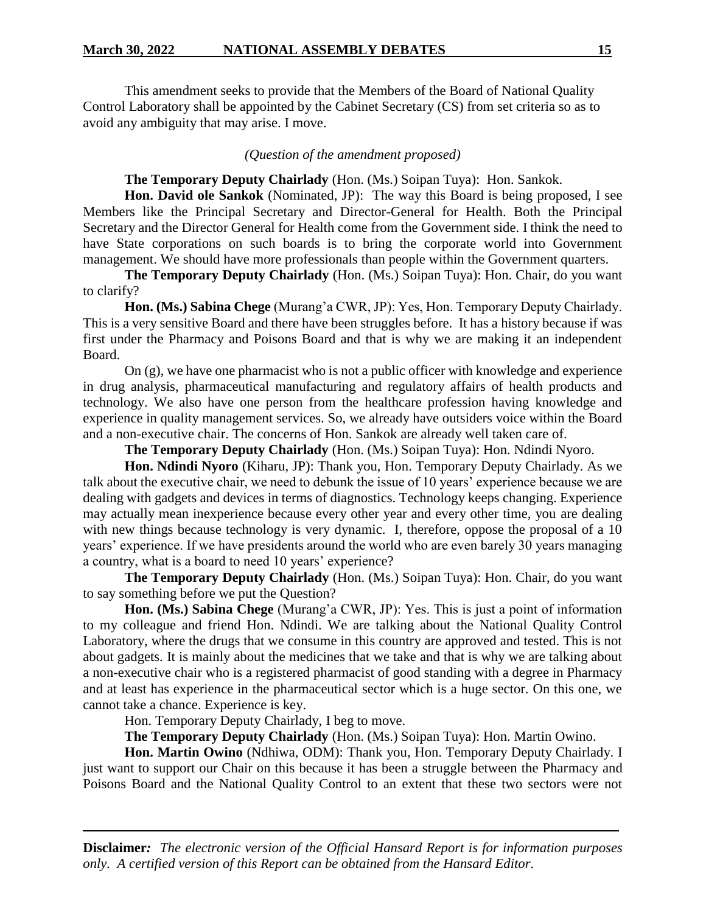This amendment seeks to provide that the Members of the Board of National Quality Control Laboratory shall be appointed by the Cabinet Secretary (CS) from set criteria so as to avoid any ambiguity that may arise. I move.

#### *(Question of the amendment proposed)*

#### **The Temporary Deputy Chairlady** (Hon. (Ms.) Soipan Tuya):Hon. Sankok.

**Hon. David ole Sankok** (Nominated, JP): The way this Board is being proposed, I see Members like the Principal Secretary and Director-General for Health. Both the Principal Secretary and the Director General for Health come from the Government side. I think the need to have State corporations on such boards is to bring the corporate world into Government management. We should have more professionals than people within the Government quarters.

**The Temporary Deputy Chairlady** (Hon. (Ms.) Soipan Tuya): Hon. Chair, do you want to clarify?

**Hon. (Ms.) Sabina Chege** (Murang'a CWR, JP): Yes, Hon. Temporary Deputy Chairlady. This is a very sensitive Board and there have been struggles before. It has a history because if was first under the Pharmacy and Poisons Board and that is why we are making it an independent Board.

On (g), we have one pharmacist who is not a public officer with knowledge and experience in drug analysis, pharmaceutical manufacturing and regulatory affairs of health products and technology. We also have one person from the healthcare profession having knowledge and experience in quality management services. So, we already have outsiders voice within the Board and a non-executive chair. The concerns of Hon. Sankok are already well taken care of.

**The Temporary Deputy Chairlady** (Hon. (Ms.) Soipan Tuya): Hon. Ndindi Nyoro.

**Hon. Ndindi Nyoro** (Kiharu, JP): Thank you, Hon. Temporary Deputy Chairlady. As we talk about the executive chair, we need to debunk the issue of 10 years' experience because we are dealing with gadgets and devices in terms of diagnostics. Technology keeps changing. Experience may actually mean inexperience because every other year and every other time, you are dealing with new things because technology is very dynamic. I, therefore, oppose the proposal of a 10 years' experience. If we have presidents around the world who are even barely 30 years managing a country, what is a board to need 10 years' experience?

**The Temporary Deputy Chairlady** (Hon. (Ms.) Soipan Tuya): Hon. Chair, do you want to say something before we put the Question?

**Hon. (Ms.) Sabina Chege** (Murang'a CWR, JP): Yes. This is just a point of information to my colleague and friend Hon. Ndindi. We are talking about the National Quality Control Laboratory, where the drugs that we consume in this country are approved and tested. This is not about gadgets. It is mainly about the medicines that we take and that is why we are talking about a non-executive chair who is a registered pharmacist of good standing with a degree in Pharmacy and at least has experience in the pharmaceutical sector which is a huge sector. On this one, we cannot take a chance. Experience is key.

Hon. Temporary Deputy Chairlady, I beg to move.

**The Temporary Deputy Chairlady** (Hon. (Ms.) Soipan Tuya): Hon. Martin Owino.

**Hon. Martin Owino** (Ndhiwa, ODM): Thank you, Hon. Temporary Deputy Chairlady. I just want to support our Chair on this because it has been a struggle between the Pharmacy and Poisons Board and the National Quality Control to an extent that these two sectors were not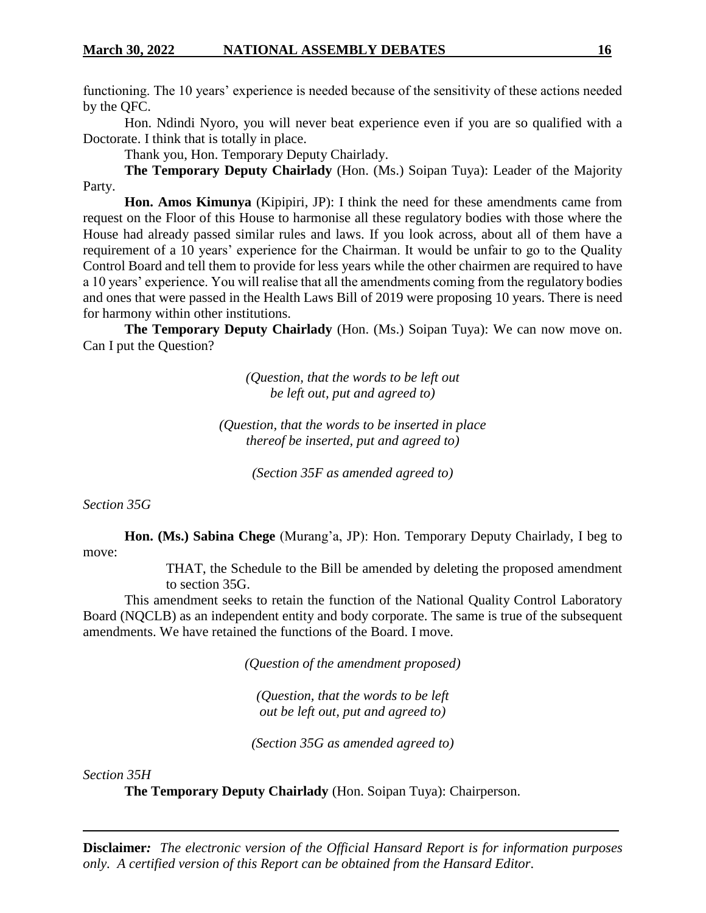functioning. The 10 years' experience is needed because of the sensitivity of these actions needed by the QFC.

Hon. Ndindi Nyoro, you will never beat experience even if you are so qualified with a Doctorate. I think that is totally in place.

Thank you, Hon. Temporary Deputy Chairlady.

**The Temporary Deputy Chairlady** (Hon. (Ms.) Soipan Tuya): Leader of the Majority Party.

**Hon. Amos Kimunya** (Kipipiri, JP): I think the need for these amendments came from request on the Floor of this House to harmonise all these regulatory bodies with those where the House had already passed similar rules and laws. If you look across, about all of them have a requirement of a 10 years' experience for the Chairman. It would be unfair to go to the Quality Control Board and tell them to provide for less years while the other chairmen are required to have a 10 years' experience. You will realise that all the amendments coming from the regulatory bodies and ones that were passed in the Health Laws Bill of 2019 were proposing 10 years. There is need for harmony within other institutions.

**The Temporary Deputy Chairlady** (Hon. (Ms.) Soipan Tuya): We can now move on. Can I put the Question?

> *(Question, that the words to be left out be left out, put and agreed to)*

*(Question, that the words to be inserted in place thereof be inserted, put and agreed to)*

*(Section 35F as amended agreed to)*

*Section 35G*

**Hon. (Ms.) Sabina Chege** (Murang'a, JP): Hon. Temporary Deputy Chairlady, I beg to move:

THAT, the Schedule to the Bill be amended by deleting the proposed amendment to section 35G.

This amendment seeks to retain the function of the National Quality Control Laboratory Board (NQCLB) as an independent entity and body corporate. The same is true of the subsequent amendments. We have retained the functions of the Board. I move.

*(Question of the amendment proposed)*

*(Question, that the words to be left out be left out, put and agreed to)*

*(Section 35G as amended agreed to)*

*Section 35H*

**The Temporary Deputy Chairlady** (Hon. Soipan Tuya): Chairperson.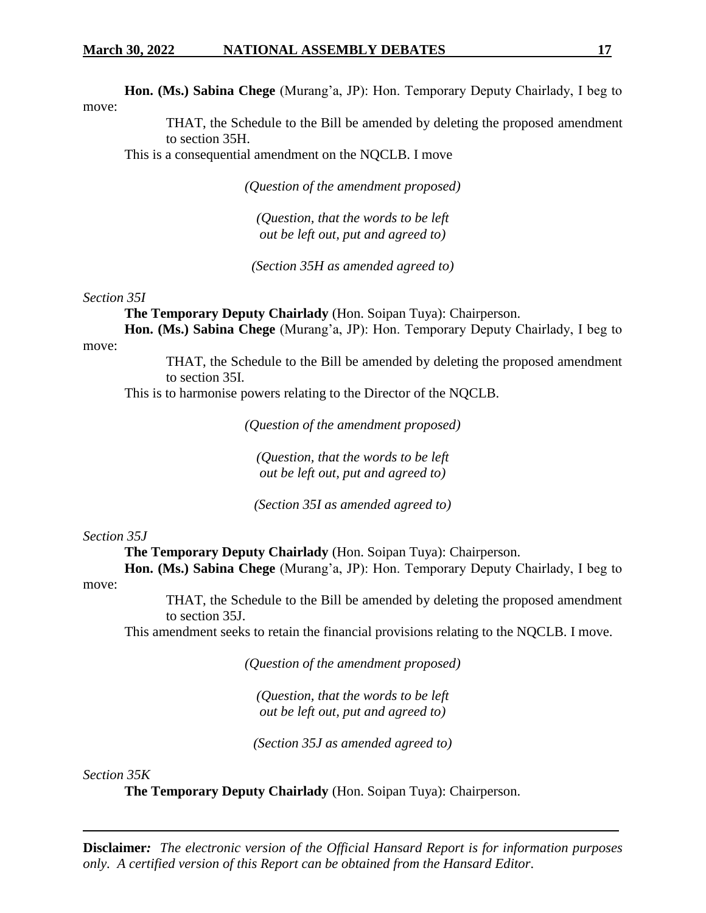**Hon. (Ms.) Sabina Chege** (Murang'a, JP): Hon. Temporary Deputy Chairlady, I beg to move:

> THAT, the Schedule to the Bill be amended by deleting the proposed amendment to section 35H.

This is a consequential amendment on the NQCLB. I move

*(Question of the amendment proposed)*

*(Question, that the words to be left out be left out, put and agreed to)*

*(Section 35H as amended agreed to)*

*Section 35I*

**The Temporary Deputy Chairlady** (Hon. Soipan Tuya): Chairperson.

**Hon. (Ms.) Sabina Chege** (Murang'a, JP): Hon. Temporary Deputy Chairlady, I beg to move:

> THAT, the Schedule to the Bill be amended by deleting the proposed amendment to section 35I.

This is to harmonise powers relating to the Director of the NQCLB.

*(Question of the amendment proposed)*

*(Question, that the words to be left out be left out, put and agreed to)*

*(Section 35I as amended agreed to)*

#### *Section 35J*

**The Temporary Deputy Chairlady** (Hon. Soipan Tuya): Chairperson.

**Hon. (Ms.) Sabina Chege** (Murang'a, JP): Hon. Temporary Deputy Chairlady, I beg to move:

> THAT, the Schedule to the Bill be amended by deleting the proposed amendment to section 35J.

This amendment seeks to retain the financial provisions relating to the NQCLB. I move.

*(Question of the amendment proposed)*

*(Question, that the words to be left out be left out, put and agreed to)*

*(Section 35J as amended agreed to)*

*Section 35K*

**The Temporary Deputy Chairlady** (Hon. Soipan Tuya): Chairperson.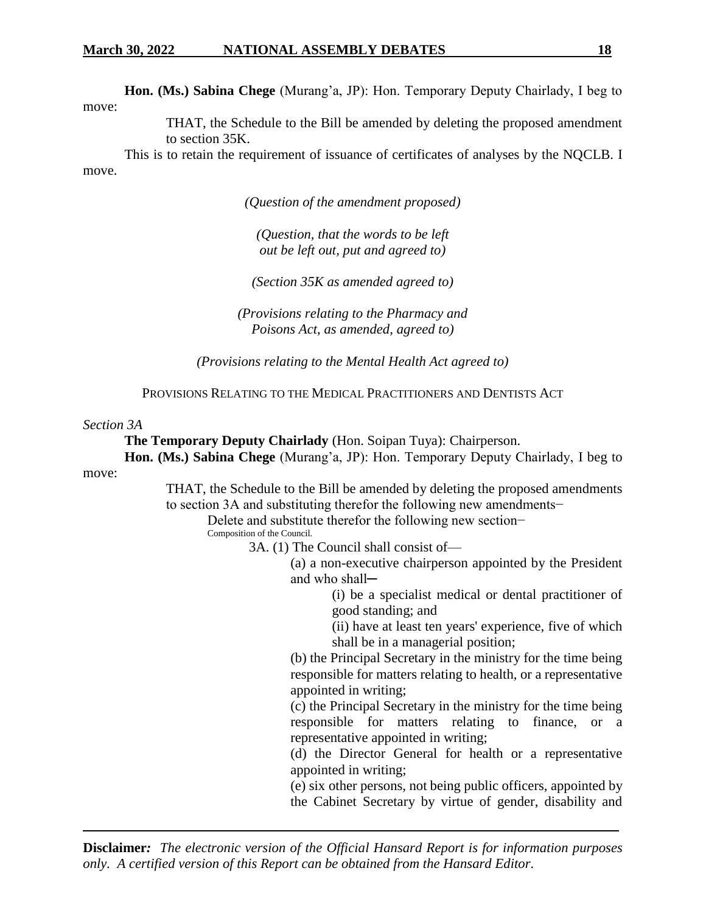**Hon. (Ms.) Sabina Chege** (Murang'a, JP): Hon. Temporary Deputy Chairlady, I beg to move:

> THAT, the Schedule to the Bill be amended by deleting the proposed amendment to section 35K.

This is to retain the requirement of issuance of certificates of analyses by the NQCLB. I move.

*(Question of the amendment proposed)*

*(Question, that the words to be left out be left out, put and agreed to)*

*(Section 35K as amended agreed to)*

*(Provisions relating to the Pharmacy and Poisons Act, as amended, agreed to)*

*(Provisions relating to the Mental Health Act agreed to)*

PROVISIONS RELATING TO THE MEDICAL PRACTITIONERS AND DENTISTS ACT

#### *Section 3A*

**The Temporary Deputy Chairlady** (Hon. Soipan Tuya): Chairperson.

**Hon. (Ms.) Sabina Chege** (Murang'a, JP): Hon. Temporary Deputy Chairlady, I beg to move:

> THAT, the Schedule to the Bill be amended by deleting the proposed amendments to section 3A and substituting therefor the following new amendments−

Delete and substitute therefor the following new section−

Composition of the Council.

3A. (1) The Council shall consist of—

(a) a non-executive chairperson appointed by the President and who shall─

> (i) be a specialist medical or dental practitioner of good standing; and

> (ii) have at least ten years' experience, five of which shall be in a managerial position;

(b) the Principal Secretary in the ministry for the time being responsible for matters relating to health, or a representative appointed in writing;

(c) the Principal Secretary in the ministry for the time being responsible for matters relating to finance, or a representative appointed in writing;

(d) the Director General for health or a representative appointed in writing;

(e) six other persons, not being public officers, appointed by the Cabinet Secretary by virtue of gender, disability and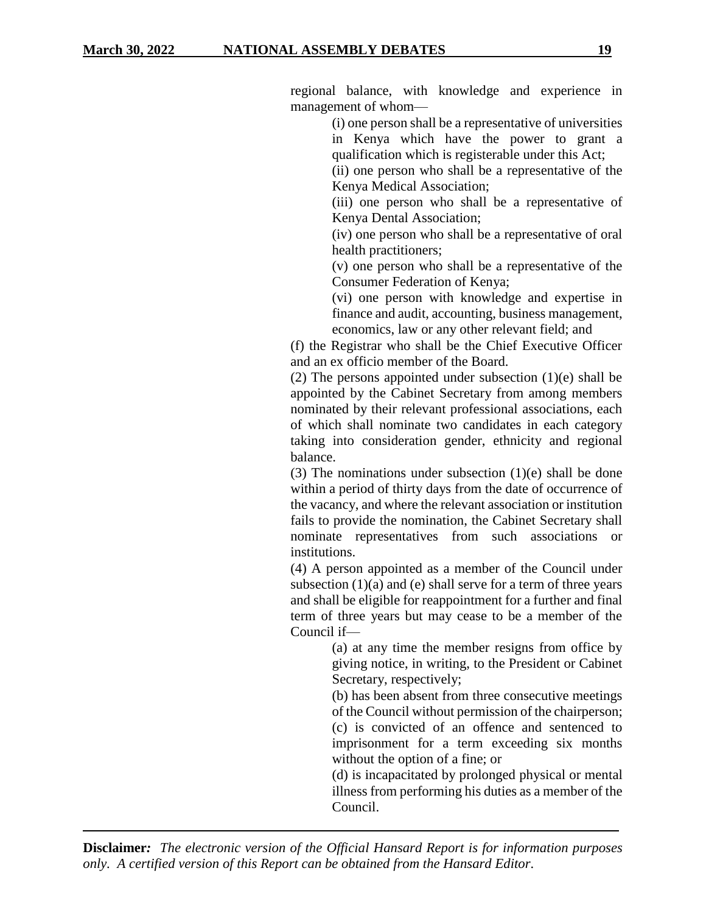regional balance, with knowledge and experience in management of whom—

> (i) one person shall be a representative of universities in Kenya which have the power to grant a qualification which is registerable under this Act;

(ii) one person who shall be a representative of the Kenya Medical Association;

(iii) one person who shall be a representative of Kenya Dental Association;

(iv) one person who shall be a representative of oral health practitioners;

(v) one person who shall be a representative of the Consumer Federation of Kenya;

(vi) one person with knowledge and expertise in finance and audit, accounting, business management, economics, law or any other relevant field; and

(f) the Registrar who shall be the Chief Executive Officer and an ex officio member of the Board.

(2) The persons appointed under subsection (1)(e) shall be appointed by the Cabinet Secretary from among members nominated by their relevant professional associations, each of which shall nominate two candidates in each category taking into consideration gender, ethnicity and regional balance.

(3) The nominations under subsection (1)(e) shall be done within a period of thirty days from the date of occurrence of the vacancy, and where the relevant association or institution fails to provide the nomination, the Cabinet Secretary shall nominate representatives from such associations or institutions.

(4) A person appointed as a member of the Council under subsection  $(1)(a)$  and  $(e)$  shall serve for a term of three years and shall be eligible for reappointment for a further and final term of three years but may cease to be a member of the Council if—

> (a) at any time the member resigns from office by giving notice, in writing, to the President or Cabinet Secretary, respectively;

> (b) has been absent from three consecutive meetings of the Council without permission of the chairperson; (c) is convicted of an offence and sentenced to imprisonment for a term exceeding six months without the option of a fine; or

> (d) is incapacitated by prolonged physical or mental illness from performing his duties as a member of the Council.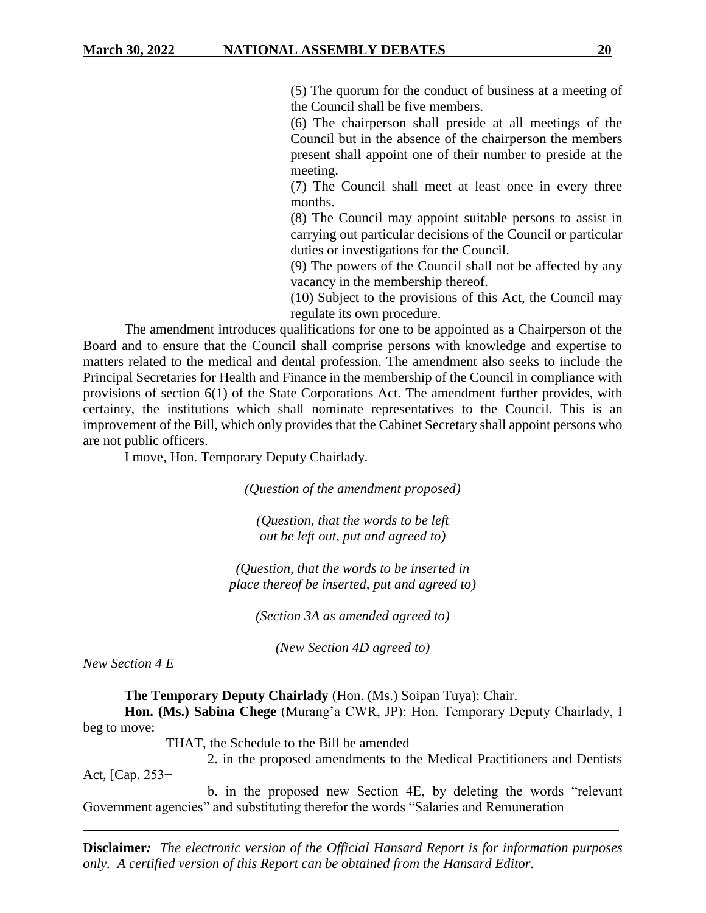(5) The quorum for the conduct of business at a meeting of the Council shall be five members.

(6) The chairperson shall preside at all meetings of the Council but in the absence of the chairperson the members present shall appoint one of their number to preside at the meeting.

(7) The Council shall meet at least once in every three months.

(8) The Council may appoint suitable persons to assist in carrying out particular decisions of the Council or particular duties or investigations for the Council.

(9) The powers of the Council shall not be affected by any vacancy in the membership thereof.

(10) Subject to the provisions of this Act, the Council may regulate its own procedure.

The amendment introduces qualifications for one to be appointed as a Chairperson of the Board and to ensure that the Council shall comprise persons with knowledge and expertise to matters related to the medical and dental profession. The amendment also seeks to include the Principal Secretaries for Health and Finance in the membership of the Council in compliance with provisions of section 6(1) of the State Corporations Act. The amendment further provides, with certainty, the institutions which shall nominate representatives to the Council. This is an improvement of the Bill, which only provides that the Cabinet Secretary shall appoint persons who are not public officers.

I move, Hon. Temporary Deputy Chairlady.

*(Question of the amendment proposed)*

*(Question, that the words to be left out be left out, put and agreed to)*

*(Question, that the words to be inserted in place thereof be inserted, put and agreed to)*

*(Section 3A as amended agreed to)*

*(New Section 4D agreed to)*

*New Section 4 E*

**The Temporary Deputy Chairlady** (Hon. (Ms.) Soipan Tuya): Chair.

**Hon. (Ms.) Sabina Chege** (Murang'a CWR, JP): Hon. Temporary Deputy Chairlady, I beg to move:

THAT, the Schedule to the Bill be amended —

2. in the proposed amendments to the Medical Practitioners and Dentists Act, [Cap. 253−

b. in the proposed new Section 4E, by deleting the words "relevant Government agencies" and substituting therefor the words "Salaries and Remuneration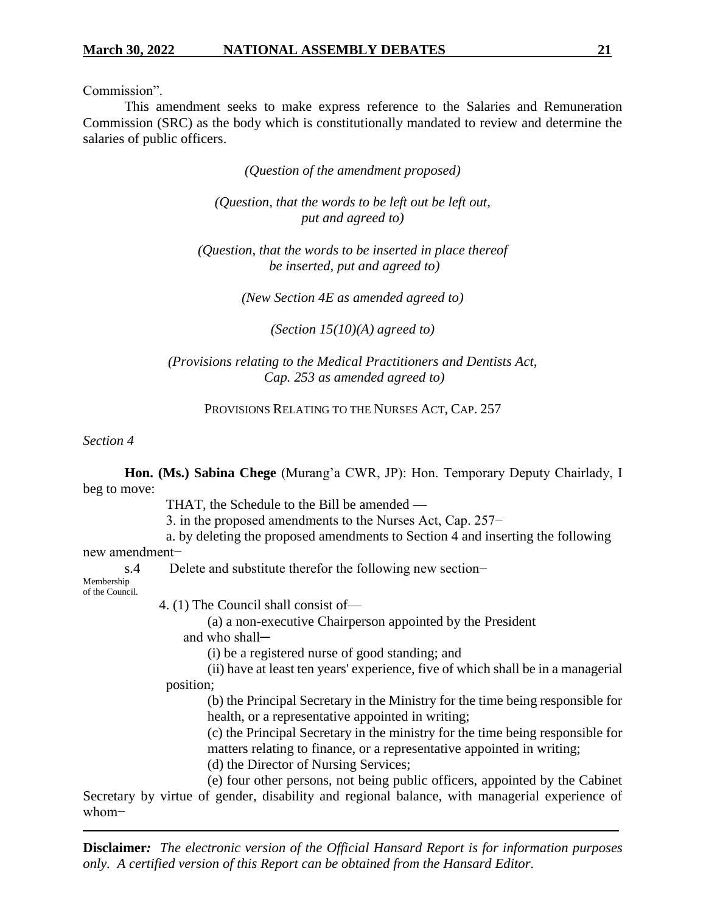Commission".

This amendment seeks to make express reference to the Salaries and Remuneration Commission (SRC) as the body which is constitutionally mandated to review and determine the salaries of public officers.

*(Question of the amendment proposed)*

*(Question, that the words to be left out be left out, put and agreed to)*

*(Question, that the words to be inserted in place thereof be inserted, put and agreed to)*

*(New Section 4E as amended agreed to)*

*(Section 15(10)(A) agreed to)*

*(Provisions relating to the Medical Practitioners and Dentists Act, Cap. 253 as amended agreed to)*

PROVISIONS RELATING TO THE NURSES ACT, CAP. 257

#### *Section 4*

**Hon. (Ms.) Sabina Chege** (Murang'a CWR, JP): Hon. Temporary Deputy Chairlady, I beg to move:

THAT, the Schedule to the Bill be amended —

3. in the proposed amendments to the Nurses Act, Cap. 257−

a. by deleting the proposed amendments to Section 4 and inserting the following

new amendment−

s.4 Delete and substitute therefor the following new section–

Membership of the Council.

4. (1) The Council shall consist of—

(a) a non-executive Chairperson appointed by the President and who shall-

(i) be a registered nurse of good standing; and

(ii) have at least ten years' experience, five of which shall be in a managerial position;

(b) the Principal Secretary in the Ministry for the time being responsible for health, or a representative appointed in writing;

(c) the Principal Secretary in the ministry for the time being responsible for matters relating to finance, or a representative appointed in writing;

(d) the Director of Nursing Services;

(e) four other persons, not being public officers, appointed by the Cabinet Secretary by virtue of gender, disability and regional balance, with managerial experience of whom−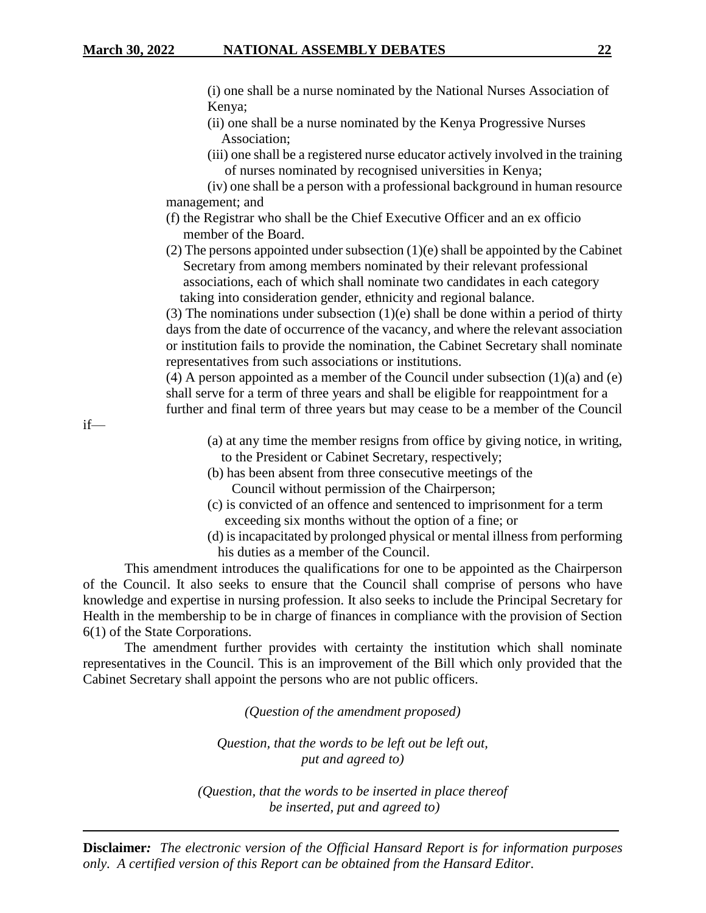(i) one shall be a nurse nominated by the National Nurses Association of Kenya;

- (ii) one shall be a nurse nominated by the Kenya Progressive Nurses Association;
- (iii) one shall be a registered nurse educator actively involved in the training of nurses nominated by recognised universities in Kenya;

(iv) one shall be a person with a professional background in human resource management; and

- (f) the Registrar who shall be the Chief Executive Officer and an ex officio member of the Board.
- (2) The persons appointed under subsection (1)(e) shall be appointed by the Cabinet Secretary from among members nominated by their relevant professional associations, each of which shall nominate two candidates in each category taking into consideration gender, ethnicity and regional balance.

(3) The nominations under subsection  $(1)(e)$  shall be done within a period of thirty days from the date of occurrence of the vacancy, and where the relevant association or institution fails to provide the nomination, the Cabinet Secretary shall nominate representatives from such associations or institutions.

(4) A person appointed as a member of the Council under subsection  $(1)(a)$  and  $(e)$ shall serve for a term of three years and shall be eligible for reappointment for a further and final term of three years but may cease to be a member of the Council

if—

- (a) at any time the member resigns from office by giving notice, in writing, to the President or Cabinet Secretary, respectively;
- (b) has been absent from three consecutive meetings of the Council without permission of the Chairperson;
- (c) is convicted of an offence and sentenced to imprisonment for a term exceeding six months without the option of a fine; or
- (d) is incapacitated by prolonged physical or mental illness from performing his duties as a member of the Council.

This amendment introduces the qualifications for one to be appointed as the Chairperson of the Council. It also seeks to ensure that the Council shall comprise of persons who have knowledge and expertise in nursing profession. It also seeks to include the Principal Secretary for Health in the membership to be in charge of finances in compliance with the provision of Section 6(1) of the State Corporations.

The amendment further provides with certainty the institution which shall nominate representatives in the Council. This is an improvement of the Bill which only provided that the Cabinet Secretary shall appoint the persons who are not public officers.

*(Question of the amendment proposed)*

*Question, that the words to be left out be left out, put and agreed to)*

*(Question, that the words to be inserted in place thereof be inserted, put and agreed to)*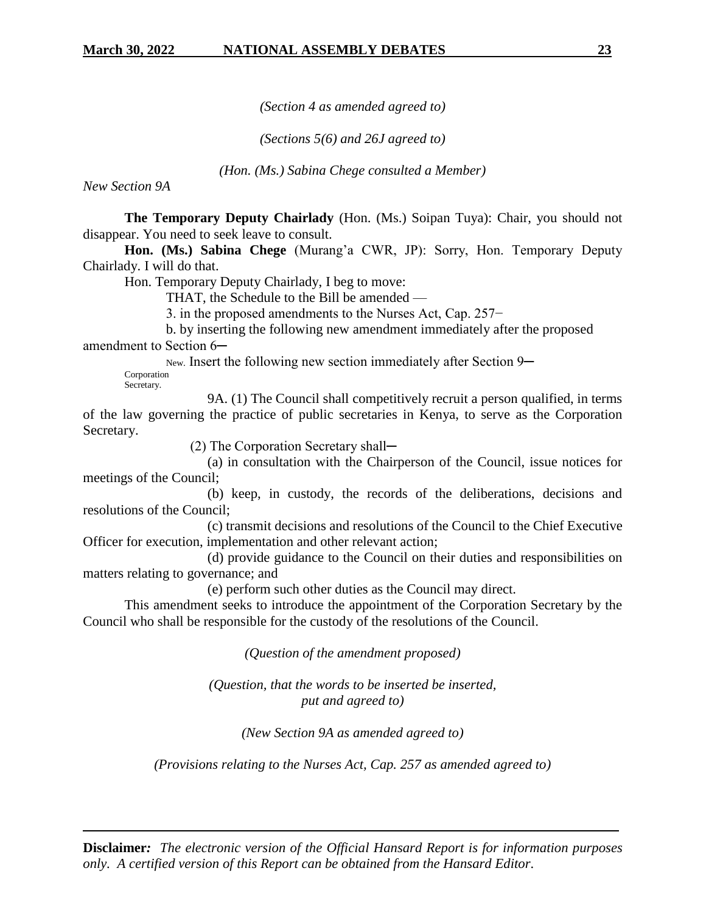*(Section 4 as amended agreed to)*

*(Sections 5(6) and 26J agreed to)*

*(Hon. (Ms.) Sabina Chege consulted a Member)*

*New Section 9A*

**The Temporary Deputy Chairlady** (Hon. (Ms.) Soipan Tuya): Chair, you should not disappear. You need to seek leave to consult.

**Hon. (Ms.) Sabina Chege** (Murang'a CWR, JP): Sorry, Hon. Temporary Deputy Chairlady. I will do that.

Hon. Temporary Deputy Chairlady, I beg to move:

THAT, the Schedule to the Bill be amended —

3. in the proposed amendments to the Nurses Act, Cap. 257−

b. by inserting the following new amendment immediately after the proposed amendment to Section 6-

New. Insert the following new section immediately after Section 9—

Corporation Secretary.

9A. (1) The Council shall competitively recruit a person qualified, in terms of the law governing the practice of public secretaries in Kenya, to serve as the Corporation Secretary.

(2) The Corporation Secretary shall—

(a) in consultation with the Chairperson of the Council, issue notices for meetings of the Council;

(b) keep, in custody, the records of the deliberations, decisions and resolutions of the Council;

(c) transmit decisions and resolutions of the Council to the Chief Executive Officer for execution, implementation and other relevant action;

(d) provide guidance to the Council on their duties and responsibilities on matters relating to governance; and

(e) perform such other duties as the Council may direct.

This amendment seeks to introduce the appointment of the Corporation Secretary by the Council who shall be responsible for the custody of the resolutions of the Council.

*(Question of the amendment proposed)*

*(Question, that the words to be inserted be inserted, put and agreed to)*

*(New Section 9A as amended agreed to)*

*(Provisions relating to the Nurses Act, Cap. 257 as amended agreed to)*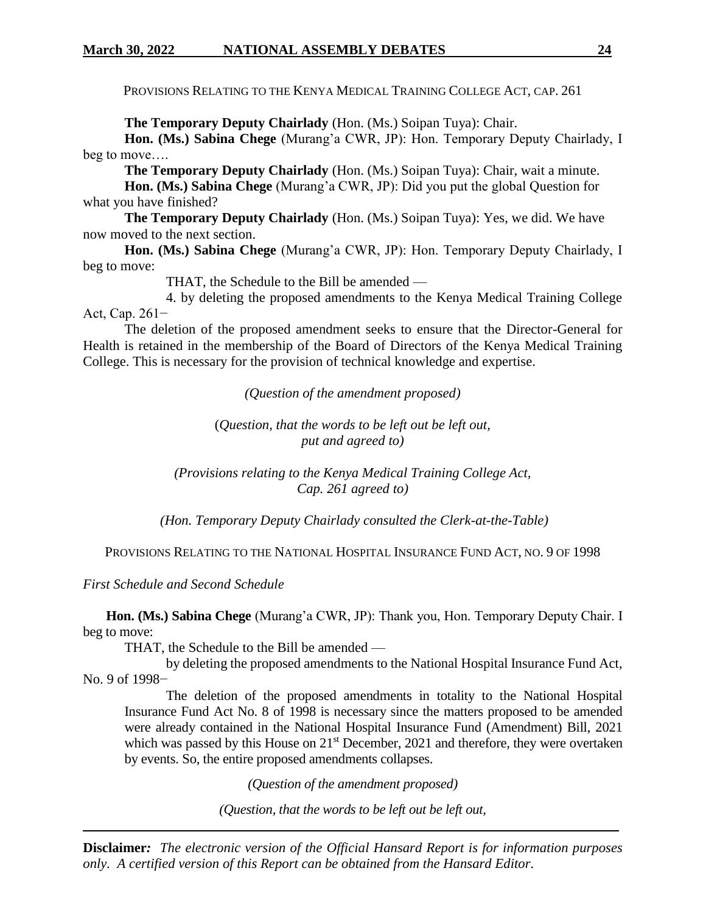PROVISIONS RELATING TO THE KENYA MEDICAL TRAINING COLLEGE ACT, CAP. 261

**The Temporary Deputy Chairlady** (Hon. (Ms.) Soipan Tuya): Chair.

**Hon. (Ms.) Sabina Chege** (Murang'a CWR, JP): Hon. Temporary Deputy Chairlady, I beg to move….

**The Temporary Deputy Chairlady** (Hon. (Ms.) Soipan Tuya): Chair, wait a minute.

**Hon. (Ms.) Sabina Chege** (Murang'a CWR, JP): Did you put the global Question for what you have finished?

**The Temporary Deputy Chairlady** (Hon. (Ms.) Soipan Tuya): Yes, we did. We have now moved to the next section.

**Hon. (Ms.) Sabina Chege** (Murang'a CWR, JP): Hon. Temporary Deputy Chairlady, I beg to move:

THAT, the Schedule to the Bill be amended —

4. by deleting the proposed amendments to the Kenya Medical Training College Act, Cap. 261−

The deletion of the proposed amendment seeks to ensure that the Director-General for Health is retained in the membership of the Board of Directors of the Kenya Medical Training College. This is necessary for the provision of technical knowledge and expertise.

*(Question of the amendment proposed)*

(*Question, that the words to be left out be left out, put and agreed to)*

*(Provisions relating to the Kenya Medical Training College Act, Cap. 261 agreed to)*

*(Hon. Temporary Deputy Chairlady consulted the Clerk-at-the-Table)*

PROVISIONS RELATING TO THE NATIONAL HOSPITAL INSURANCE FUND ACT, NO. 9 OF 1998

*First Schedule and Second Schedule* 

 **Hon. (Ms.) Sabina Chege** (Murang'a CWR, JP): Thank you, Hon. Temporary Deputy Chair. I beg to move:

THAT, the Schedule to the Bill be amended —

by deleting the proposed amendments to the National Hospital Insurance Fund Act, No. 9 of 1998–

The deletion of the proposed amendments in totality to the National Hospital Insurance Fund Act No. 8 of 1998 is necessary since the matters proposed to be amended were already contained in the National Hospital Insurance Fund (Amendment) Bill, 2021 which was passed by this House on  $21<sup>st</sup>$  December, 2021 and therefore, they were overtaken by events. So, the entire proposed amendments collapses.

*(Question of the amendment proposed)*

*(Question, that the words to be left out be left out,*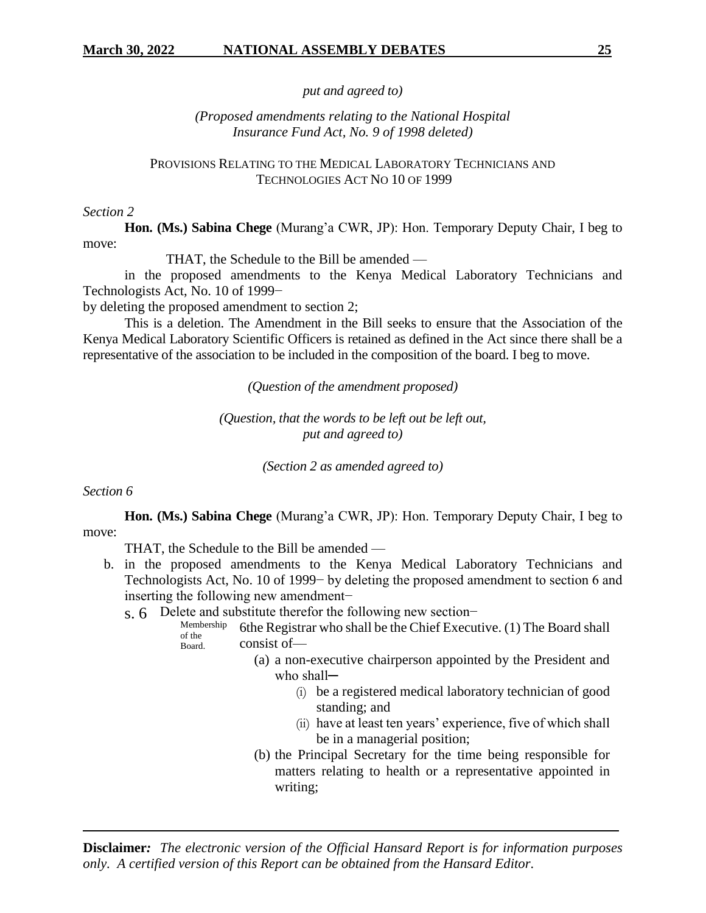*put and agreed to)*

*(Proposed amendments relating to the National Hospital Insurance Fund Act, No. 9 of 1998 deleted)*

PROVISIONS RELATING TO THE MEDICAL LABORATORY TECHNICIANS AND TECHNOLOGIES ACT NO 10 OF 1999

#### *Section 2*

**Hon. (Ms.) Sabina Chege** (Murang'a CWR, JP): Hon. Temporary Deputy Chair, I beg to move:

THAT, the Schedule to the Bill be amended —

in the proposed amendments to the Kenya Medical Laboratory Technicians and Technologists Act, No. 10 of 1999−

by deleting the proposed amendment to section 2;

This is a deletion. The Amendment in the Bill seeks to ensure that the Association of the Kenya Medical Laboratory Scientific Officers is retained as defined in the Act since there shall be a representative of the association to be included in the composition of the board. I beg to move.

*(Question of the amendment proposed)*

*(Question, that the words to be left out be left out, put and agreed to)*

*(Section 2 as amended agreed to)*

#### *Section 6*

**Hon. (Ms.) Sabina Chege** (Murang'a CWR, JP): Hon. Temporary Deputy Chair, I beg to move:

THAT, the Schedule to the Bill be amended —

- b. in the proposed amendments to the Kenya Medical Laboratory Technicians and Technologists Act, No. 10 of 1999− by deleting the proposed amendment to section 6 and inserting the following new amendment−
	- s. 6 Delete and substitute therefor the following new section−
		- Membership of the Board. 6the Registrar who shall be the Chief Executive. (1) The Board shall consist of—
			- (a) a non-executive chairperson appointed by the President and who shall-
				- (i) be a registered medical laboratory technician of good standing; and
				- (ii) have at least ten years' experience, five of which shall be in a managerial position;
			- (b) the Principal Secretary for the time being responsible for matters relating to health or a representative appointed in writing;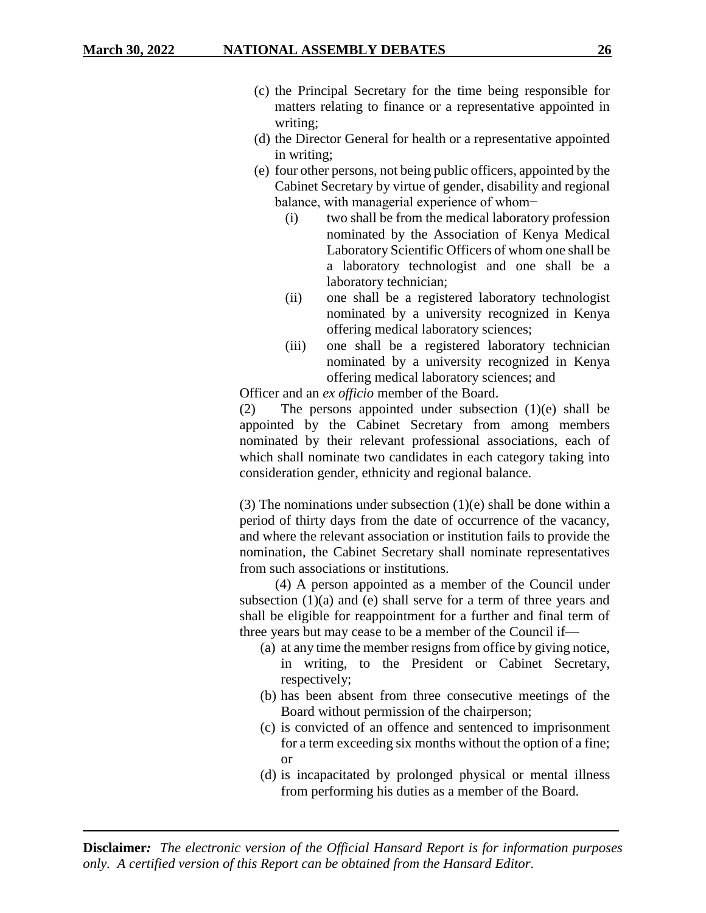- (c) the Principal Secretary for the time being responsible for matters relating to finance or a representative appointed in writing;
- (d) the Director General for health or a representative appointed in writing;
- (e) four other persons, not being public officers, appointed by the Cabinet Secretary by virtue of gender, disability and regional balance, with managerial experience of whom−
	- (i) two shall be from the medical laboratory profession nominated by the Association of Kenya Medical Laboratory Scientific Officers of whom one shall be a laboratory technologist and one shall be a laboratory technician;
	- (ii) one shall be a registered laboratory technologist nominated by a university recognized in Kenya offering medical laboratory sciences;
	- (iii) one shall be a registered laboratory technician nominated by a university recognized in Kenya offering medical laboratory sciences; and

Officer and an *ex officio* member of the Board.

(2) The persons appointed under subsection (1)(e) shall be appointed by the Cabinet Secretary from among members nominated by their relevant professional associations, each of which shall nominate two candidates in each category taking into consideration gender, ethnicity and regional balance.

(3) The nominations under subsection  $(1)(e)$  shall be done within a period of thirty days from the date of occurrence of the vacancy, and where the relevant association or institution fails to provide the nomination, the Cabinet Secretary shall nominate representatives from such associations or institutions.

 (4) A person appointed as a member of the Council under subsection (1)(a) and (e) shall serve for a term of three years and shall be eligible for reappointment for a further and final term of three years but may cease to be a member of the Council if—

- (a) at any time the member resigns from office by giving notice, in writing, to the President or Cabinet Secretary, respectively;
- (b) has been absent from three consecutive meetings of the Board without permission of the chairperson;
- (c) is convicted of an offence and sentenced to imprisonment for a term exceeding six months without the option of a fine; or
- (d) is incapacitated by prolonged physical or mental illness from performing his duties as a member of the Board.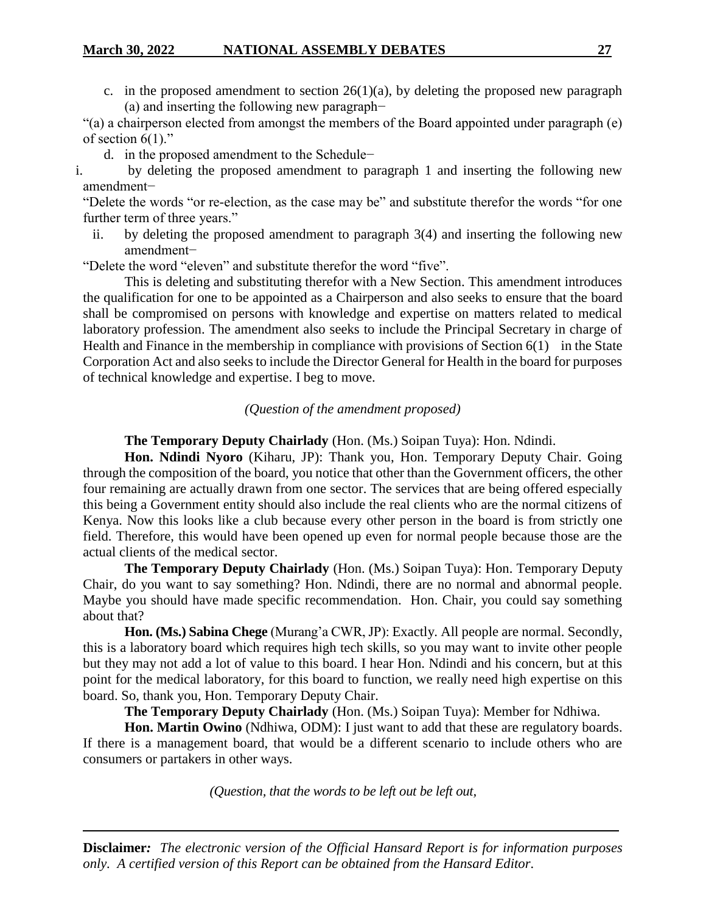c. in the proposed amendment to section  $26(1)(a)$ , by deleting the proposed new paragraph (a) and inserting the following new paragraph−

"(a) a chairperson elected from amongst the members of the Board appointed under paragraph (e) of section  $6(1)$ ."

d. in the proposed amendment to the Schedule−

i. by deleting the proposed amendment to paragraph 1 and inserting the following new amendment−

"Delete the words "or re-election, as the case may be" and substitute therefor the words "for one further term of three years."

ii. by deleting the proposed amendment to paragraph 3(4) and inserting the following new amendment−

"Delete the word "eleven" and substitute therefor the word "five".

This is deleting and substituting therefor with a New Section. This amendment introduces the qualification for one to be appointed as a Chairperson and also seeks to ensure that the board shall be compromised on persons with knowledge and expertise on matters related to medical laboratory profession. The amendment also seeks to include the Principal Secretary in charge of Health and Finance in the membership in compliance with provisions of Section 6(1) in the State Corporation Act and also seeks to include the Director General for Health in the board for purposes of technical knowledge and expertise. I beg to move.

#### *(Question of the amendment proposed)*

**The Temporary Deputy Chairlady** (Hon. (Ms.) Soipan Tuya): Hon. Ndindi.

**Hon. Ndindi Nyoro** (Kiharu, JP): Thank you, Hon. Temporary Deputy Chair. Going through the composition of the board, you notice that other than the Government officers, the other four remaining are actually drawn from one sector. The services that are being offered especially this being a Government entity should also include the real clients who are the normal citizens of Kenya. Now this looks like a club because every other person in the board is from strictly one field. Therefore, this would have been opened up even for normal people because those are the actual clients of the medical sector.

**The Temporary Deputy Chairlady** (Hon. (Ms.) Soipan Tuya): Hon. Temporary Deputy Chair, do you want to say something? Hon. Ndindi, there are no normal and abnormal people. Maybe you should have made specific recommendation. Hon. Chair, you could say something about that?

**Hon. (Ms.) Sabina Chege** (Murang'a CWR, JP): Exactly. All people are normal. Secondly, this is a laboratory board which requires high tech skills, so you may want to invite other people but they may not add a lot of value to this board. I hear Hon. Ndindi and his concern, but at this point for the medical laboratory, for this board to function, we really need high expertise on this board. So, thank you, Hon. Temporary Deputy Chair.

**The Temporary Deputy Chairlady** (Hon. (Ms.) Soipan Tuya): Member for Ndhiwa.

**Hon. Martin Owino** (Ndhiwa, ODM): I just want to add that these are regulatory boards. If there is a management board, that would be a different scenario to include others who are consumers or partakers in other ways.

*(Question, that the words to be left out be left out,*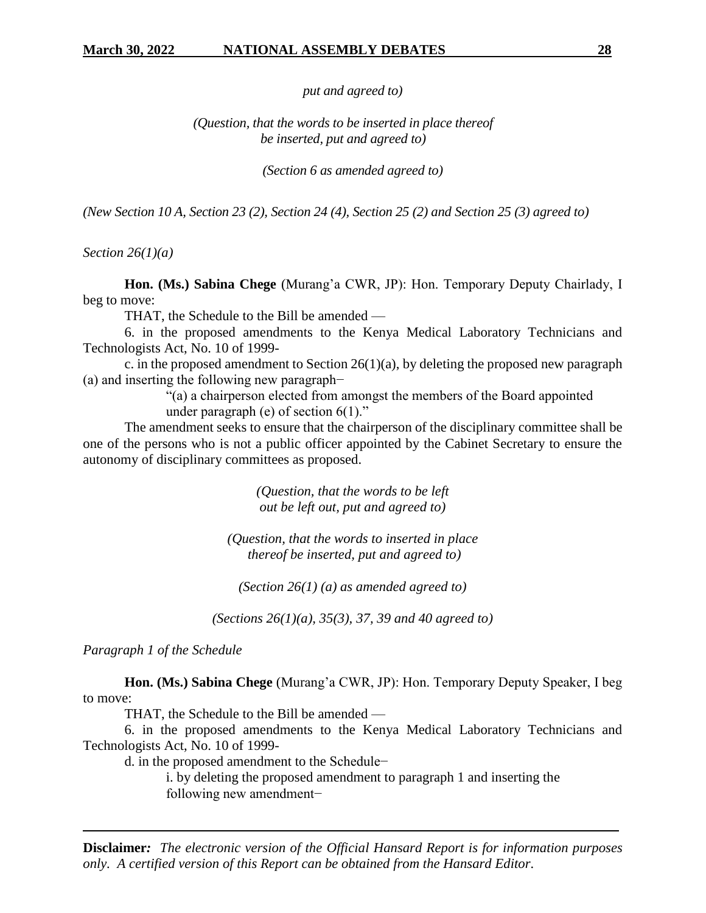*put and agreed to)*

*(Question, that the words to be inserted in place thereof be inserted, put and agreed to)* 

*(Section 6 as amended agreed to)*

*(New Section 10 A, Section 23 (2), Section 24 (4), Section 25 (2) and Section 25 (3) agreed to)*

*Section 26(1)(a)*

**Hon. (Ms.) Sabina Chege** (Murang'a CWR, JP): Hon. Temporary Deputy Chairlady, I beg to move:

THAT, the Schedule to the Bill be amended —

6. in the proposed amendments to the Kenya Medical Laboratory Technicians and Technologists Act, No. 10 of 1999-

c. in the proposed amendment to Section  $26(1)(a)$ , by deleting the proposed new paragraph (a) and inserting the following new paragraph−

"(a) a chairperson elected from amongst the members of the Board appointed under paragraph (e) of section  $6(1)$ ."

The amendment seeks to ensure that the chairperson of the disciplinary committee shall be one of the persons who is not a public officer appointed by the Cabinet Secretary to ensure the autonomy of disciplinary committees as proposed.

> *(Question, that the words to be left out be left out, put and agreed to)*

*(Question, that the words to inserted in place thereof be inserted, put and agreed to)*

*(Section 26(1) (a) as amended agreed to)*

*(Sections 26(1)(a), 35(3), 37, 39 and 40 agreed to)*

*Paragraph 1 of the Schedule*

**Hon. (Ms.) Sabina Chege** (Murang'a CWR, JP): Hon. Temporary Deputy Speaker, I beg to move:

THAT, the Schedule to the Bill be amended —

6. in the proposed amendments to the Kenya Medical Laboratory Technicians and Technologists Act, No. 10 of 1999-

d. in the proposed amendment to the Schedule−

i. by deleting the proposed amendment to paragraph 1 and inserting the following new amendment−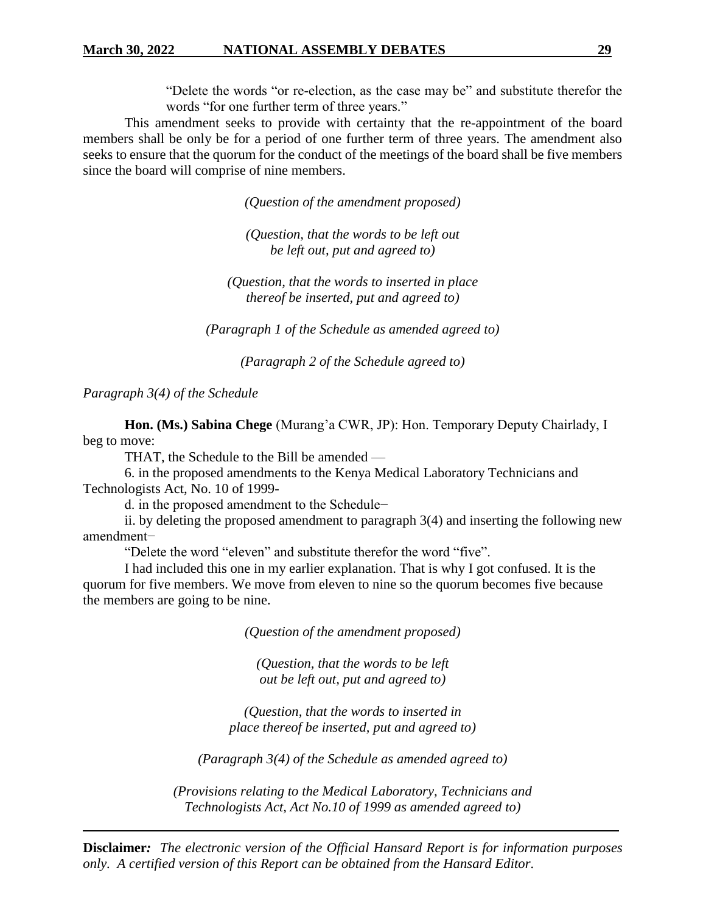"Delete the words "or re-election, as the case may be" and substitute therefor the words "for one further term of three years."

This amendment seeks to provide with certainty that the re-appointment of the board members shall be only be for a period of one further term of three years. The amendment also seeks to ensure that the quorum for the conduct of the meetings of the board shall be five members since the board will comprise of nine members.

*(Question of the amendment proposed)*

*(Question, that the words to be left out be left out, put and agreed to)*

*(Question, that the words to inserted in place thereof be inserted, put and agreed to)*

*(Paragraph 1 of the Schedule as amended agreed to)*

*(Paragraph 2 of the Schedule agreed to)*

*Paragraph 3(4) of the Schedule*

**Hon. (Ms.) Sabina Chege** (Murang'a CWR, JP): Hon. Temporary Deputy Chairlady, I beg to move:

THAT, the Schedule to the Bill be amended —

6. in the proposed amendments to the Kenya Medical Laboratory Technicians and Technologists Act, No. 10 of 1999-

d. in the proposed amendment to the Schedule−

ii. by deleting the proposed amendment to paragraph 3(4) and inserting the following new amendment−

"Delete the word "eleven" and substitute therefor the word "five".

I had included this one in my earlier explanation. That is why I got confused. It is the quorum for five members. We move from eleven to nine so the quorum becomes five because the members are going to be nine.

*(Question of the amendment proposed)*

*(Question, that the words to be left out be left out, put and agreed to)*

*(Question, that the words to inserted in place thereof be inserted, put and agreed to)*

*(Paragraph 3(4) of the Schedule as amended agreed to)*

*(Provisions relating to the Medical Laboratory, Technicians and Technologists Act, Act No.10 of 1999 as amended agreed to)*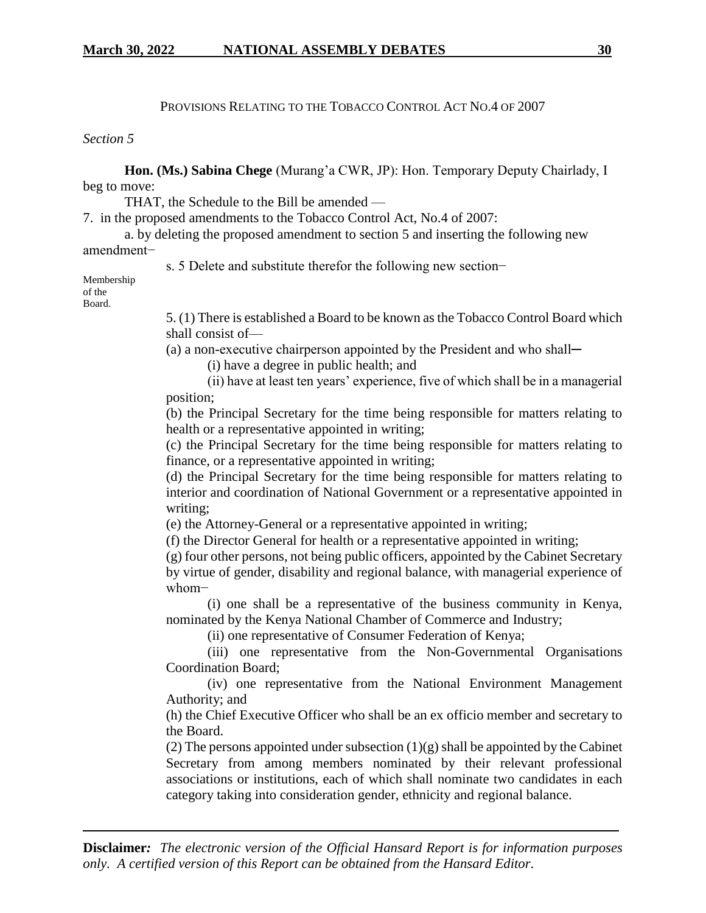### PROVISIONS RELATING TO THE TOBACCO CONTROL ACT NO.4 OF 2007

#### *Section 5*

**Hon. (Ms.) Sabina Chege** (Murang'a CWR, JP): Hon. Temporary Deputy Chairlady, I beg to move:

THAT, the Schedule to the Bill be amended —

7. in the proposed amendments to the Tobacco Control Act, No.4 of 2007:

a. by deleting the proposed amendment to section 5 and inserting the following new amendment−

s. 5 Delete and substitute therefor the following new section−

Membership of the Board.

> 5. (1) There is established a Board to be known as the Tobacco Control Board which shall consist of—

(a) a non-executive chairperson appointed by the President and who shall-

(i) have a degree in public health; and

(ii) have at least ten years' experience, five of which shall be in a managerial position;

(b) the Principal Secretary for the time being responsible for matters relating to health or a representative appointed in writing;

(c) the Principal Secretary for the time being responsible for matters relating to finance, or a representative appointed in writing;

(d) the Principal Secretary for the time being responsible for matters relating to interior and coordination of National Government or a representative appointed in writing;

(e) the Attorney-General or a representative appointed in writing;

(f) the Director General for health or a representative appointed in writing;

(g) four other persons, not being public officers, appointed by the Cabinet Secretary by virtue of gender, disability and regional balance, with managerial experience of whom−

(i) one shall be a representative of the business community in Kenya, nominated by the Kenya National Chamber of Commerce and Industry;

(ii) one representative of Consumer Federation of Kenya;

(iii) one representative from the Non-Governmental Organisations Coordination Board;

(iv) one representative from the National Environment Management Authority; and

(h) the Chief Executive Officer who shall be an ex officio member and secretary to the Board.

(2) The persons appointed under subsection  $(1)(g)$  shall be appointed by the Cabinet Secretary from among members nominated by their relevant professional associations or institutions, each of which shall nominate two candidates in each category taking into consideration gender, ethnicity and regional balance.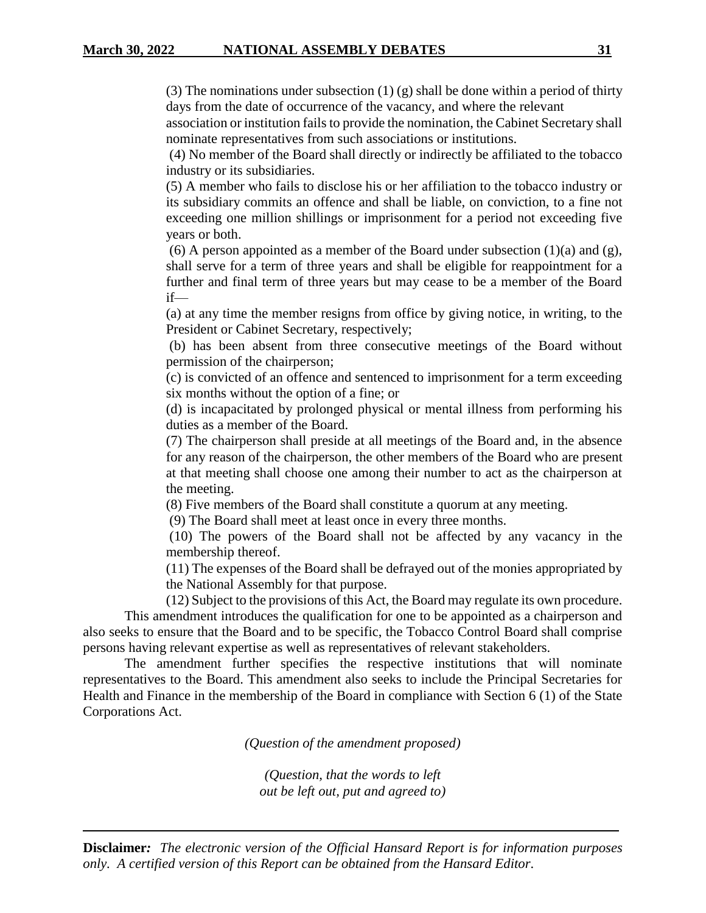(3) The nominations under subsection  $(1)$  (g) shall be done within a period of thirty days from the date of occurrence of the vacancy, and where the relevant

association or institution fails to provide the nomination, the Cabinet Secretary shall nominate representatives from such associations or institutions.

(4) No member of the Board shall directly or indirectly be affiliated to the tobacco industry or its subsidiaries.

(5) A member who fails to disclose his or her affiliation to the tobacco industry or its subsidiary commits an offence and shall be liable, on conviction, to a fine not exceeding one million shillings or imprisonment for a period not exceeding five years or both.

(6) A person appointed as a member of the Board under subsection  $(1)(a)$  and  $(g)$ , shall serve for a term of three years and shall be eligible for reappointment for a further and final term of three years but may cease to be a member of the Board if—

(a) at any time the member resigns from office by giving notice, in writing, to the President or Cabinet Secretary, respectively;

(b) has been absent from three consecutive meetings of the Board without permission of the chairperson;

(c) is convicted of an offence and sentenced to imprisonment for a term exceeding six months without the option of a fine; or

(d) is incapacitated by prolonged physical or mental illness from performing his duties as a member of the Board.

(7) The chairperson shall preside at all meetings of the Board and, in the absence for any reason of the chairperson, the other members of the Board who are present at that meeting shall choose one among their number to act as the chairperson at the meeting.

(8) Five members of the Board shall constitute a quorum at any meeting.

(9) The Board shall meet at least once in every three months.

(10) The powers of the Board shall not be affected by any vacancy in the membership thereof.

(11) The expenses of the Board shall be defrayed out of the monies appropriated by the National Assembly for that purpose.

(12) Subject to the provisions of this Act, the Board may regulate its own procedure.

This amendment introduces the qualification for one to be appointed as a chairperson and also seeks to ensure that the Board and to be specific, the Tobacco Control Board shall comprise persons having relevant expertise as well as representatives of relevant stakeholders.

The amendment further specifies the respective institutions that will nominate representatives to the Board. This amendment also seeks to include the Principal Secretaries for Health and Finance in the membership of the Board in compliance with Section 6 (1) of the State Corporations Act.

*(Question of the amendment proposed)*

*(Question, that the words to left out be left out, put and agreed to)*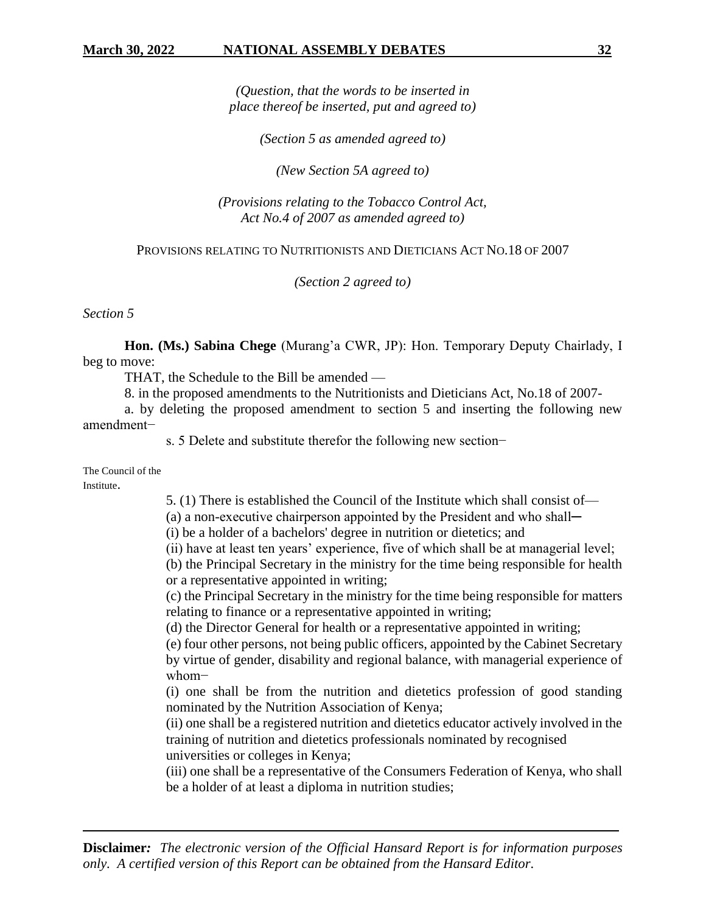*(Question, that the words to be inserted in place thereof be inserted, put and agreed to)*

*(Section 5 as amended agreed to)*

*(New Section 5A agreed to)*

*(Provisions relating to the Tobacco Control Act, Act No.4 of 2007 as amended agreed to)*

### PROVISIONS RELATING TO NUTRITIONISTS AND DIETICIANS ACT NO.18 OF 2007

*(Section 2 agreed to)*

*Section 5*

**Hon. (Ms.) Sabina Chege** (Murang'a CWR, JP): Hon. Temporary Deputy Chairlady, I beg to move:

THAT, the Schedule to the Bill be amended —

8. in the proposed amendments to the Nutritionists and Dieticians Act, No.18 of 2007-

a. by deleting the proposed amendment to section 5 and inserting the following new amendment−

s. 5 Delete and substitute therefor the following new section−

The Council of the

Institute.

5. (1) There is established the Council of the Institute which shall consist of—

 $(a)$  a non-executive chairperson appointed by the President and who shall—

(i) be a holder of a bachelors' degree in nutrition or dietetics; and

(ii) have at least ten years' experience, five of which shall be at managerial level;

(b) the Principal Secretary in the ministry for the time being responsible for health or a representative appointed in writing;

(c) the Principal Secretary in the ministry for the time being responsible for matters relating to finance or a representative appointed in writing;

(d) the Director General for health or a representative appointed in writing;

(e) four other persons, not being public officers, appointed by the Cabinet Secretary by virtue of gender, disability and regional balance, with managerial experience of whom−

(i) one shall be from the nutrition and dietetics profession of good standing nominated by the Nutrition Association of Kenya;

(ii) one shall be a registered nutrition and dietetics educator actively involved in the training of nutrition and dietetics professionals nominated by recognised universities or colleges in Kenya;

(iii) one shall be a representative of the Consumers Federation of Kenya, who shall be a holder of at least a diploma in nutrition studies;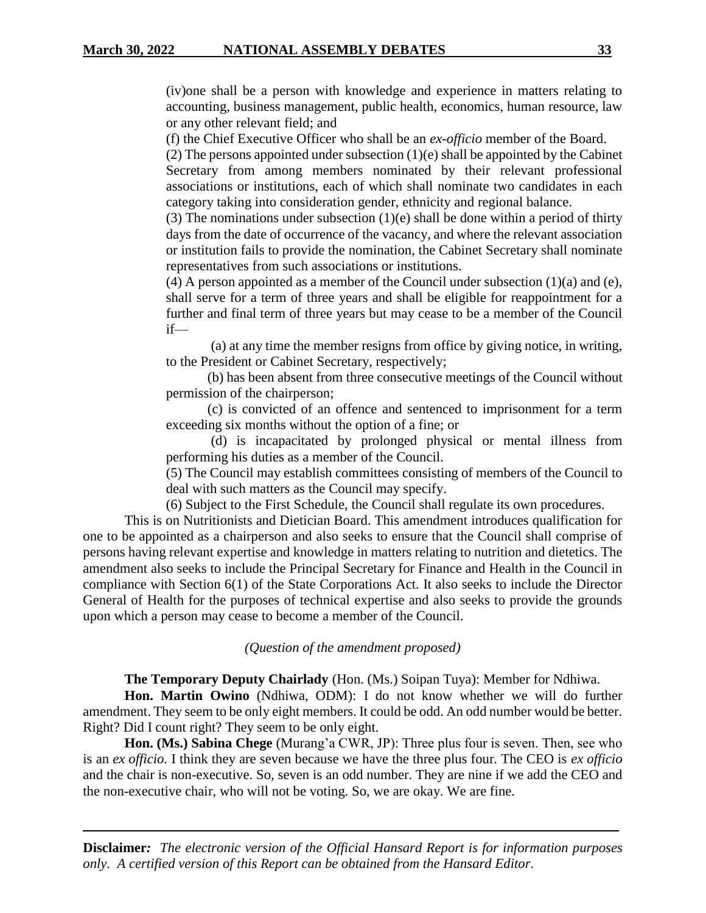(iv)one shall be a person with knowledge and experience in matters relating to accounting, business management, public health, economics, human resource, law or any other relevant field; and

(f) the Chief Executive Officer who shall be an *ex-officio* member of the Board.

(2) The persons appointed under subsection (1)(e) shall be appointed by the Cabinet Secretary from among members nominated by their relevant professional associations or institutions, each of which shall nominate two candidates in each category taking into consideration gender, ethnicity and regional balance.

(3) The nominations under subsection  $(1)(e)$  shall be done within a period of thirty days from the date of occurrence of the vacancy, and where the relevant association or institution fails to provide the nomination, the Cabinet Secretary shall nominate representatives from such associations or institutions.

(4) A person appointed as a member of the Council under subsection  $(1)(a)$  and (e), shall serve for a term of three years and shall be eligible for reappointment for a further and final term of three years but may cease to be a member of the Council if—

(a) at any time the member resigns from office by giving notice, in writing, to the President or Cabinet Secretary, respectively;

(b) has been absent from three consecutive meetings of the Council without permission of the chairperson;

(c) is convicted of an offence and sentenced to imprisonment for a term exceeding six months without the option of a fine; or

(d) is incapacitated by prolonged physical or mental illness from performing his duties as a member of the Council.

(5) The Council may establish committees consisting of members of the Council to deal with such matters as the Council may specify.

(6) Subject to the First Schedule, the Council shall regulate its own procedures.

This is on Nutritionists and Dietician Board. This amendment introduces qualification for one to be appointed as a chairperson and also seeks to ensure that the Council shall comprise of persons having relevant expertise and knowledge in matters relating to nutrition and dietetics. The amendment also seeks to include the Principal Secretary for Finance and Health in the Council in compliance with Section 6(1) of the State Corporations Act. It also seeks to include the Director General of Health for the purposes of technical expertise and also seeks to provide the grounds upon which a person may cease to become a member of the Council.

*(Question of the amendment proposed)*

**The Temporary Deputy Chairlady** (Hon. (Ms.) Soipan Tuya): Member for Ndhiwa.

**Hon. Martin Owino** (Ndhiwa, ODM): I do not know whether we will do further amendment. They seem to be only eight members. It could be odd. An odd number would be better. Right? Did I count right? They seem to be only eight.

**Hon. (Ms.) Sabina Chege** (Murang'a CWR, JP): Three plus four is seven. Then, see who is an *ex officio.* I think they are seven because we have the three plus four. The CEO is *ex officio* and the chair is non-executive. So, seven is an odd number. They are nine if we add the CEO and the non-executive chair, who will not be voting. So, we are okay. We are fine.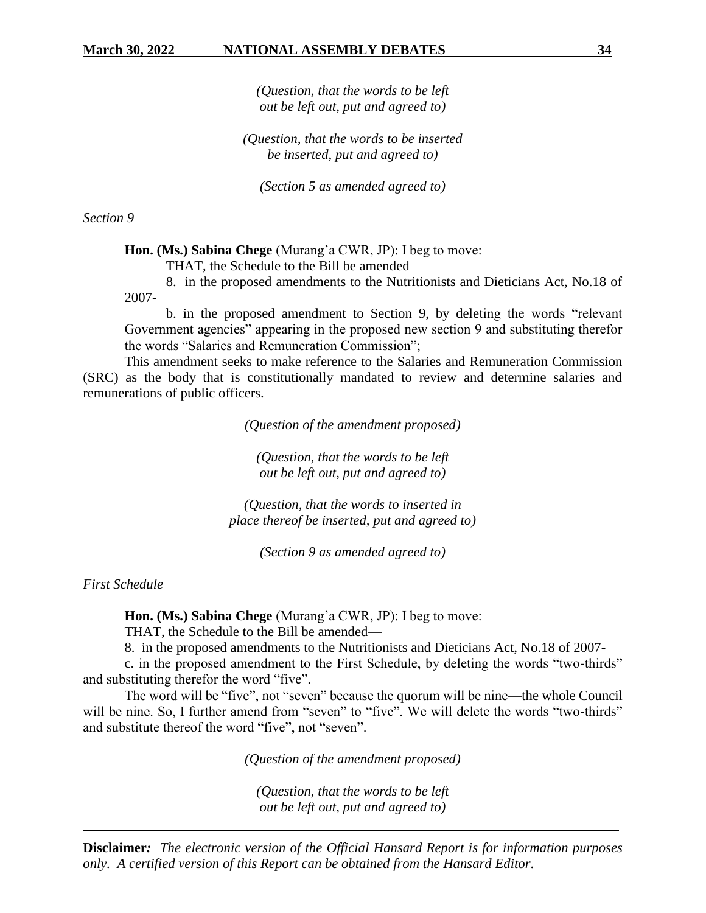*(Question, that the words to be left out be left out, put and agreed to)*

*(Question, that the words to be inserted be inserted, put and agreed to)*

*(Section 5 as amended agreed to)*

*Section 9*

**Hon. (Ms.) Sabina Chege** (Murang'a CWR, JP): I beg to move:

THAT, the Schedule to the Bill be amended—

8. in the proposed amendments to the Nutritionists and Dieticians Act, No.18 of 2007-

b. in the proposed amendment to Section 9, by deleting the words "relevant Government agencies" appearing in the proposed new section 9 and substituting therefor the words "Salaries and Remuneration Commission";

This amendment seeks to make reference to the Salaries and Remuneration Commission (SRC) as the body that is constitutionally mandated to review and determine salaries and remunerations of public officers.

*(Question of the amendment proposed)*

*(Question, that the words to be left out be left out, put and agreed to)*

*(Question, that the words to inserted in place thereof be inserted, put and agreed to)*

*(Section 9 as amended agreed to)*

*First Schedule*

**Hon. (Ms.) Sabina Chege** (Murang'a CWR, JP): I beg to move:

THAT, the Schedule to the Bill be amended—

8. in the proposed amendments to the Nutritionists and Dieticians Act, No.18 of 2007-

c. in the proposed amendment to the First Schedule, by deleting the words "two-thirds" and substituting therefor the word "five".

The word will be "five", not "seven" because the quorum will be nine—the whole Council will be nine. So, I further amend from "seven" to "five". We will delete the words "two-thirds" and substitute thereof the word "five", not "seven".

*(Question of the amendment proposed)*

*(Question, that the words to be left out be left out, put and agreed to)*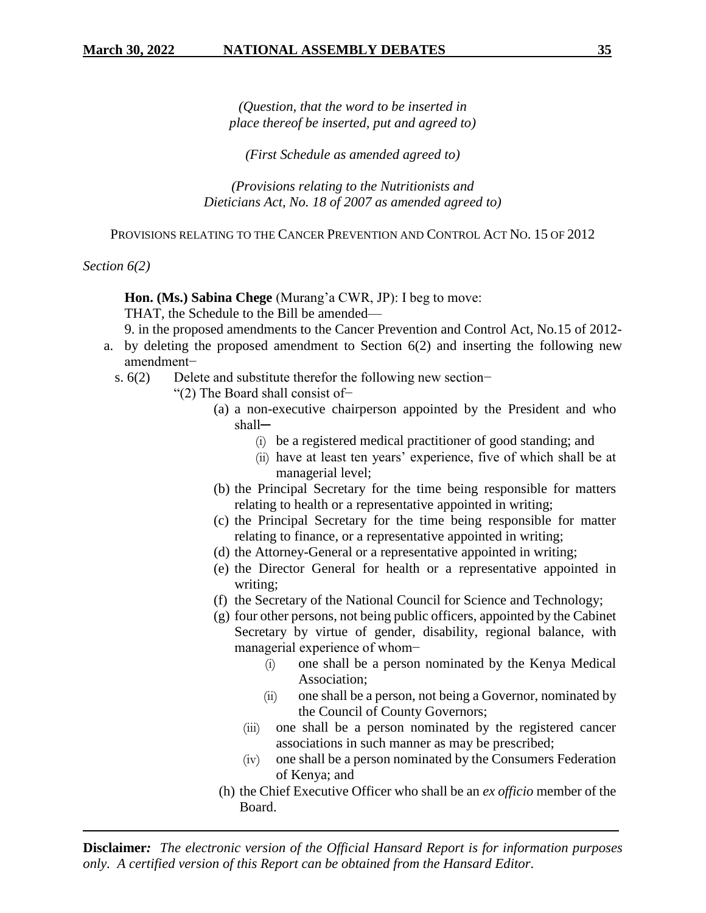*(Question, that the word to be inserted in place thereof be inserted, put and agreed to)*

*(First Schedule as amended agreed to)*

*(Provisions relating to the Nutritionists and Dieticians Act, No. 18 of 2007 as amended agreed to)*

PROVISIONS RELATING TO THE CANCER PREVENTION AND CONTROL ACT NO. 15 OF 2012

*Section 6(2)*

**Hon. (Ms.) Sabina Chege** (Murang'a CWR, JP): I beg to move:

THAT, the Schedule to the Bill be amended—

9. in the proposed amendments to the Cancer Prevention and Control Act, No.15 of 2012-

- a. by deleting the proposed amendment to Section 6(2) and inserting the following new amendment−
	- s. 6(2) Delete and substitute therefor the following new section–
		- "(2) The Board shall consist of−
			- (a) a non-executive chairperson appointed by the President and who shall─
				- (i) be a registered medical practitioner of good standing; and
				- (ii) have at least ten years' experience, five of which shall be at managerial level;
			- (b) the Principal Secretary for the time being responsible for matters relating to health or a representative appointed in writing;
			- (c) the Principal Secretary for the time being responsible for matter relating to finance, or a representative appointed in writing;
			- (d) the Attorney-General or a representative appointed in writing;
			- (e) the Director General for health or a representative appointed in writing;
			- (f) the Secretary of the National Council for Science and Technology;
			- (g) four other persons, not being public officers, appointed by the Cabinet Secretary by virtue of gender, disability, regional balance, with managerial experience of whom−
				- (i) one shall be a person nominated by the Kenya Medical Association;
				- (ii) one shall be a person, not being a Governor, nominated by the Council of County Governors;
				- (iii) one shall be a person nominated by the registered cancer associations in such manner as may be prescribed;
				- (iv) one shall be a person nominated by the Consumers Federation of Kenya; and
			- (h) the Chief Executive Officer who shall be an *ex officio* member of the Board.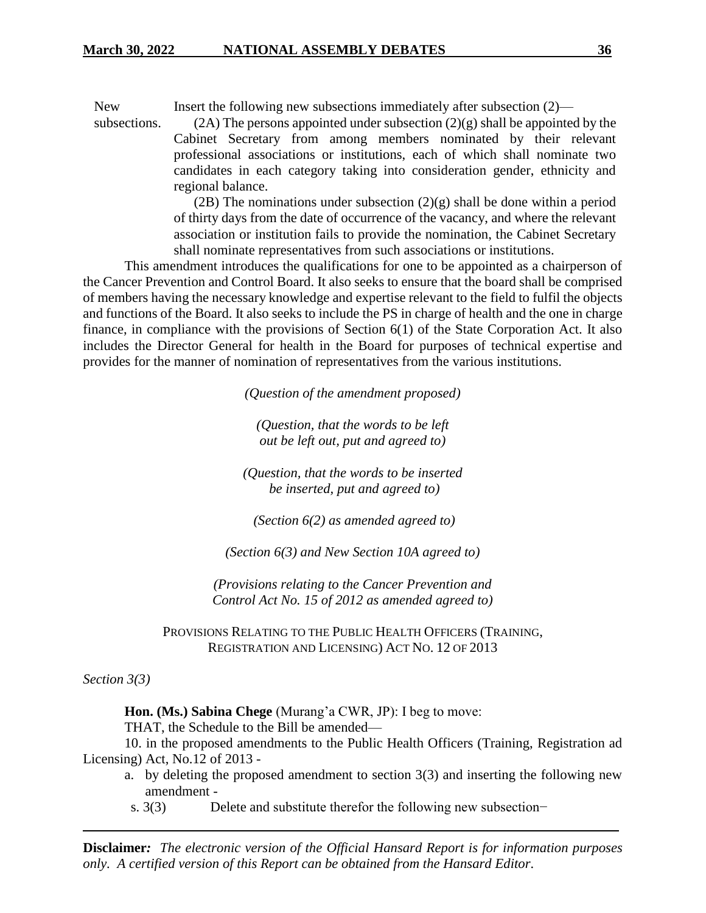New subsections. Insert the following new subsections immediately after subsection (2)—  $(2A)$  The persons appointed under subsection  $(2)(g)$  shall be appointed by the

Cabinet Secretary from among members nominated by their relevant professional associations or institutions, each of which shall nominate two candidates in each category taking into consideration gender, ethnicity and regional balance.

(2B) The nominations under subsection (2)(g) shall be done within a period of thirty days from the date of occurrence of the vacancy, and where the relevant association or institution fails to provide the nomination, the Cabinet Secretary shall nominate representatives from such associations or institutions.

This amendment introduces the qualifications for one to be appointed as a chairperson of the Cancer Prevention and Control Board. It also seeks to ensure that the board shall be comprised of members having the necessary knowledge and expertise relevant to the field to fulfil the objects and functions of the Board. It also seeks to include the PS in charge of health and the one in charge finance, in compliance with the provisions of Section 6(1) of the State Corporation Act. It also includes the Director General for health in the Board for purposes of technical expertise and provides for the manner of nomination of representatives from the various institutions.

*(Question of the amendment proposed)*

*(Question, that the words to be left out be left out, put and agreed to)*

*(Question, that the words to be inserted be inserted, put and agreed to)*

*(Section 6(2) as amended agreed to)*

*(Section 6(3) and New Section 10A agreed to)*

*(Provisions relating to the Cancer Prevention and Control Act No. 15 of 2012 as amended agreed to)*

PROVISIONS RELATING TO THE PUBLIC HEALTH OFFICERS (TRAINING, REGISTRATION AND LICENSING) ACT NO. 12 OF 2013

*Section 3(3)*

**Hon. (Ms.) Sabina Chege** (Murang'a CWR, JP): I beg to move:

THAT, the Schedule to the Bill be amended—

10. in the proposed amendments to the Public Health Officers (Training, Registration ad Licensing) Act, No.12 of 2013 -

- a. by deleting the proposed amendment to section 3(3) and inserting the following new amendment -
- s. 3(3) Delete and substitute therefor the following new subsection–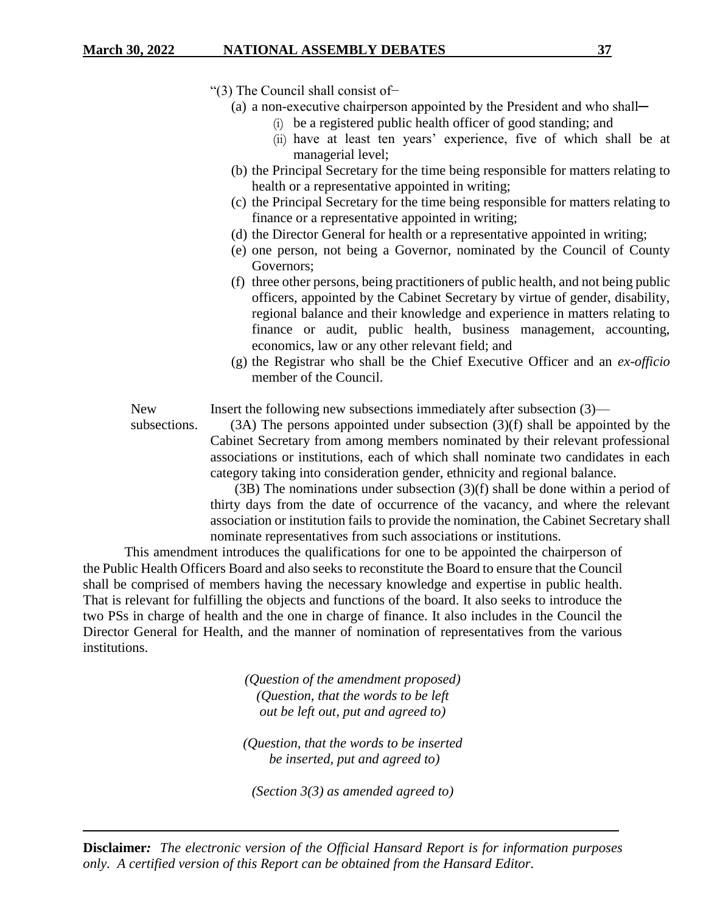- "(3) The Council shall consist of−
	- (a) a non-executive chairperson appointed by the President and who shall—
		- (i) be a registered public health officer of good standing; and
		- (ii) have at least ten years' experience, five of which shall be at managerial level;
	- (b) the Principal Secretary for the time being responsible for matters relating to health or a representative appointed in writing;
	- (c) the Principal Secretary for the time being responsible for matters relating to finance or a representative appointed in writing;
	- (d) the Director General for health or a representative appointed in writing;
	- (e) one person, not being a Governor, nominated by the Council of County Governors;
	- (f) three other persons, being practitioners of public health, and not being public officers, appointed by the Cabinet Secretary by virtue of gender, disability, regional balance and their knowledge and experience in matters relating to finance or audit, public health, business management, accounting, economics, law or any other relevant field; and
	- (g) the Registrar who shall be the Chief Executive Officer and an *ex-officio* member of the Council.

Insert the following new subsections immediately after subsection (3)—

subsections.

New

(3A) The persons appointed under subsection (3)(f) shall be appointed by the Cabinet Secretary from among members nominated by their relevant professional associations or institutions, each of which shall nominate two candidates in each category taking into consideration gender, ethnicity and regional balance.

 (3B) The nominations under subsection (3)(f) shall be done within a period of thirty days from the date of occurrence of the vacancy, and where the relevant association or institution fails to provide the nomination, the Cabinet Secretary shall nominate representatives from such associations or institutions.

This amendment introduces the qualifications for one to be appointed the chairperson of the Public Health Officers Board and also seeks to reconstitute the Board to ensure that the Council shall be comprised of members having the necessary knowledge and expertise in public health. That is relevant for fulfilling the objects and functions of the board. It also seeks to introduce the two PSs in charge of health and the one in charge of finance. It also includes in the Council the Director General for Health, and the manner of nomination of representatives from the various institutions.

> *(Question of the amendment proposed) (Question, that the words to be left out be left out, put and agreed to)*

*(Question, that the words to be inserted be inserted, put and agreed to)*

*(Section 3(3) as amended agreed to)*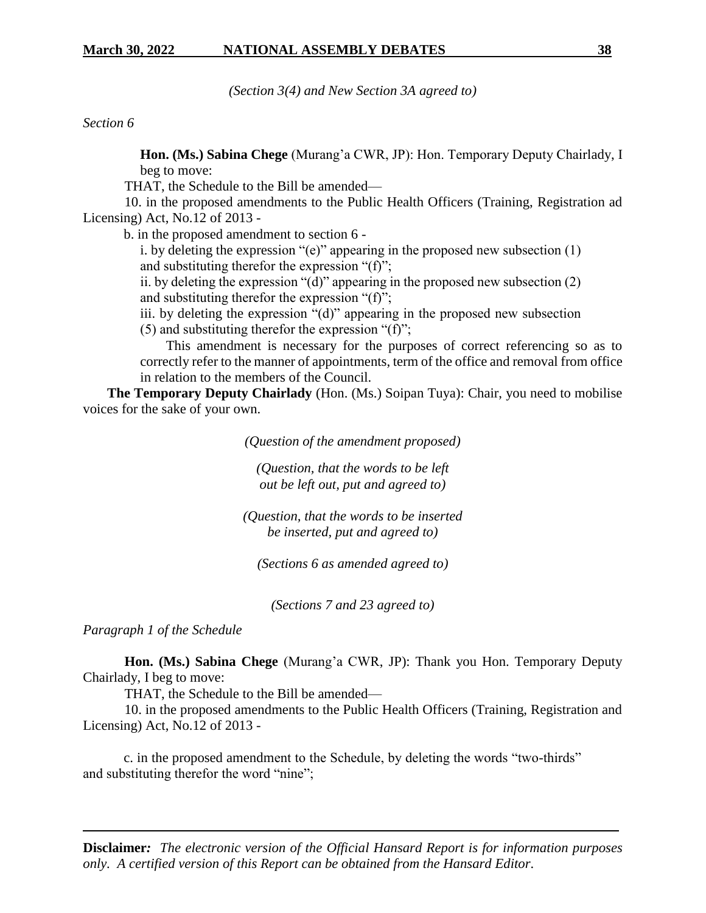*(Section 3(4) and New Section 3A agreed to)*

*Section 6*

**Hon. (Ms.) Sabina Chege** (Murang'a CWR, JP): Hon. Temporary Deputy Chairlady, I beg to move:

THAT, the Schedule to the Bill be amended—

10. in the proposed amendments to the Public Health Officers (Training, Registration ad Licensing) Act, No.12 of 2013 -

b. in the proposed amendment to section 6 -

i. by deleting the expression "(e)" appearing in the proposed new subsection (1) and substituting therefor the expression "(f)";

ii. by deleting the expression "(d)" appearing in the proposed new subsection (2) and substituting therefor the expression "(f)";

iii. by deleting the expression "(d)" appearing in the proposed new subsection

(5) and substituting therefor the expression "(f)";

This amendment is necessary for the purposes of correct referencing so as to correctly refer to the manner of appointments, term of the office and removal from office in relation to the members of the Council.

 **The Temporary Deputy Chairlady** (Hon. (Ms.) Soipan Tuya): Chair, you need to mobilise voices for the sake of your own.

*(Question of the amendment proposed)*

*(Question, that the words to be left out be left out, put and agreed to)*

*(Question, that the words to be inserted be inserted, put and agreed to)*

*(Sections 6 as amended agreed to)* 

*(Sections 7 and 23 agreed to)* 

*Paragraph 1 of the Schedule*

**Hon. (Ms.) Sabina Chege** (Murang'a CWR, JP): Thank you Hon. Temporary Deputy Chairlady, I beg to move:

THAT, the Schedule to the Bill be amended—

10. in the proposed amendments to the Public Health Officers (Training, Registration and Licensing) Act, No.12 of 2013 -

c. in the proposed amendment to the Schedule, by deleting the words "two-thirds" and substituting therefor the word "nine";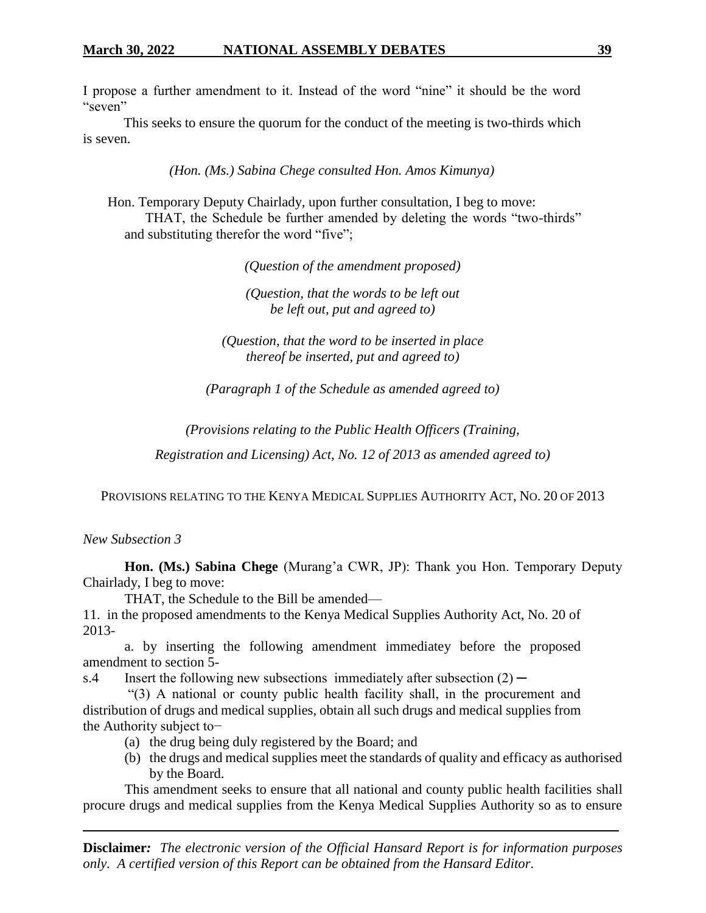I propose a further amendment to it. Instead of the word "nine" it should be the word "seven"

This seeks to ensure the quorum for the conduct of the meeting is two-thirds which is seven.

*(Hon. (Ms.) Sabina Chege consulted Hon. Amos Kimunya)*

Hon. Temporary Deputy Chairlady, upon further consultation, I beg to move: THAT, the Schedule be further amended by deleting the words "two-thirds" and substituting therefor the word "five";

*(Question of the amendment proposed)*

*(Question, that the words to be left out be left out, put and agreed to)*

*(Question, that the word to be inserted in place thereof be inserted, put and agreed to)*

*(Paragraph 1 of the Schedule as amended agreed to)*

*(Provisions relating to the Public Health Officers (Training,* 

*Registration and Licensing) Act, No. 12 of 2013 as amended agreed to)*

PROVISIONS RELATING TO THE KENYA MEDICAL SUPPLIES AUTHORITY ACT, NO. 20 OF 2013

*New Subsection 3*

**Hon. (Ms.) Sabina Chege** (Murang'a CWR, JP): Thank you Hon. Temporary Deputy Chairlady, I beg to move:

THAT, the Schedule to the Bill be amended—

11. in the proposed amendments to the Kenya Medical Supplies Authority Act, No. 20 of 2013-

a. by inserting the following amendment immediatey before the proposed amendment to section 5-

s.4 Insert the following new subsections immediately after subsection  $(2)$  —

"(3) A national or county public health facility shall, in the procurement and distribution of drugs and medical supplies, obtain all such drugs and medical supplies from the Authority subject to−

- (a) the drug being duly registered by the Board; and
- (b) the drugs and medical supplies meet the standards of quality and efficacy as authorised by the Board.

This amendment seeks to ensure that all national and county public health facilities shall procure drugs and medical supplies from the Kenya Medical Supplies Authority so as to ensure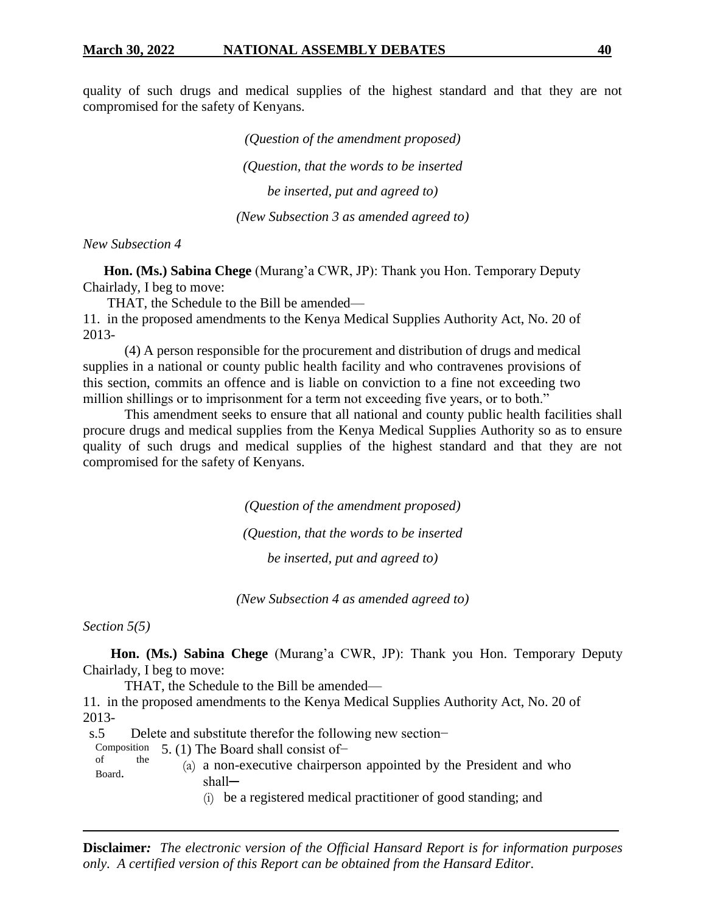quality of such drugs and medical supplies of the highest standard and that they are not compromised for the safety of Kenyans.

> *(Question of the amendment proposed) (Question, that the words to be inserted be inserted, put and agreed to) (New Subsection 3 as amended agreed to)*

#### *New Subsection 4*

 **Hon. (Ms.) Sabina Chege** (Murang'a CWR, JP): Thank you Hon. Temporary Deputy Chairlady, I beg to move:

THAT, the Schedule to the Bill be amended—

11. in the proposed amendments to the Kenya Medical Supplies Authority Act, No. 20 of 2013-

(4) A person responsible for the procurement and distribution of drugs and medical supplies in a national or county public health facility and who contravenes provisions of this section, commits an offence and is liable on conviction to a fine not exceeding two million shillings or to imprisonment for a term not exceeding five years, or to both."

This amendment seeks to ensure that all national and county public health facilities shall procure drugs and medical supplies from the Kenya Medical Supplies Authority so as to ensure quality of such drugs and medical supplies of the highest standard and that they are not compromised for the safety of Kenyans.

> *(Question of the amendment proposed) (Question, that the words to be inserted be inserted, put and agreed to)*

*(New Subsection 4 as amended agreed to)*

*Section 5(5)*

 **Hon. (Ms.) Sabina Chege** (Murang'a CWR, JP): Thank you Hon. Temporary Deputy Chairlady, I beg to move:

THAT, the Schedule to the Bill be amended—

11. in the proposed amendments to the Kenya Medical Supplies Authority Act, No. 20 of 2013-

s.5 Delete and substitute therefor the following new section−

Composition 5. (1) The Board shall consist of− of the

- Board. (a) a non-executive chairperson appointed by the President and who shall─
	- (i) be a registered medical practitioner of good standing; and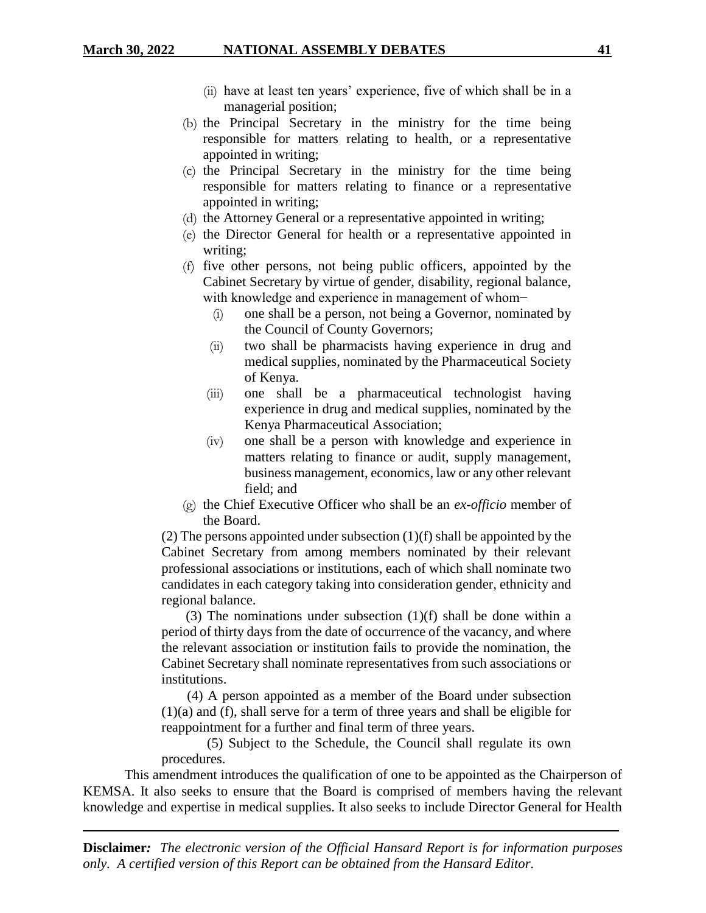- (ii) have at least ten years' experience, five of which shall be in a managerial position;
- (b) the Principal Secretary in the ministry for the time being responsible for matters relating to health, or a representative appointed in writing;
- (c) the Principal Secretary in the ministry for the time being responsible for matters relating to finance or a representative appointed in writing;
- (d) the Attorney General or a representative appointed in writing;
- (e) the Director General for health or a representative appointed in writing;
- (f) five other persons, not being public officers, appointed by the Cabinet Secretary by virtue of gender, disability, regional balance, with knowledge and experience in management of whom−
	- (i) one shall be a person, not being a Governor, nominated by the Council of County Governors;
	- (ii) two shall be pharmacists having experience in drug and medical supplies, nominated by the Pharmaceutical Society of Kenya.
	- (iii) one shall be a pharmaceutical technologist having experience in drug and medical supplies, nominated by the Kenya Pharmaceutical Association;
	- (iv) one shall be a person with knowledge and experience in matters relating to finance or audit, supply management, business management, economics, law or any other relevant field; and
- (g) the Chief Executive Officer who shall be an *ex-officio* member of the Board.

(2) The persons appointed under subsection (1)(f) shall be appointed by the Cabinet Secretary from among members nominated by their relevant professional associations or institutions, each of which shall nominate two candidates in each category taking into consideration gender, ethnicity and regional balance.

 (3) The nominations under subsection (1)(f) shall be done within a period of thirty days from the date of occurrence of the vacancy, and where the relevant association or institution fails to provide the nomination, the Cabinet Secretary shall nominate representatives from such associations or institutions.

 (4) A person appointed as a member of the Board under subsection (1)(a) and (f), shall serve for a term of three years and shall be eligible for reappointment for a further and final term of three years.

 (5) Subject to the Schedule, the Council shall regulate its own procedures.

This amendment introduces the qualification of one to be appointed as the Chairperson of KEMSA. It also seeks to ensure that the Board is comprised of members having the relevant knowledge and expertise in medical supplies. It also seeks to include Director General for Health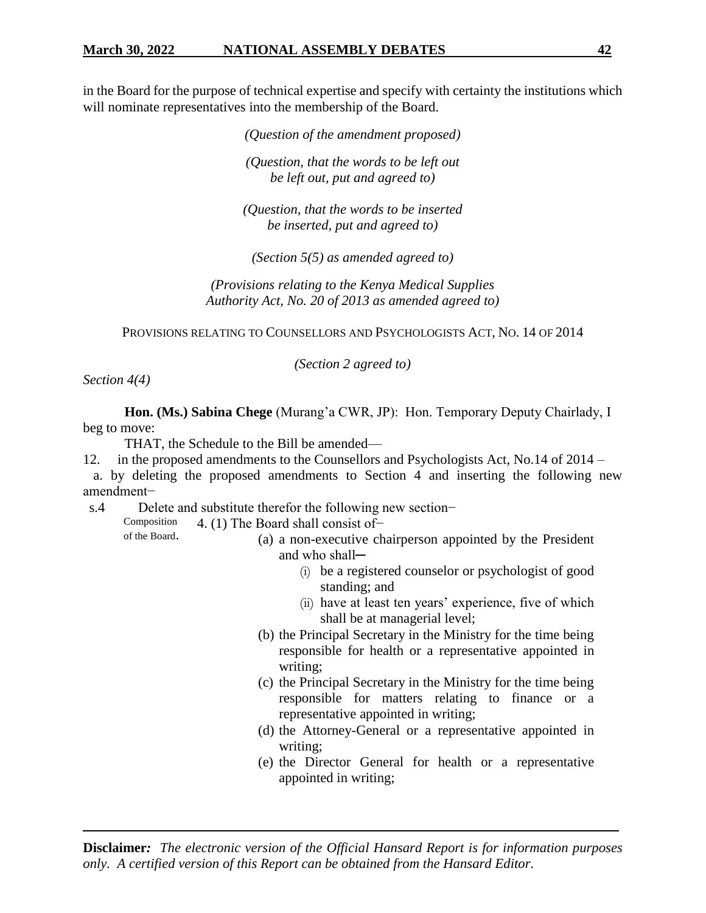in the Board for the purpose of technical expertise and specify with certainty the institutions which will nominate representatives into the membership of the Board.

> *(Question of the amendment proposed) (Question, that the words to be left out be left out, put and agreed to)*

> *(Question, that the words to be inserted be inserted, put and agreed to)*

*(Section 5(5) as amended agreed to)*

*(Provisions relating to the Kenya Medical Supplies Authority Act, No. 20 of 2013 as amended agreed to)*

PROVISIONS RELATING TO COUNSELLORS AND PSYCHOLOGISTS ACT, NO. 14 OF 2014

*(Section 2 agreed to)*

*Section 4(4)*

**Hon. (Ms.) Sabina Chege** (Murang'a CWR, JP): Hon. Temporary Deputy Chairlady, I beg to move:

THAT, the Schedule to the Bill be amended—

12. in the proposed amendments to the Counsellors and Psychologists Act, No.14 of 2014 –

 a. by deleting the proposed amendments to Section 4 and inserting the following new amendment−

s.4 Delete and substitute therefor the following new section–

Composition 4. (1) The Board shall consist of−

of the Board.

(a) a non-executive chairperson appointed by the President and who shall-

- (i) be a registered counselor or psychologist of good standing; and
- (ii) have at least ten years' experience, five of which shall be at managerial level;
- (b) the Principal Secretary in the Ministry for the time being responsible for health or a representative appointed in writing;
- (c) the Principal Secretary in the Ministry for the time being responsible for matters relating to finance or a representative appointed in writing;
- (d) the Attorney-General or a representative appointed in writing;
- (e) the Director General for health or a representative appointed in writing;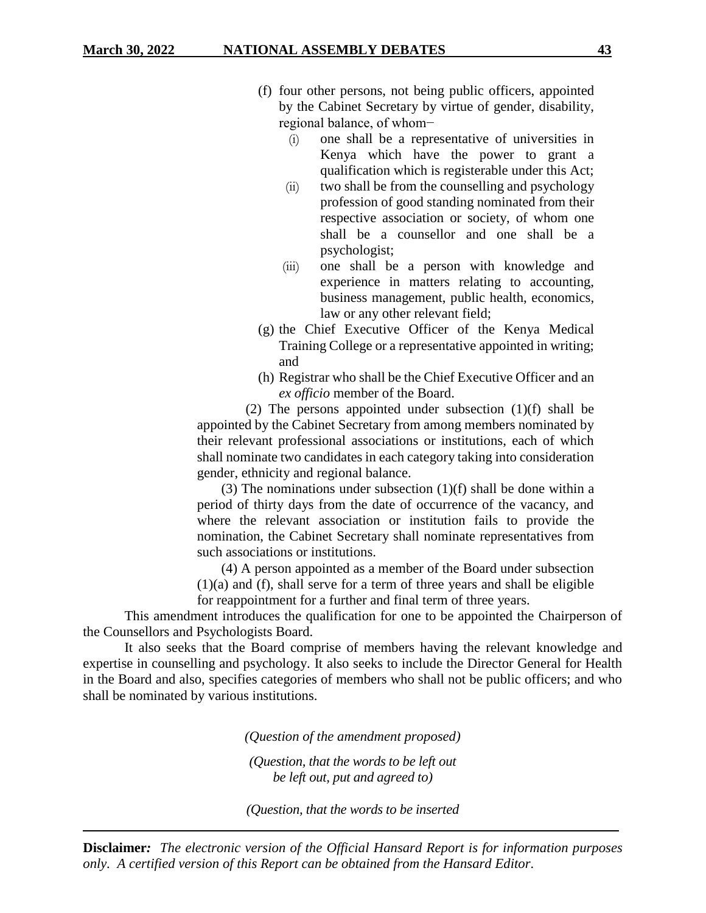- (f) four other persons, not being public officers, appointed by the Cabinet Secretary by virtue of gender, disability, regional balance, of whom−
	- (i) one shall be a representative of universities in Kenya which have the power to grant a qualification which is registerable under this Act;
	- (ii) two shall be from the counselling and psychology profession of good standing nominated from their respective association or society, of whom one shall be a counsellor and one shall be a psychologist;
	- (iii) one shall be a person with knowledge and experience in matters relating to accounting, business management, public health, economics, law or any other relevant field;
- (g) the Chief Executive Officer of the Kenya Medical Training College or a representative appointed in writing; and
- (h) Registrar who shall be the Chief Executive Officer and an *ex officio* member of the Board.

 (2) The persons appointed under subsection (1)(f) shall be appointed by the Cabinet Secretary from among members nominated by their relevant professional associations or institutions, each of which shall nominate two candidates in each category taking into consideration gender, ethnicity and regional balance.

 (3) The nominations under subsection (1)(f) shall be done within a period of thirty days from the date of occurrence of the vacancy, and where the relevant association or institution fails to provide the nomination, the Cabinet Secretary shall nominate representatives from such associations or institutions.

 (4) A person appointed as a member of the Board under subsection (1)(a) and (f), shall serve for a term of three years and shall be eligible for reappointment for a further and final term of three years.

This amendment introduces the qualification for one to be appointed the Chairperson of the Counsellors and Psychologists Board.

It also seeks that the Board comprise of members having the relevant knowledge and expertise in counselling and psychology. It also seeks to include the Director General for Health in the Board and also, specifies categories of members who shall not be public officers; and who shall be nominated by various institutions.

*(Question of the amendment proposed)*

*(Question, that the words to be left out be left out, put and agreed to)*

*(Question, that the words to be inserted*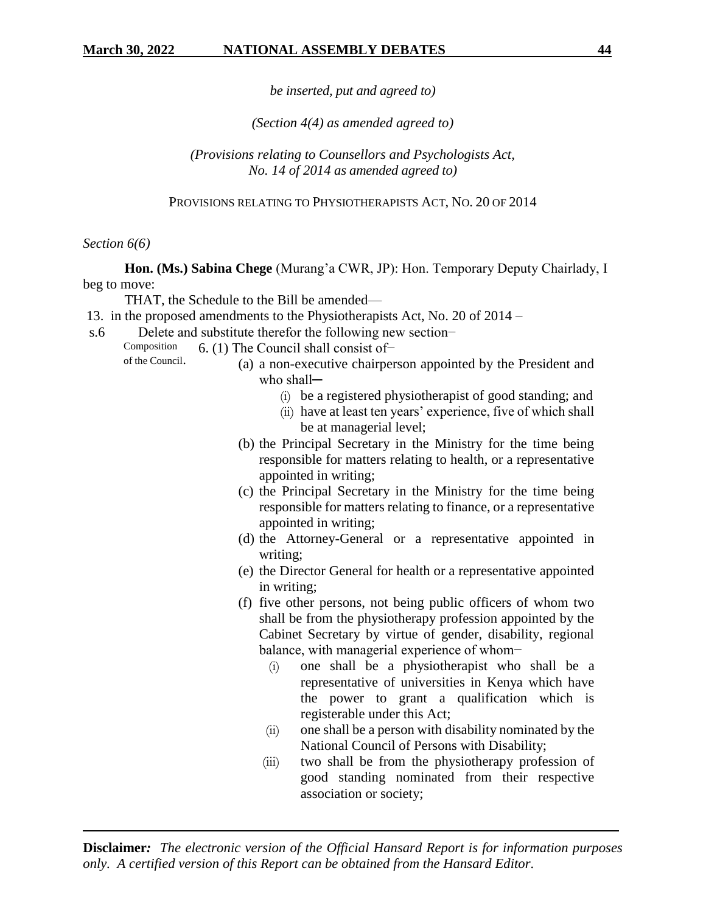*be inserted, put and agreed to)*

*(Section 4(4) as amended agreed to)*

*(Provisions relating to Counsellors and Psychologists Act, No. 14 of 2014 as amended agreed to)*

PROVISIONS RELATING TO PHYSIOTHERAPISTS ACT, NO. 20 OF 2014

*Section 6(6)*

**Hon. (Ms.) Sabina Chege** (Murang'a CWR, JP): Hon. Temporary Deputy Chairlady, I beg to move:

THAT, the Schedule to the Bill be amended—

- 13. in the proposed amendments to the Physiotherapists Act, No. 20 of 2014 –
- s.6 Delete and substitute therefor the following new section−

Composition of the Council. 6. (1) The Council shall consist of−

- (a) a non-executive chairperson appointed by the President and who shall-
	- (i) be a registered physiotherapist of good standing; and
	- (ii) have at least ten years' experience, five of which shall be at managerial level;
	- (b) the Principal Secretary in the Ministry for the time being responsible for matters relating to health, or a representative appointed in writing;
	- (c) the Principal Secretary in the Ministry for the time being responsible for matters relating to finance, or a representative appointed in writing;
	- (d) the Attorney-General or a representative appointed in writing;
	- (e) the Director General for health or a representative appointed in writing;
	- (f) five other persons, not being public officers of whom two shall be from the physiotherapy profession appointed by the Cabinet Secretary by virtue of gender, disability, regional balance, with managerial experience of whom−
		- (i) one shall be a physiotherapist who shall be a representative of universities in Kenya which have the power to grant a qualification which is registerable under this Act;
		- (ii) one shall be a person with disability nominated by the National Council of Persons with Disability;
		- (iii) two shall be from the physiotherapy profession of good standing nominated from their respective association or society;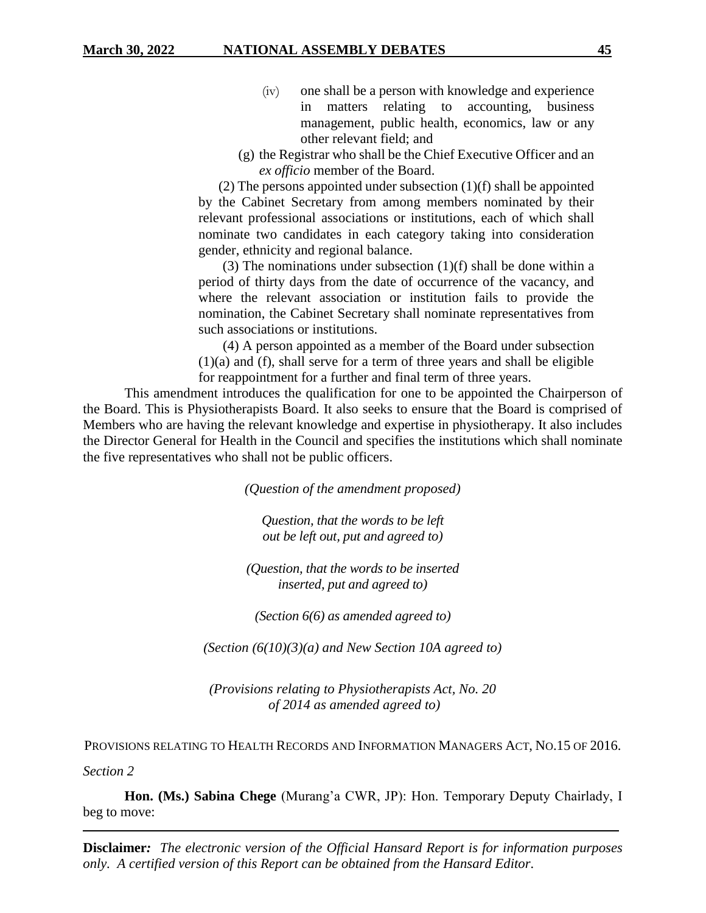- (iv) one shall be a person with knowledge and experience in matters relating to accounting, business management, public health, economics, law or any other relevant field; and
- (g) the Registrar who shall be the Chief Executive Officer and an *ex officio* member of the Board.

(2) The persons appointed under subsection (1)(f) shall be appointed by the Cabinet Secretary from among members nominated by their relevant professional associations or institutions, each of which shall nominate two candidates in each category taking into consideration gender, ethnicity and regional balance.

(3) The nominations under subsection  $(1)(f)$  shall be done within a period of thirty days from the date of occurrence of the vacancy, and where the relevant association or institution fails to provide the nomination, the Cabinet Secretary shall nominate representatives from such associations or institutions.

 (4) A person appointed as a member of the Board under subsection (1)(a) and (f), shall serve for a term of three years and shall be eligible for reappointment for a further and final term of three years.

This amendment introduces the qualification for one to be appointed the Chairperson of the Board. This is Physiotherapists Board. It also seeks to ensure that the Board is comprised of Members who are having the relevant knowledge and expertise in physiotherapy. It also includes the Director General for Health in the Council and specifies the institutions which shall nominate the five representatives who shall not be public officers.

*(Question of the amendment proposed)*

*Question, that the words to be left out be left out, put and agreed to)*

*(Question, that the words to be inserted inserted, put and agreed to)*

*(Section 6(6) as amended agreed to)*

*(Section (6(10)(3)(a) and New Section 10A agreed to)*

*(Provisions relating to Physiotherapists Act, No. 20 of 2014 as amended agreed to)*

PROVISIONS RELATING TO HEALTH RECORDS AND INFORMATION MANAGERS ACT, NO.15 OF 2016.

*Section 2*

**Hon. (Ms.) Sabina Chege** (Murang'a CWR, JP): Hon. Temporary Deputy Chairlady, I beg to move: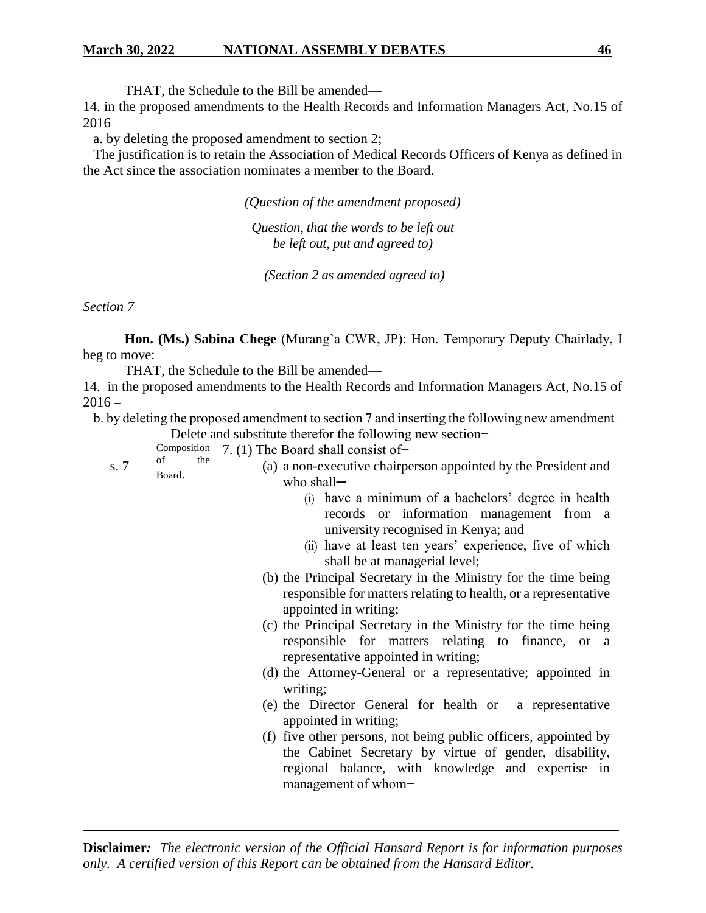THAT, the Schedule to the Bill be amended—

14. in the proposed amendments to the Health Records and Information Managers Act, No.15 of  $2016 -$ 

a. by deleting the proposed amendment to section 2;

 The justification is to retain the Association of Medical Records Officers of Kenya as defined in the Act since the association nominates a member to the Board.

*(Question of the amendment proposed)*

*Question, that the words to be left out be left out, put and agreed to)*

*(Section 2 as amended agreed to)*

*Section 7*

**Hon. (Ms.) Sabina Chege** (Murang'a CWR, JP): Hon. Temporary Deputy Chairlady, I beg to move:

THAT, the Schedule to the Bill be amended—

14. in the proposed amendments to the Health Records and Information Managers Act, No.15 of  $2016 -$ 

 b. by deleting the proposed amendment to section 7 and inserting the following new amendment− Delete and substitute therefor the following new section−

Composition 7. (1) The Board shall consist of−

s. 7 of the Board. (a) a non-executive chairperson appointed by the President and who shall-

- (i) have a minimum of a bachelors' degree in health records or information management from a university recognised in Kenya; and
- (ii) have at least ten years' experience, five of which shall be at managerial level;
- (b) the Principal Secretary in the Ministry for the time being responsible for matters relating to health, or a representative appointed in writing;
- (c) the Principal Secretary in the Ministry for the time being responsible for matters relating to finance, or a representative appointed in writing;
- (d) the Attorney-General or a representative; appointed in writing;
- (e) the Director General for health or a representative appointed in writing;
- (f) five other persons, not being public officers, appointed by the Cabinet Secretary by virtue of gender, disability, regional balance, with knowledge and expertise in management of whom−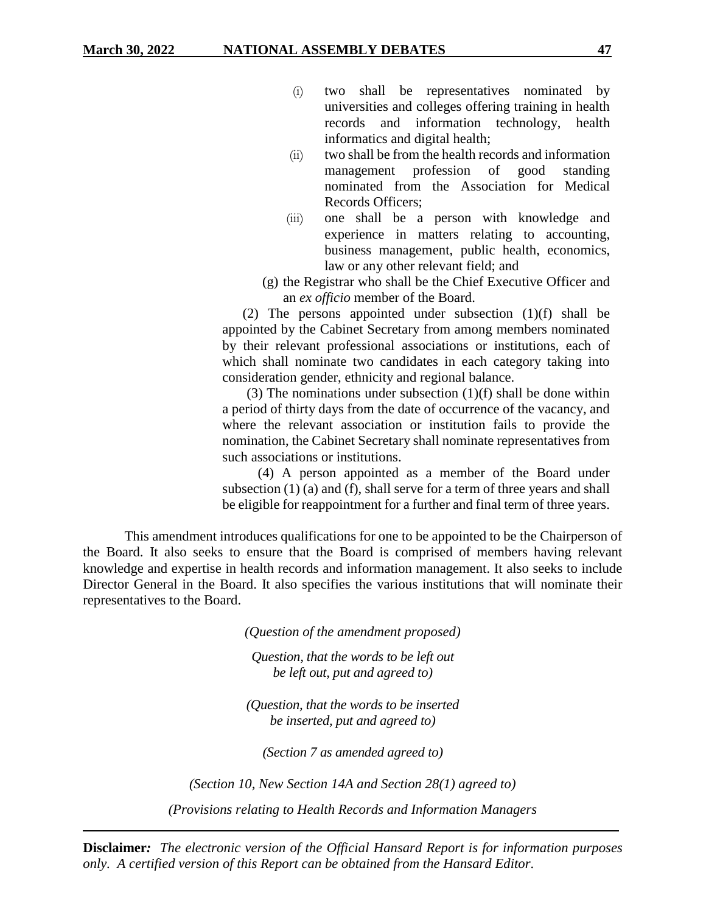- (i) two shall be representatives nominated by universities and colleges offering training in health records and information technology, health informatics and digital health;
- (ii) two shall be from the health records and information management profession of good standing nominated from the Association for Medical Records Officers;
- (iii) one shall be a person with knowledge and experience in matters relating to accounting, business management, public health, economics, law or any other relevant field; and
- (g) the Registrar who shall be the Chief Executive Officer and an *ex officio* member of the Board.

(2) The persons appointed under subsection (1)(f) shall be appointed by the Cabinet Secretary from among members nominated by their relevant professional associations or institutions, each of which shall nominate two candidates in each category taking into consideration gender, ethnicity and regional balance.

(3) The nominations under subsection  $(1)(f)$  shall be done within a period of thirty days from the date of occurrence of the vacancy, and where the relevant association or institution fails to provide the nomination, the Cabinet Secretary shall nominate representatives from such associations or institutions.

(4) A person appointed as a member of the Board under subsection (1) (a) and (f), shall serve for a term of three years and shall be eligible for reappointment for a further and final term of three years.

This amendment introduces qualifications for one to be appointed to be the Chairperson of the Board. It also seeks to ensure that the Board is comprised of members having relevant knowledge and expertise in health records and information management. It also seeks to include Director General in the Board. It also specifies the various institutions that will nominate their representatives to the Board.

*(Question of the amendment proposed)*

*Question, that the words to be left out be left out, put and agreed to)*

*(Question, that the words to be inserted be inserted, put and agreed to)*

*(Section 7 as amended agreed to)*

*(Section 10, New Section 14A and Section 28(1) agreed to) (Provisions relating to Health Records and Information Managers*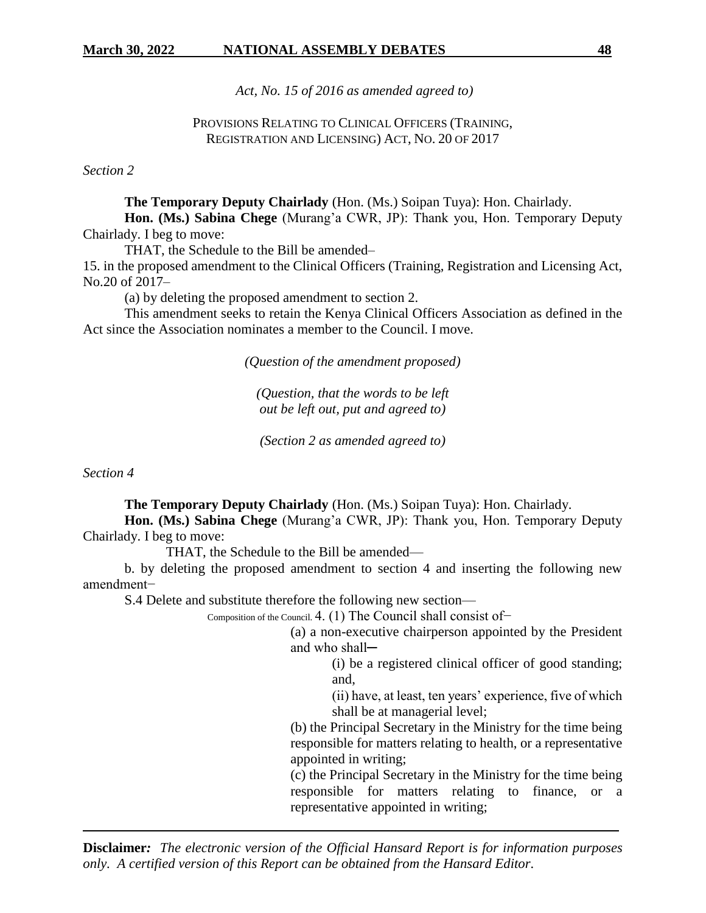*Act, No. 15 of 2016 as amended agreed to)*

PROVISIONS RELATING TO CLINICAL OFFICERS (TRAINING, REGISTRATION AND LICENSING) ACT, NO. 20 OF 2017

*Section 2*

**The Temporary Deputy Chairlady** (Hon. (Ms.) Soipan Tuya): Hon. Chairlady.

**Hon. (Ms.) Sabina Chege** (Murang'a CWR, JP): Thank you, Hon. Temporary Deputy Chairlady. I beg to move:

THAT, the Schedule to the Bill be amended–

15. in the proposed amendment to the Clinical Officers (Training, Registration and Licensing Act, No.20 of 2017–

(a) by deleting the proposed amendment to section 2.

This amendment seeks to retain the Kenya Clinical Officers Association as defined in the Act since the Association nominates a member to the Council. I move.

*(Question of the amendment proposed)*

*(Question, that the words to be left out be left out, put and agreed to)*

*(Section 2 as amended agreed to)*

*Section 4*

**The Temporary Deputy Chairlady** (Hon. (Ms.) Soipan Tuya): Hon. Chairlady. **Hon. (Ms.) Sabina Chege** (Murang'a CWR, JP): Thank you, Hon. Temporary Deputy

Chairlady. I beg to move:

THAT, the Schedule to the Bill be amended—

b. by deleting the proposed amendment to section 4 and inserting the following new amendment−

S.4 Delete and substitute therefore the following new section—

Composition of the Council. 4. (1) The Council shall consist of−

(a) a non-executive chairperson appointed by the President and who shall-

> (i) be a registered clinical officer of good standing; and,

(ii) have, at least, ten years' experience, five of which shall be at managerial level;

(b) the Principal Secretary in the Ministry for the time being responsible for matters relating to health, or a representative appointed in writing;

(c) the Principal Secretary in the Ministry for the time being responsible for matters relating to finance, or a representative appointed in writing;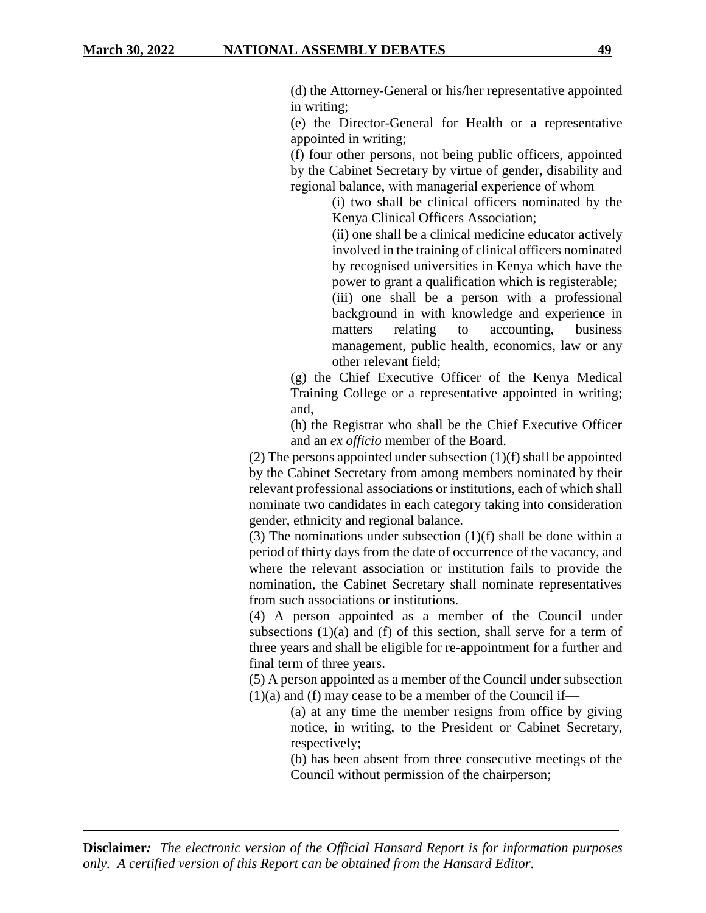(d) the Attorney-General or his/her representative appointed in writing;

(e) the Director-General for Health or a representative appointed in writing;

(f) four other persons, not being public officers, appointed by the Cabinet Secretary by virtue of gender, disability and regional balance, with managerial experience of whom−

(i) two shall be clinical officers nominated by the Kenya Clinical Officers Association;

(ii) one shall be a clinical medicine educator actively involved in the training of clinical officers nominated by recognised universities in Kenya which have the power to grant a qualification which is registerable;

(iii) one shall be a person with a professional background in with knowledge and experience in matters relating to accounting, business management, public health, economics, law or any other relevant field;

(g) the Chief Executive Officer of the Kenya Medical Training College or a representative appointed in writing; and,

(h) the Registrar who shall be the Chief Executive Officer and an *ex officio* member of the Board.

(2) The persons appointed under subsection (1)(f) shall be appointed by the Cabinet Secretary from among members nominated by their relevant professional associations or institutions, each of which shall nominate two candidates in each category taking into consideration gender, ethnicity and regional balance.

(3) The nominations under subsection (1)(f) shall be done within a period of thirty days from the date of occurrence of the vacancy, and where the relevant association or institution fails to provide the nomination, the Cabinet Secretary shall nominate representatives from such associations or institutions.

(4) A person appointed as a member of the Council under subsections  $(1)(a)$  and  $(f)$  of this section, shall serve for a term of three years and shall be eligible for re-appointment for a further and final term of three years.

(5) A person appointed as a member of the Council under subsection  $(1)(a)$  and  $(f)$  may cease to be a member of the Council if—

> (a) at any time the member resigns from office by giving notice, in writing, to the President or Cabinet Secretary, respectively;

> (b) has been absent from three consecutive meetings of the Council without permission of the chairperson;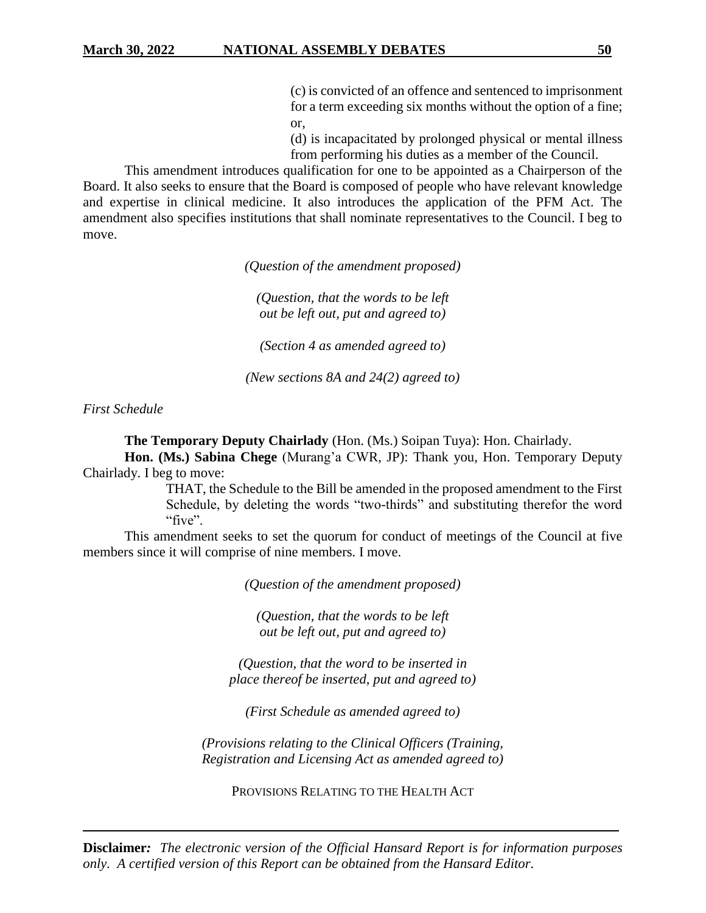(c) is convicted of an offence and sentenced to imprisonment for a term exceeding six months without the option of a fine; or,

(d) is incapacitated by prolonged physical or mental illness from performing his duties as a member of the Council.

This amendment introduces qualification for one to be appointed as a Chairperson of the Board. It also seeks to ensure that the Board is composed of people who have relevant knowledge and expertise in clinical medicine. It also introduces the application of the PFM Act. The amendment also specifies institutions that shall nominate representatives to the Council. I beg to move.

*(Question of the amendment proposed)*

*(Question, that the words to be left out be left out, put and agreed to)*

*(Section 4 as amended agreed to)*

*(New sections 8A and 24(2) agreed to)*

*First Schedule*

**The Temporary Deputy Chairlady** (Hon. (Ms.) Soipan Tuya): Hon. Chairlady.

**Hon. (Ms.) Sabina Chege** (Murang'a CWR, JP): Thank you, Hon. Temporary Deputy Chairlady. I beg to move:

> THAT, the Schedule to the Bill be amended in the proposed amendment to the First Schedule, by deleting the words "two-thirds" and substituting therefor the word "five".

This amendment seeks to set the quorum for conduct of meetings of the Council at five members since it will comprise of nine members. I move.

*(Question of the amendment proposed)*

*(Question, that the words to be left out be left out, put and agreed to)*

*(Question, that the word to be inserted in place thereof be inserted, put and agreed to)*

*(First Schedule as amended agreed to)*

*(Provisions relating to the Clinical Officers (Training, Registration and Licensing Act as amended agreed to)*

PROVISIONS RELATING TO THE HEALTH ACT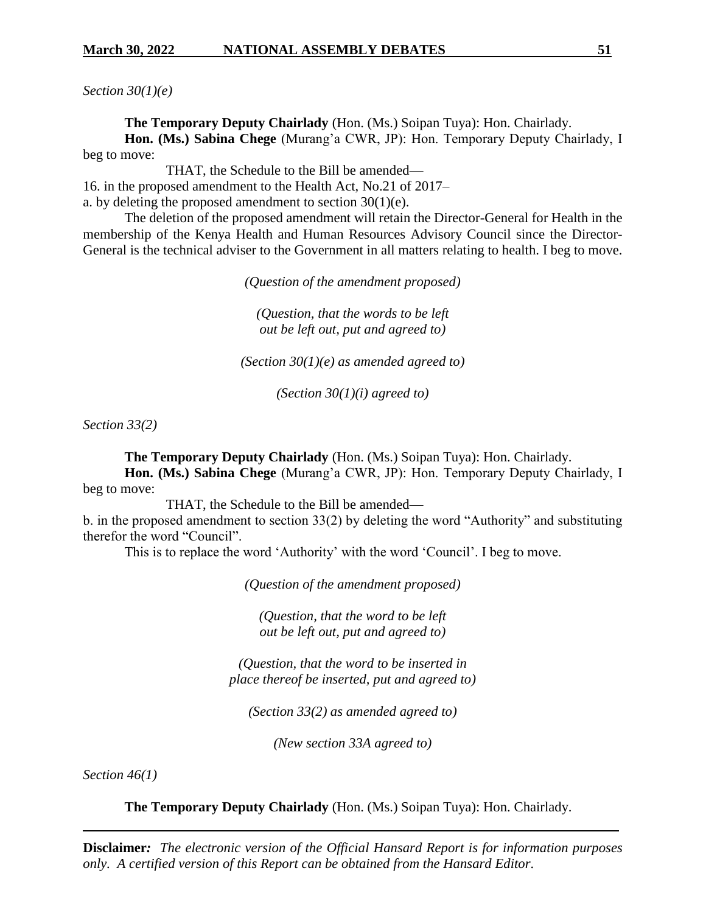*Section 30(1)(e)*

**The Temporary Deputy Chairlady** (Hon. (Ms.) Soipan Tuya): Hon. Chairlady.

**Hon. (Ms.) Sabina Chege** (Murang'a CWR, JP): Hon. Temporary Deputy Chairlady, I beg to move:

THAT, the Schedule to the Bill be amended—

16. in the proposed amendment to the Health Act, No.21 of 2017–

a. by deleting the proposed amendment to section  $30(1)(e)$ .

The deletion of the proposed amendment will retain the Director-General for Health in the membership of the Kenya Health and Human Resources Advisory Council since the Director-General is the technical adviser to the Government in all matters relating to health. I beg to move.

*(Question of the amendment proposed)*

*(Question, that the words to be left out be left out, put and agreed to)*

*(Section 30(1)(e) as amended agreed to)*

*(Section 30(1)(i) agreed to)*

*Section 33(2)*

**The Temporary Deputy Chairlady** (Hon. (Ms.) Soipan Tuya): Hon. Chairlady.

**Hon. (Ms.) Sabina Chege** (Murang'a CWR, JP): Hon. Temporary Deputy Chairlady, I beg to move:

THAT, the Schedule to the Bill be amended—

b. in the proposed amendment to section 33(2) by deleting the word "Authority" and substituting therefor the word "Council".

This is to replace the word 'Authority' with the word 'Council'. I beg to move.

*(Question of the amendment proposed)*

*(Question, that the word to be left out be left out, put and agreed to)*

*(Question, that the word to be inserted in place thereof be inserted, put and agreed to)*

*(Section 33(2) as amended agreed to)*

*(New section 33A agreed to)*

*Section 46(1)*

**The Temporary Deputy Chairlady** (Hon. (Ms.) Soipan Tuya): Hon. Chairlady.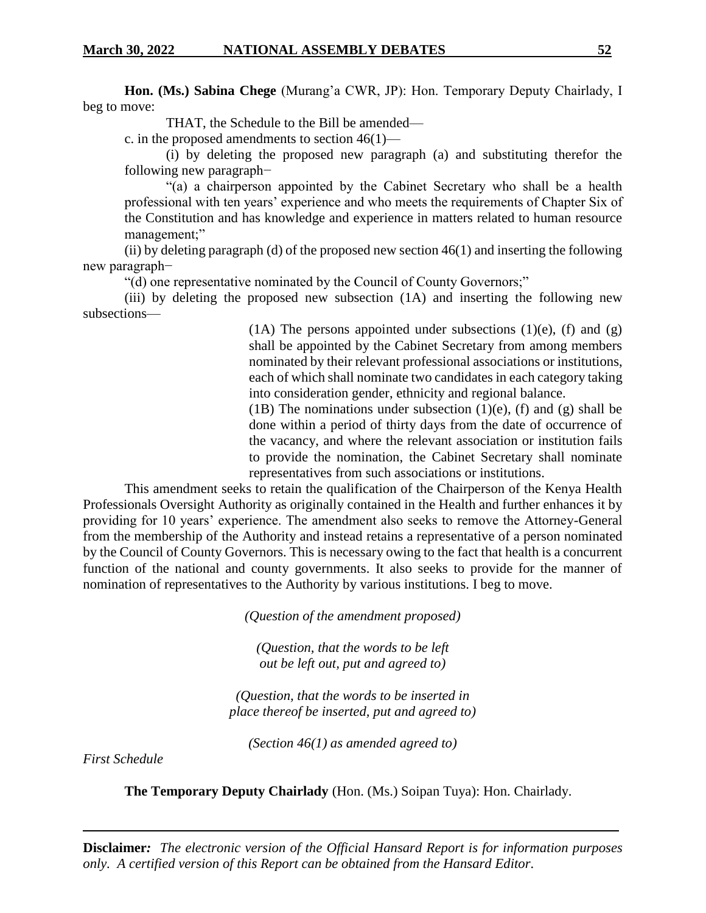**Hon. (Ms.) Sabina Chege** (Murang'a CWR, JP): Hon. Temporary Deputy Chairlady, I beg to move:

THAT, the Schedule to the Bill be amended—

c. in the proposed amendments to section 46(1)—

(i) by deleting the proposed new paragraph (a) and substituting therefor the following new paragraph−

"(a) a chairperson appointed by the Cabinet Secretary who shall be a health professional with ten years' experience and who meets the requirements of Chapter Six of the Constitution and has knowledge and experience in matters related to human resource management;"

(ii) by deleting paragraph (d) of the proposed new section  $46(1)$  and inserting the following new paragraph−

"(d) one representative nominated by the Council of County Governors;"

(iii) by deleting the proposed new subsection (1A) and inserting the following new subsections—

> (1A) The persons appointed under subsections (1)(e), (f) and (g) shall be appointed by the Cabinet Secretary from among members nominated by their relevant professional associations or institutions, each of which shall nominate two candidates in each category taking into consideration gender, ethnicity and regional balance.

> (1B) The nominations under subsection (1)(e), (f) and (g) shall be done within a period of thirty days from the date of occurrence of the vacancy, and where the relevant association or institution fails to provide the nomination, the Cabinet Secretary shall nominate representatives from such associations or institutions.

This amendment seeks to retain the qualification of the Chairperson of the Kenya Health Professionals Oversight Authority as originally contained in the Health and further enhances it by providing for 10 years' experience. The amendment also seeks to remove the Attorney-General from the membership of the Authority and instead retains a representative of a person nominated by the Council of County Governors. This is necessary owing to the fact that health is a concurrent function of the national and county governments. It also seeks to provide for the manner of nomination of representatives to the Authority by various institutions. I beg to move.

*(Question of the amendment proposed)*

*(Question, that the words to be left out be left out, put and agreed to)*

*(Question, that the words to be inserted in place thereof be inserted, put and agreed to)*

*(Section 46(1) as amended agreed to)*

*First Schedule*

**The Temporary Deputy Chairlady** (Hon. (Ms.) Soipan Tuya): Hon. Chairlady.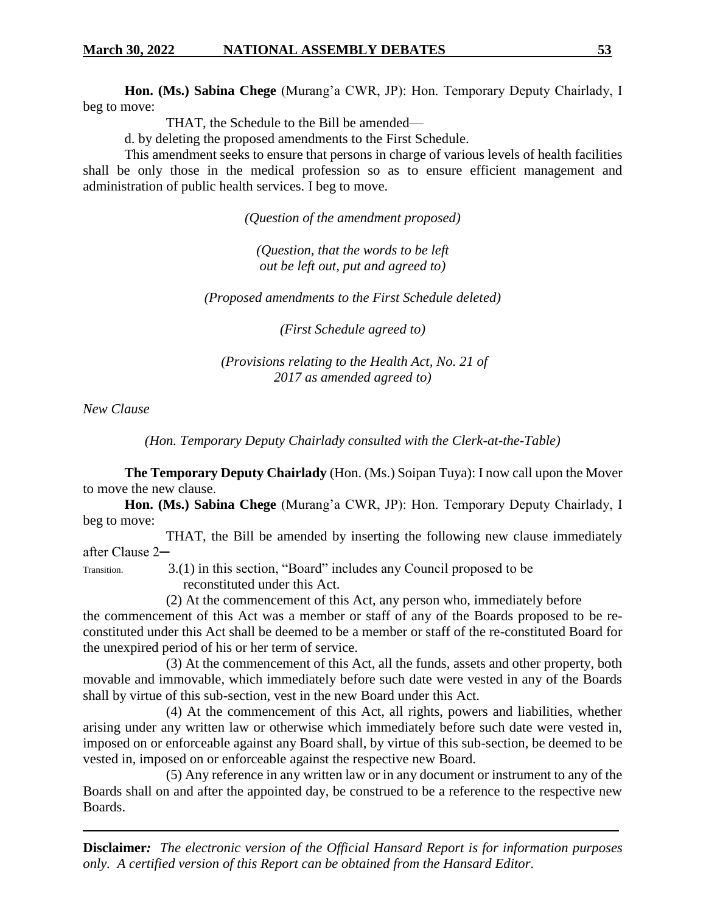**Hon. (Ms.) Sabina Chege** (Murang'a CWR, JP): Hon. Temporary Deputy Chairlady, I beg to move:

THAT, the Schedule to the Bill be amended—

d. by deleting the proposed amendments to the First Schedule.

This amendment seeks to ensure that persons in charge of various levels of health facilities shall be only those in the medical profession so as to ensure efficient management and administration of public health services. I beg to move.

*(Question of the amendment proposed)*

*(Question, that the words to be left out be left out, put and agreed to)*

*(Proposed amendments to the First Schedule deleted)*

*(First Schedule agreed to)*

*(Provisions relating to the Health Act, No. 21 of 2017 as amended agreed to)*

*New Clause*

*(Hon. Temporary Deputy Chairlady consulted with the Clerk-at-the-Table)*

**The Temporary Deputy Chairlady** (Hon. (Ms.) Soipan Tuya): I now call upon the Mover to move the new clause.

**Hon. (Ms.) Sabina Chege** (Murang'a CWR, JP): Hon. Temporary Deputy Chairlady, I beg to move:

THAT, the Bill be amended by inserting the following new clause immediately after Clause 2─

Transition. 3.(1) in this section, "Board" includes any Council proposed to be reconstituted under this Act.

(2) At the commencement of this Act, any person who, immediately before

the commencement of this Act was a member or staff of any of the Boards proposed to be reconstituted under this Act shall be deemed to be a member or staff of the re-constituted Board for the unexpired period of his or her term of service.

(3) At the commencement of this Act, all the funds, assets and other property, both movable and immovable, which immediately before such date were vested in any of the Boards shall by virtue of this sub-section, vest in the new Board under this Act.

(4) At the commencement of this Act, all rights, powers and liabilities, whether arising under any written law or otherwise which immediately before such date were vested in, imposed on or enforceable against any Board shall, by virtue of this sub-section, be deemed to be vested in, imposed on or enforceable against the respective new Board.

(5) Any reference in any written law or in any document or instrument to any of the Boards shall on and after the appointed day, be construed to be a reference to the respective new Boards.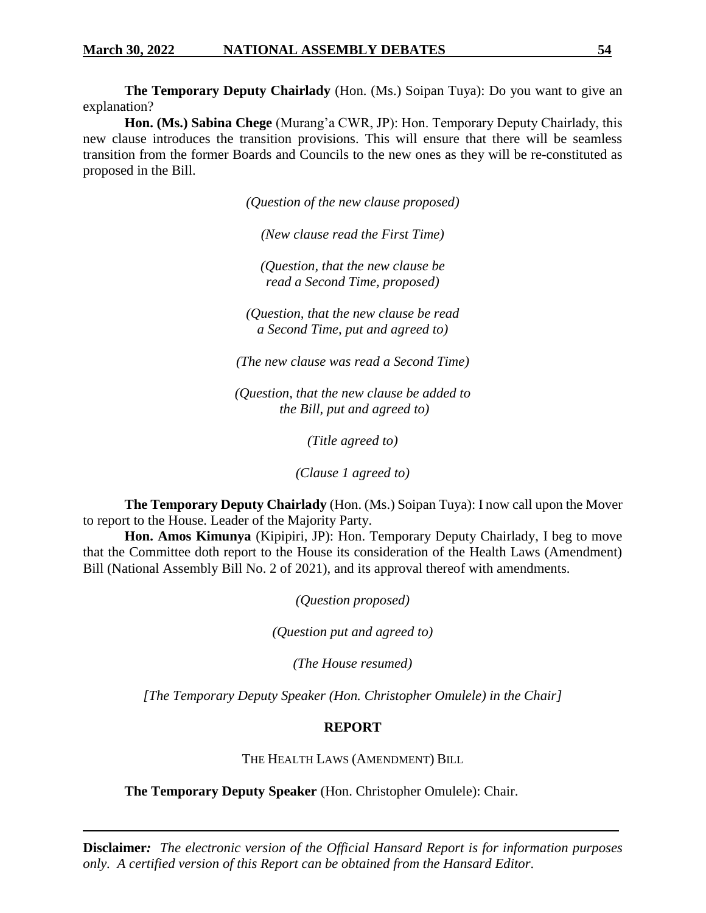**The Temporary Deputy Chairlady** (Hon. (Ms.) Soipan Tuya): Do you want to give an explanation?

**Hon. (Ms.) Sabina Chege** (Murang'a CWR, JP): Hon. Temporary Deputy Chairlady, this new clause introduces the transition provisions. This will ensure that there will be seamless transition from the former Boards and Councils to the new ones as they will be re-constituted as proposed in the Bill.

*(Question of the new clause proposed)*

*(New clause read the First Time)*

*(Question, that the new clause be read a Second Time, proposed)*

*(Question, that the new clause be read a Second Time, put and agreed to)*

*(The new clause was read a Second Time)*

*(Question, that the new clause be added to the Bill, put and agreed to)*

*(Title agreed to)*

*(Clause 1 agreed to)*

**The Temporary Deputy Chairlady** (Hon. (Ms.) Soipan Tuya): I now call upon the Mover to report to the House. Leader of the Majority Party.

**Hon. Amos Kimunya** (Kipipiri, JP): Hon. Temporary Deputy Chairlady, I beg to move that the Committee doth report to the House its consideration of the Health Laws (Amendment) Bill (National Assembly Bill No. 2 of 2021), and its approval thereof with amendments.

*(Question proposed)*

*(Question put and agreed to)*

*(The House resumed)*

*[The Temporary Deputy Speaker (Hon. Christopher Omulele) in the Chair]*

### **REPORT**

THE HEALTH LAWS (AMENDMENT) BILL

**The Temporary Deputy Speaker** (Hon. Christopher Omulele): Chair.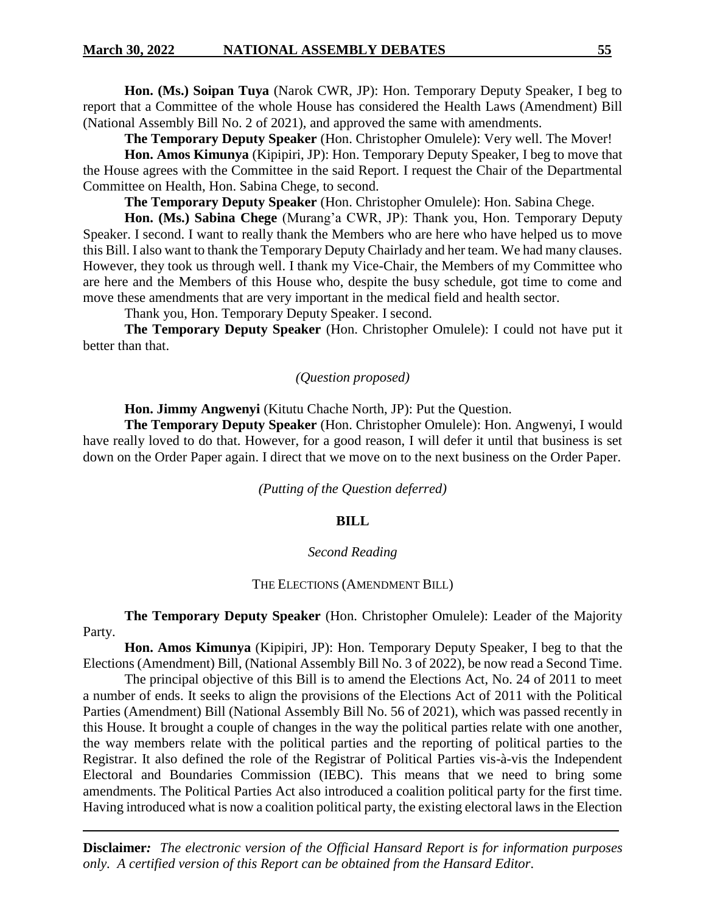**Hon. (Ms.) Soipan Tuya** (Narok CWR, JP): Hon. Temporary Deputy Speaker, I beg to report that a Committee of the whole House has considered the Health Laws (Amendment) Bill (National Assembly Bill No. 2 of 2021), and approved the same with amendments.

**The Temporary Deputy Speaker** (Hon. Christopher Omulele): Very well. The Mover!

**Hon. Amos Kimunya** (Kipipiri, JP): Hon. Temporary Deputy Speaker, I beg to move that the House agrees with the Committee in the said Report. I request the Chair of the Departmental Committee on Health, Hon. Sabina Chege, to second.

**The Temporary Deputy Speaker** (Hon. Christopher Omulele): Hon. Sabina Chege.

**Hon. (Ms.) Sabina Chege** (Murang'a CWR, JP): Thank you, Hon. Temporary Deputy Speaker. I second. I want to really thank the Members who are here who have helped us to move this Bill. I also want to thank the Temporary Deputy Chairlady and her team. We had many clauses. However, they took us through well. I thank my Vice-Chair, the Members of my Committee who are here and the Members of this House who, despite the busy schedule, got time to come and move these amendments that are very important in the medical field and health sector.

Thank you, Hon. Temporary Deputy Speaker. I second.

**The Temporary Deputy Speaker** (Hon. Christopher Omulele): I could not have put it better than that.

#### *(Question proposed)*

**Hon. Jimmy Angwenyi** (Kitutu Chache North, JP): Put the Question.

**The Temporary Deputy Speaker** (Hon. Christopher Omulele): Hon. Angwenyi, I would have really loved to do that. However, for a good reason, I will defer it until that business is set down on the Order Paper again. I direct that we move on to the next business on the Order Paper.

*(Putting of the Question deferred)*

#### **BILL**

#### *Second Reading*

#### THE ELECTIONS (AMENDMENT BILL)

**The Temporary Deputy Speaker** (Hon. Christopher Omulele): Leader of the Majority Party.

**Hon. Amos Kimunya** (Kipipiri, JP): Hon. Temporary Deputy Speaker, I beg to that the Elections (Amendment) Bill, (National Assembly Bill No. 3 of 2022), be now read a Second Time.

The principal objective of this Bill is to amend the Elections Act, No. 24 of 2011 to meet a number of ends. It seeks to align the provisions of the Elections Act of 2011 with the Political Parties (Amendment) Bill (National Assembly Bill No. 56 of 2021), which was passed recently in this House. It brought a couple of changes in the way the political parties relate with one another, the way members relate with the political parties and the reporting of political parties to the Registrar. It also defined the role of the Registrar of Political Parties vis-à-vis the Independent Electoral and Boundaries Commission (IEBC). This means that we need to bring some amendments. The Political Parties Act also introduced a coalition political party for the first time. Having introduced what is now a coalition political party, the existing electoral laws in the Election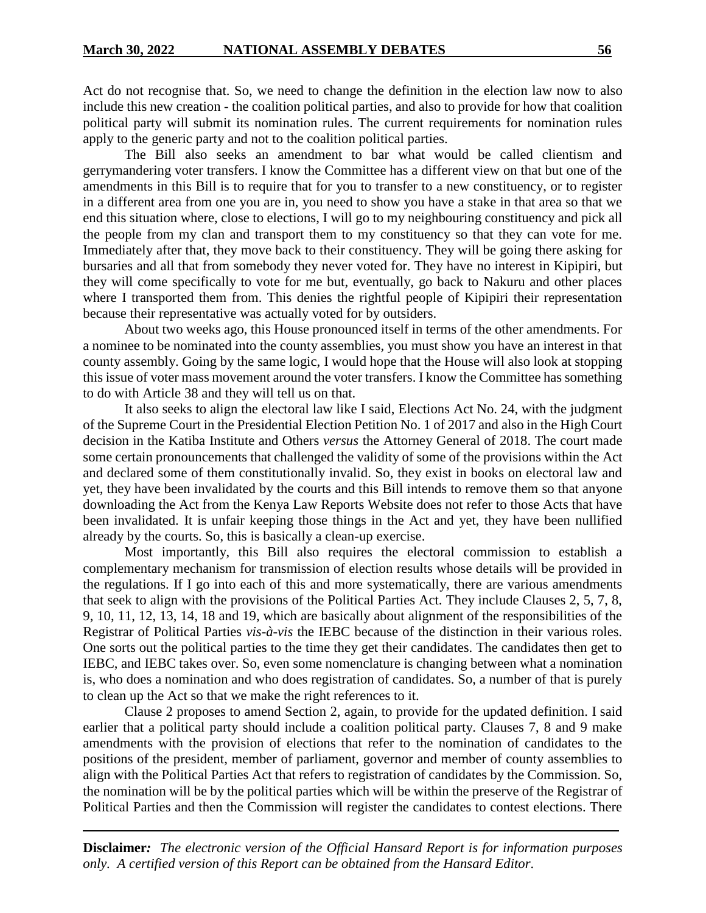Act do not recognise that. So, we need to change the definition in the election law now to also include this new creation - the coalition political parties, and also to provide for how that coalition political party will submit its nomination rules. The current requirements for nomination rules apply to the generic party and not to the coalition political parties.

The Bill also seeks an amendment to bar what would be called clientism and gerrymandering voter transfers. I know the Committee has a different view on that but one of the amendments in this Bill is to require that for you to transfer to a new constituency, or to register in a different area from one you are in, you need to show you have a stake in that area so that we end this situation where, close to elections, I will go to my neighbouring constituency and pick all the people from my clan and transport them to my constituency so that they can vote for me. Immediately after that, they move back to their constituency. They will be going there asking for bursaries and all that from somebody they never voted for. They have no interest in Kipipiri, but they will come specifically to vote for me but, eventually, go back to Nakuru and other places where I transported them from. This denies the rightful people of Kipipiri their representation because their representative was actually voted for by outsiders.

About two weeks ago, this House pronounced itself in terms of the other amendments. For a nominee to be nominated into the county assemblies, you must show you have an interest in that county assembly. Going by the same logic, I would hope that the House will also look at stopping this issue of voter mass movement around the voter transfers. I know the Committee has something to do with Article 38 and they will tell us on that.

It also seeks to align the electoral law like I said, Elections Act No. 24, with the judgment of the Supreme Court in the Presidential Election Petition No. 1 of 2017 and also in the High Court decision in the Katiba Institute and Others *versus* the Attorney General of 2018. The court made some certain pronouncements that challenged the validity of some of the provisions within the Act and declared some of them constitutionally invalid. So, they exist in books on electoral law and yet, they have been invalidated by the courts and this Bill intends to remove them so that anyone downloading the Act from the Kenya Law Reports Website does not refer to those Acts that have been invalidated. It is unfair keeping those things in the Act and yet, they have been nullified already by the courts. So, this is basically a clean-up exercise.

Most importantly, this Bill also requires the electoral commission to establish a complementary mechanism for transmission of election results whose details will be provided in the regulations. If I go into each of this and more systematically, there are various amendments that seek to align with the provisions of the Political Parties Act. They include Clauses 2, 5, 7, 8, 9, 10, 11, 12, 13, 14, 18 and 19, which are basically about alignment of the responsibilities of the Registrar of Political Parties *vis-à-vis* the IEBC because of the distinction in their various roles. One sorts out the political parties to the time they get their candidates. The candidates then get to IEBC, and IEBC takes over. So, even some nomenclature is changing between what a nomination is, who does a nomination and who does registration of candidates. So, a number of that is purely to clean up the Act so that we make the right references to it.

Clause 2 proposes to amend Section 2, again, to provide for the updated definition. I said earlier that a political party should include a coalition political party. Clauses 7, 8 and 9 make amendments with the provision of elections that refer to the nomination of candidates to the positions of the president, member of parliament, governor and member of county assemblies to align with the Political Parties Act that refers to registration of candidates by the Commission. So, the nomination will be by the political parties which will be within the preserve of the Registrar of Political Parties and then the Commission will register the candidates to contest elections. There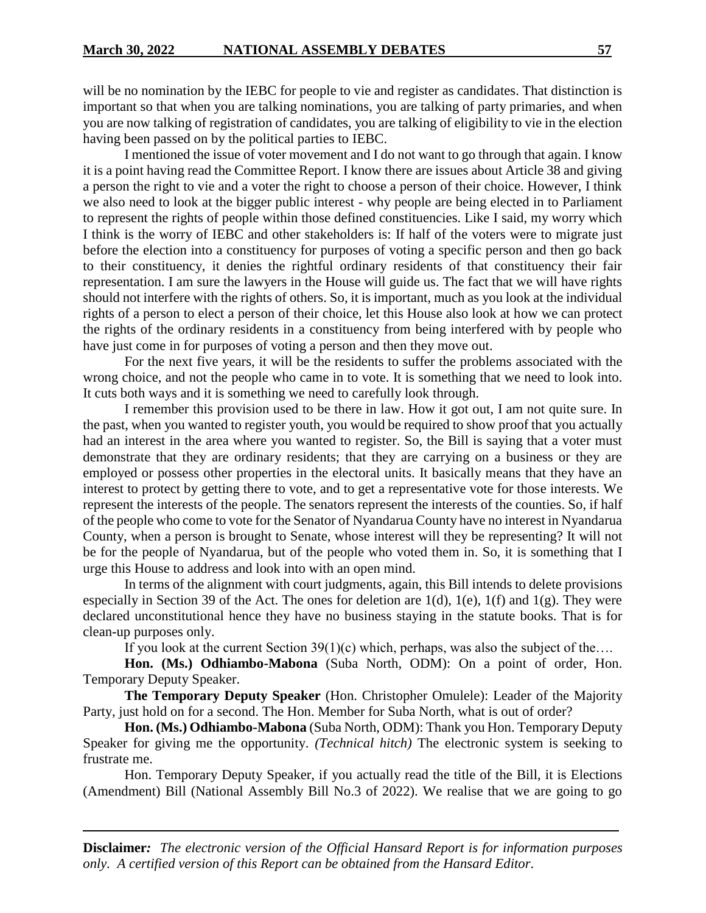will be no nomination by the IEBC for people to vie and register as candidates. That distinction is important so that when you are talking nominations, you are talking of party primaries, and when you are now talking of registration of candidates, you are talking of eligibility to vie in the election having been passed on by the political parties to IEBC.

I mentioned the issue of voter movement and I do not want to go through that again. I know it is a point having read the Committee Report. I know there are issues about Article 38 and giving a person the right to vie and a voter the right to choose a person of their choice. However, I think we also need to look at the bigger public interest - why people are being elected in to Parliament to represent the rights of people within those defined constituencies. Like I said, my worry which I think is the worry of IEBC and other stakeholders is: If half of the voters were to migrate just before the election into a constituency for purposes of voting a specific person and then go back to their constituency, it denies the rightful ordinary residents of that constituency their fair representation. I am sure the lawyers in the House will guide us. The fact that we will have rights should not interfere with the rights of others. So, it is important, much as you look at the individual rights of a person to elect a person of their choice, let this House also look at how we can protect the rights of the ordinary residents in a constituency from being interfered with by people who have just come in for purposes of voting a person and then they move out.

For the next five years, it will be the residents to suffer the problems associated with the wrong choice, and not the people who came in to vote. It is something that we need to look into. It cuts both ways and it is something we need to carefully look through.

I remember this provision used to be there in law. How it got out, I am not quite sure. In the past, when you wanted to register youth, you would be required to show proof that you actually had an interest in the area where you wanted to register. So, the Bill is saying that a voter must demonstrate that they are ordinary residents; that they are carrying on a business or they are employed or possess other properties in the electoral units. It basically means that they have an interest to protect by getting there to vote, and to get a representative vote for those interests. We represent the interests of the people. The senators represent the interests of the counties. So, if half of the people who come to vote for the Senator of Nyandarua County have no interest in Nyandarua County, when a person is brought to Senate, whose interest will they be representing? It will not be for the people of Nyandarua, but of the people who voted them in. So, it is something that I urge this House to address and look into with an open mind.

In terms of the alignment with court judgments, again, this Bill intends to delete provisions especially in Section 39 of the Act. The ones for deletion are 1(d), 1(e), 1(f) and 1(g). They were declared unconstitutional hence they have no business staying in the statute books. That is for clean-up purposes only.

If you look at the current Section  $39(1)(c)$  which, perhaps, was also the subject of the....

**Hon. (Ms.) Odhiambo-Mabona** (Suba North, ODM): On a point of order, Hon. Temporary Deputy Speaker.

**The Temporary Deputy Speaker** (Hon. Christopher Omulele): Leader of the Majority Party, just hold on for a second. The Hon. Member for Suba North, what is out of order?

**Hon. (Ms.) Odhiambo-Mabona** (Suba North, ODM): Thank you Hon. Temporary Deputy Speaker for giving me the opportunity. *(Technical hitch)* The electronic system is seeking to frustrate me.

Hon. Temporary Deputy Speaker, if you actually read the title of the Bill, it is Elections (Amendment) Bill (National Assembly Bill No.3 of 2022). We realise that we are going to go